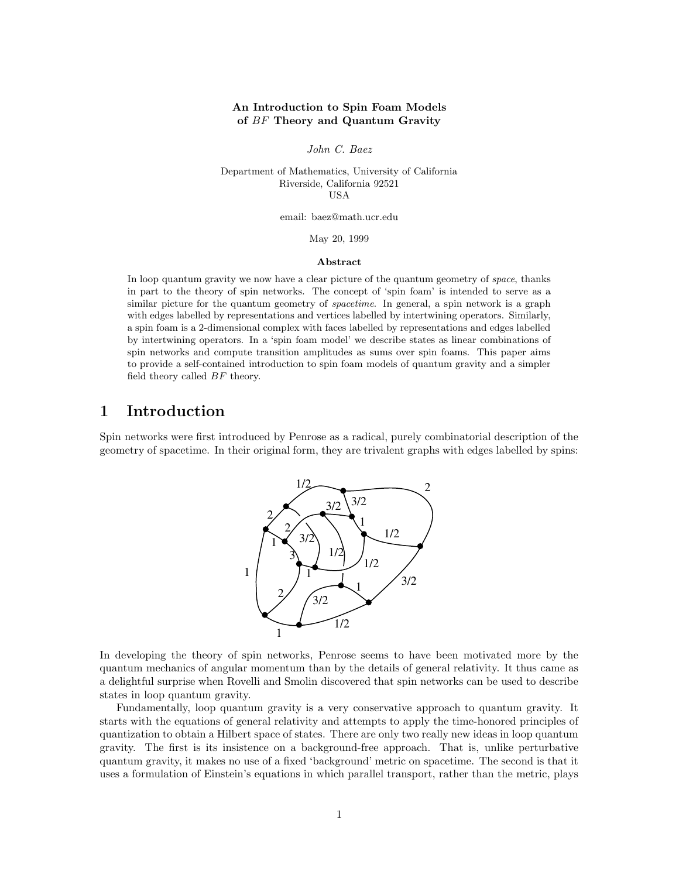### An Introduction to Spin Foam Models of BF Theory and Quantum Gravity

John C. Baez

Department of Mathematics, University of California Riverside, California 92521 USA

email: baez@math.ucr.edu

May 20, 1999

#### Abstract

In loop quantum gravity we now have a clear picture of the quantum geometry of space, thanks in part to the theory of spin networks. The concept of 'spin foam' is intended to serve as a similar picture for the quantum geometry of spacetime. In general, a spin network is a graph with edges labelled by representations and vertices labelled by intertwining operators. Similarly, a spin foam is a 2-dimensional complex with faces labelled by representations and edges labelled by intertwining operators. In a 'spin foam model' we describe states as linear combinations of spin networks and compute transition amplitudes as sums over spin foams. This paper aims to provide a self-contained introduction to spin foam models of quantum gravity and a simpler field theory called BF theory.

# 1 Introduction

Spin networks were first introduced by Penrose as a radical, purely combinatorial description of the geometry of spacetime. In their original form, they are trivalent graphs with edges labelled by spins:



In developing the theory of spin networks, Penrose seems to have been motivated more by the quantum mechanics of angular momentum than by the details of general relativity. It thus came as a delightful surprise when Rovelli and Smolin discovered that spin networks can be used to describe states in loop quantum gravity.

Fundamentally, loop quantum gravity is a very conservative approach to quantum gravity. It starts with the equations of general relativity and attempts to apply the time-honored principles of quantization to obtain a Hilbert space of states. There are only two really new ideas in loop quantum gravity. The first is its insistence on a background-free approach. That is, unlike perturbative quantum gravity, it makes no use of a fixed 'background' metric on spacetime. The second is that it uses a formulation of Einstein's equations in which parallel transport, rather than the metric, plays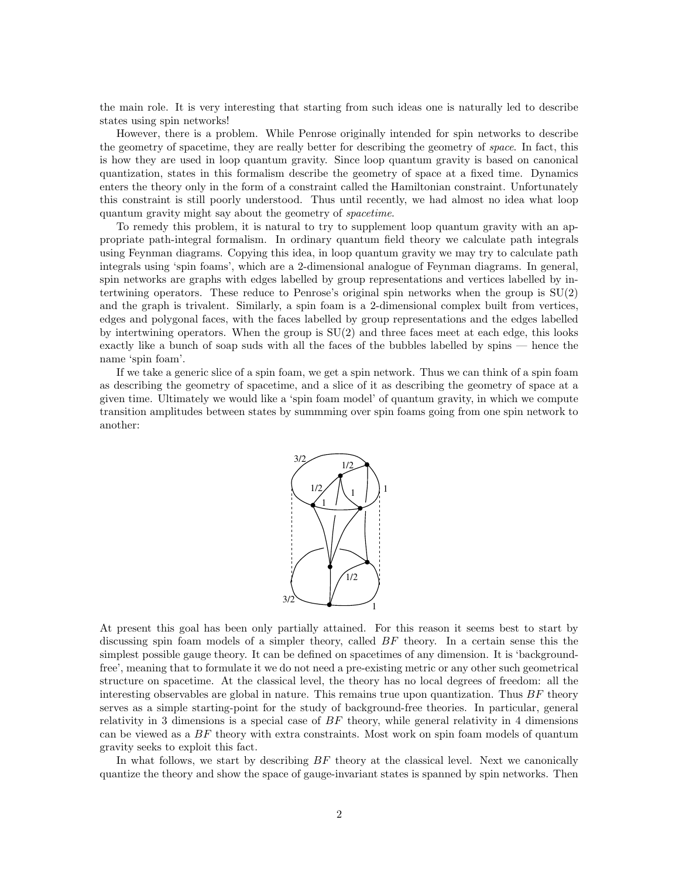the main role. It is very interesting that starting from such ideas one is naturally led to describe states using spin networks!

However, there is a problem. While Penrose originally intended for spin networks to describe the geometry of spacetime, they are really better for describing the geometry of space. In fact, this is how they are used in loop quantum gravity. Since loop quantum gravity is based on canonical quantization, states in this formalism describe the geometry of space at a fixed time. Dynamics enters the theory only in the form of a constraint called the Hamiltonian constraint. Unfortunately this constraint is still poorly understood. Thus until recently, we had almost no idea what loop quantum gravity might say about the geometry of spacetime.

To remedy this problem, it is natural to try to supplement loop quantum gravity with an appropriate path-integral formalism. In ordinary quantum field theory we calculate path integrals using Feynman diagrams. Copying this idea, in loop quantum gravity we may try to calculate path integrals using 'spin foams', which are a 2-dimensional analogue of Feynman diagrams. In general, spin networks are graphs with edges labelled by group representations and vertices labelled by intertwining operators. These reduce to Penrose's original spin networks when the group is SU(2) and the graph is trivalent. Similarly, a spin foam is a 2-dimensional complex built from vertices, edges and polygonal faces, with the faces labelled by group representations and the edges labelled by intertwining operators. When the group is  $SU(2)$  and three faces meet at each edge, this looks exactly like a bunch of soap suds with all the faces of the bubbles labelled by spins — hence the name 'spin foam'.

If we take a generic slice of a spin foam, we get a spin network. Thus we can think of a spin foam as describing the geometry of spacetime, and a slice of it as describing the geometry of space at a given time. Ultimately we would like a 'spin foam model' of quantum gravity, in which we compute transition amplitudes between states by summming over spin foams going from one spin network to another:



At present this goal has been only partially attained. For this reason it seems best to start by discussing spin foam models of a simpler theory, called BF theory. In a certain sense this the simplest possible gauge theory. It can be defined on spacetimes of any dimension. It is 'backgroundfree', meaning that to formulate it we do not need a pre-existing metric or any other such geometrical structure on spacetime. At the classical level, the theory has no local degrees of freedom: all the interesting observables are global in nature. This remains true upon quantization. Thus  $BF$  theory serves as a simple starting-point for the study of background-free theories. In particular, general relativity in 3 dimensions is a special case of  $BF$  theory, while general relativity in 4 dimensions can be viewed as a  $BF$  theory with extra constraints. Most work on spin foam models of quantum gravity seeks to exploit this fact.

In what follows, we start by describing  $BF$  theory at the classical level. Next we canonically quantize the theory and show the space of gauge-invariant states is spanned by spin networks. Then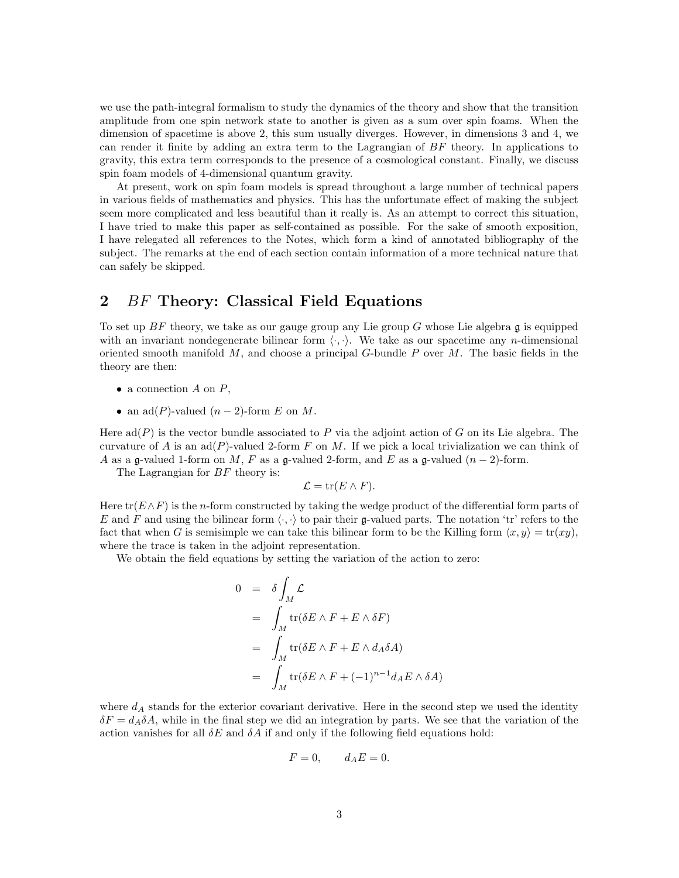we use the path-integral formalism to study the dynamics of the theory and show that the transition amplitude from one spin network state to another is given as a sum over spin foams. When the dimension of spacetime is above 2, this sum usually diverges. However, in dimensions 3 and 4, we can render it finite by adding an extra term to the Lagrangian of  $BF$  theory. In applications to gravity, this extra term corresponds to the presence of a cosmological constant. Finally, we discuss spin foam models of 4-dimensional quantum gravity.

At present, work on spin foam models is spread throughout a large number of technical papers in various fields of mathematics and physics. This has the unfortunate effect of making the subject seem more complicated and less beautiful than it really is. As an attempt to correct this situation, I have tried to make this paper as self-contained as possible. For the sake of smooth exposition, I have relegated all references to the Notes, which form a kind of annotated bibliography of the subject. The remarks at the end of each section contain information of a more technical nature that can safely be skipped.

# 2 BF Theory: Classical Field Equations

To set up  $BF$  theory, we take as our gauge group any Lie group G whose Lie algebra g is equipped with an invariant nondegenerate bilinear form  $\langle \cdot, \cdot \rangle$ . We take as our spacetime any n-dimensional oriented smooth manifold  $M$ , and choose a principal  $G$ -bundle P over  $M$ . The basic fields in the theory are then:

- a connection  $A$  on  $P$ ,
- an ad(P)-valued  $(n-2)$ -form E on M.

Here  $ad(P)$  is the vector bundle associated to P via the adjoint action of G on its Lie algebra. The curvature of A is an  $\text{ad}(P)$ -valued 2-form F on M. If we pick a local trivialization we can think of A as a g-valued 1-form on M, F as a g-valued 2-form, and E as a g-valued  $(n-2)$ -form.

The Lagrangian for BF theory is:

 $\mathcal{L} = \text{tr}(E \wedge F).$ 

Here  $tr(E\wedge F)$  is the n-form constructed by taking the wedge product of the differential form parts of E and F and using the bilinear form  $\langle \cdot, \cdot \rangle$  to pair their g-valued parts. The notation 'tr' refers to the fact that when G is semisimple we can take this bilinear form to be the Killing form  $\langle x, y \rangle = \text{tr}(xy)$ , where the trace is taken in the adjoint representation.

We obtain the field equations by setting the variation of the action to zero:

$$
0 = \delta \int_M \mathcal{L}
$$
  
=  $\int_M \text{tr}(\delta E \wedge F + E \wedge \delta F)$   
=  $\int_M \text{tr}(\delta E \wedge F + E \wedge d_A \delta A)$   
=  $\int_M \text{tr}(\delta E \wedge F + (-1)^{n-1} d_A E \wedge \delta A)$ 

where  $d_A$  stands for the exterior covariant derivative. Here in the second step we used the identity  $\delta F = d_A \delta A$ , while in the final step we did an integration by parts. We see that the variation of the action vanishes for all  $\delta E$  and  $\delta A$  if and only if the following field equations hold:

$$
F = 0, \qquad d_A E = 0.
$$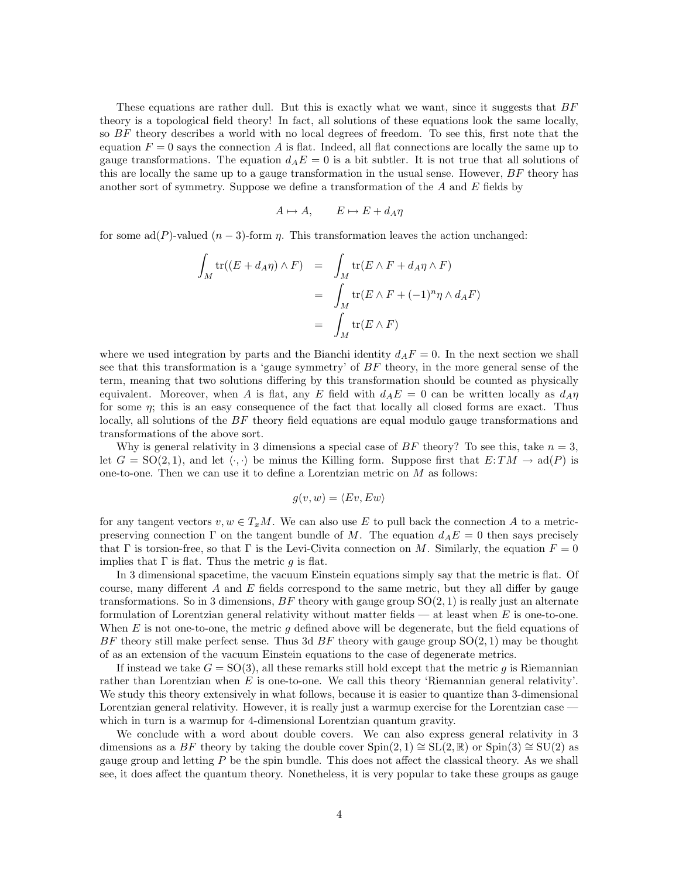These equations are rather dull. But this is exactly what we want, since it suggests that BF theory is a topological field theory! In fact, all solutions of these equations look the same locally, so BF theory describes a world with no local degrees of freedom. To see this, first note that the equation  $F = 0$  says the connection A is flat. Indeed, all flat connections are locally the same up to gauge transformations. The equation  $d_A E = 0$  is a bit subtler. It is not true that all solutions of this are locally the same up to a gauge transformation in the usual sense. However,  $BF$  theory has another sort of symmetry. Suppose we define a transformation of the  $A$  and  $E$  fields by

$$
A \mapsto A, \qquad E \mapsto E + d_A \eta
$$

for some ad(P)-valued  $(n-3)$ -form  $\eta$ . This transformation leaves the action unchanged:

$$
\int_M \operatorname{tr}((E + d_A \eta) \wedge F) = \int_M \operatorname{tr}(E \wedge F + d_A \eta \wedge F)
$$
  
= 
$$
\int_M \operatorname{tr}(E \wedge F + (-1)^n \eta \wedge d_A F)
$$
  
= 
$$
\int_M \operatorname{tr}(E \wedge F)
$$

where we used integration by parts and the Bianchi identity  $d_A F = 0$ . In the next section we shall see that this transformation is a 'gauge symmetry' of  $BF$  theory, in the more general sense of the term, meaning that two solutions differing by this transformation should be counted as physically equivalent. Moreover, when A is flat, any E field with  $d_A E = 0$  can be written locally as  $d_A \eta$ for some  $\eta$ ; this is an easy consequence of the fact that locally all closed forms are exact. Thus locally, all solutions of the BF theory field equations are equal modulo gauge transformations and transformations of the above sort.

Why is general relativity in 3 dimensions a special case of  $BF$  theory? To see this, take  $n = 3$ . let  $G = SO(2, 1)$ , and let  $\langle \cdot, \cdot \rangle$  be minus the Killing form. Suppose first that  $E: TM \to \text{ad}(P)$  is one-to-one. Then we can use it to define a Lorentzian metric on  $M$  as follows:

$$
g(v, w) = \langle Ev, Ew \rangle
$$

for any tangent vectors  $v, w \in T_xM$ . We can also use E to pull back the connection A to a metricpreserving connection  $\Gamma$  on the tangent bundle of M. The equation  $d_A E = 0$  then says precisely that  $\Gamma$  is torsion-free, so that  $\Gamma$  is the Levi-Civita connection on M. Similarly, the equation  $F = 0$ implies that  $\Gamma$  is flat. Thus the metric q is flat.

In 3 dimensional spacetime, the vacuum Einstein equations simply say that the metric is flat. Of course, many different A and E fields correspond to the same metric, but they all differ by gauge transformations. So in 3 dimensions,  $BF$  theory with gauge group  $SO(2, 1)$  is really just an alternate formulation of Lorentzian general relativity without matter fields — at least when  $E$  is one-to-one. When  $E$  is not one-to-one, the metric  $g$  defined above will be degenerate, but the field equations of BF theory still make perfect sense. Thus 3d BF theory with gauge group  $SO(2,1)$  may be thought of as an extension of the vacuum Einstein equations to the case of degenerate metrics.

If instead we take  $G = SO(3)$ , all these remarks still hold except that the metric g is Riemannian rather than Lorentzian when  $E$  is one-to-one. We call this theory 'Riemannian general relativity'. We study this theory extensively in what follows, because it is easier to quantize than 3-dimensional Lorentzian general relativity. However, it is really just a warmup exercise for the Lorentzian case which in turn is a warmup for 4-dimensional Lorentzian quantum gravity.

We conclude with a word about double covers. We can also express general relativity in 3 dimensions as a BF theory by taking the double cover Spin(2, 1)  $\cong$  SL(2, R) or Spin(3)  $\cong$  SU(2) as gauge group and letting  $P$  be the spin bundle. This does not affect the classical theory. As we shall see, it does affect the quantum theory. Nonetheless, it is very popular to take these groups as gauge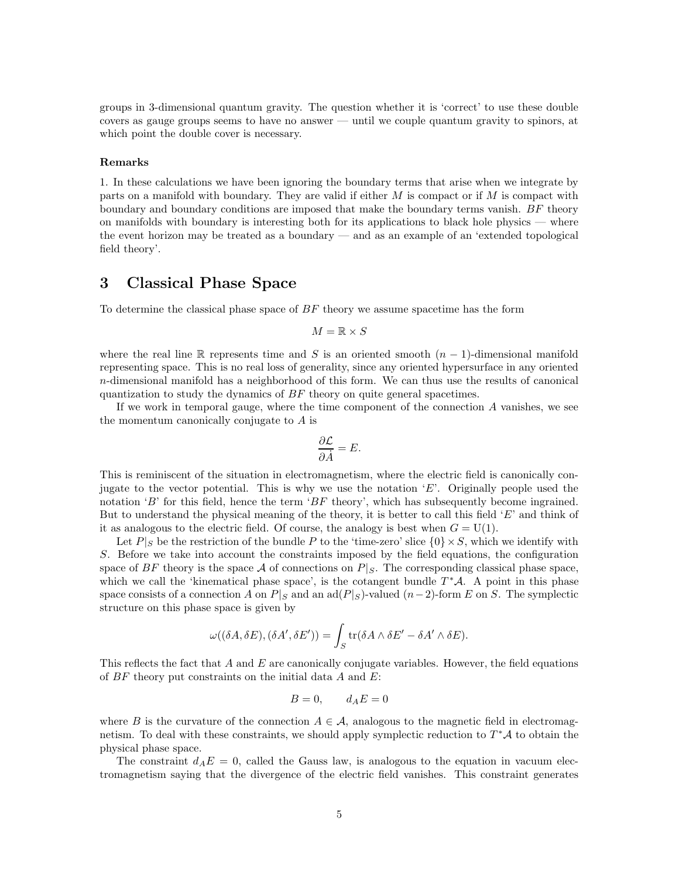groups in 3-dimensional quantum gravity. The question whether it is 'correct' to use these double covers as gauge groups seems to have no answer — until we couple quantum gravity to spinors, at which point the double cover is necessary.

#### Remarks

1. In these calculations we have been ignoring the boundary terms that arise when we integrate by parts on a manifold with boundary. They are valid if either  $M$  is compact or if  $M$  is compact with boundary and boundary conditions are imposed that make the boundary terms vanish. BF theory on manifolds with boundary is interesting both for its applications to black hole physics — where the event horizon may be treated as a boundary — and as an example of an 'extended topological field theory'.

# 3 Classical Phase Space

To determine the classical phase space of  $BF$  theory we assume spacetime has the form

$$
M=\mathbb{R}\times S
$$

where the real line R represents time and S is an oriented smooth  $(n-1)$ -dimensional manifold representing space. This is no real loss of generality, since any oriented hypersurface in any oriented  $n$ -dimensional manifold has a neighborhood of this form. We can thus use the results of canonical quantization to study the dynamics of BF theory on quite general spacetimes.

If we work in temporal gauge, where the time component of the connection  $A$  vanishes, we see the momentum canonically conjugate to A is

$$
\frac{\partial \mathcal{L}}{\partial \dot{A}} = E.
$$

This is reminiscent of the situation in electromagnetism, where the electric field is canonically conjugate to the vector potential. This is why we use the notation 'E'. Originally people used the notation 'B' for this field, hence the term 'BF theory', which has subsequently become ingrained. But to understand the physical meaning of the theory, it is better to call this field  $E'$  and think of it as analogous to the electric field. Of course, the analogy is best when  $G = U(1)$ .

Let  $P|_S$  be the restriction of the bundle P to the 'time-zero' slice  $\{0\} \times S$ , which we identify with S. Before we take into account the constraints imposed by the field equations, the configuration space of BF theory is the space A of connections on  $P|_S$ . The corresponding classical phase space, which we call the 'kinematical phase space', is the cotangent bundle  $T^*\mathcal{A}$ . A point in this phase space consists of a connection A on  $P|_S$  and an ad( $P|_S$ )-valued (n–2)-form E on S. The symplectic structure on this phase space is given by

$$
\omega((\delta A, \delta E), (\delta A', \delta E')) = \int_S \text{tr}(\delta A \wedge \delta E' - \delta A' \wedge \delta E).
$$

This reflects the fact that  $A$  and  $E$  are canonically conjugate variables. However, the field equations of  $BF$  theory put constraints on the initial data  $A$  and  $E$ :

$$
B = 0, \qquad d_A E = 0
$$

where B is the curvature of the connection  $A \in \mathcal{A}$ , analogous to the magnetic field in electromagnetism. To deal with these constraints, we should apply symplectic reduction to  $T^*\mathcal{A}$  to obtain the physical phase space.

The constraint  $d_A E = 0$ , called the Gauss law, is analogous to the equation in vacuum electromagnetism saying that the divergence of the electric field vanishes. This constraint generates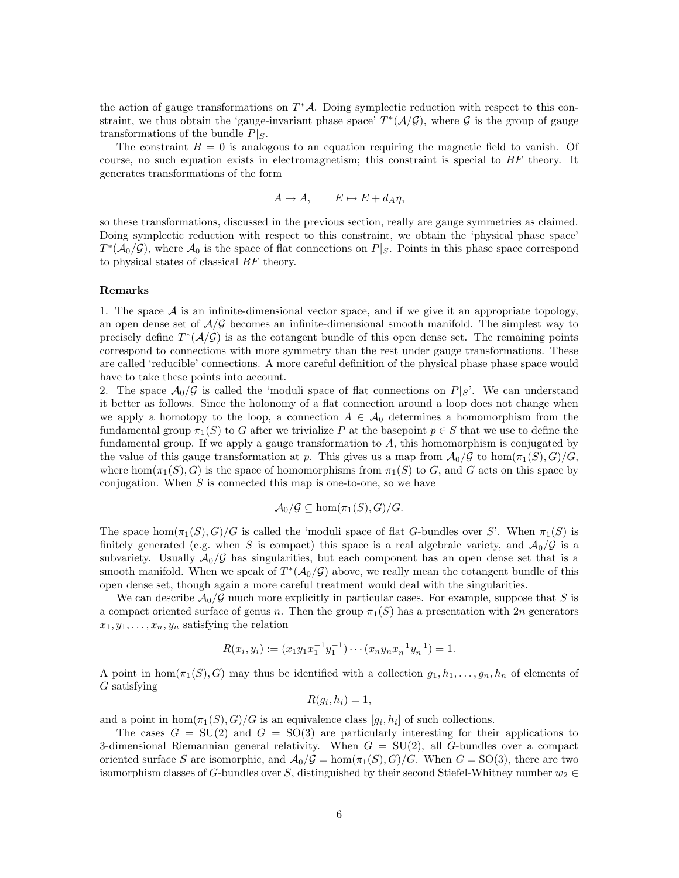the action of gauge transformations on  $T^*\mathcal{A}$ . Doing symplectic reduction with respect to this constraint, we thus obtain the 'gauge-invariant phase space'  $T^*(\mathcal{A}/\mathcal{G})$ , where  $\mathcal G$  is the group of gauge transformations of the bundle  $P|_S$ .

The constraint  $B = 0$  is analogous to an equation requiring the magnetic field to vanish. Of course, no such equation exists in electromagnetism; this constraint is special to BF theory. It generates transformations of the form

$$
A \mapsto A, \qquad E \mapsto E + d_A \eta,
$$

so these transformations, discussed in the previous section, really are gauge symmetries as claimed. Doing symplectic reduction with respect to this constraint, we obtain the 'physical phase space'  $T^*(A_0/G)$ , where  $A_0$  is the space of flat connections on  $P|_S$ . Points in this phase space correspond to physical states of classical BF theory.

#### Remarks

1. The space  $A$  is an infinite-dimensional vector space, and if we give it an appropriate topology, an open dense set of  $A/G$  becomes an infinite-dimensional smooth manifold. The simplest way to precisely define  $T^*(\mathcal{A}/\mathcal{G})$  is as the cotangent bundle of this open dense set. The remaining points correspond to connections with more symmetry than the rest under gauge transformations. These are called 'reducible' connections. A more careful definition of the physical phase phase space would have to take these points into account.

2. The space  $\mathcal{A}_0/\mathcal{G}$  is called the 'moduli space of flat connections on  $P|_S$ '. We can understand it better as follows. Since the holonomy of a flat connection around a loop does not change when we apply a homotopy to the loop, a connection  $A \in \mathcal{A}_0$  determines a homomorphism from the fundamental group  $\pi_1(S)$  to G after we trivialize P at the basepoint  $p \in S$  that we use to define the fundamental group. If we apply a gauge transformation to  $A$ , this homomorphism is conjugated by the value of this gauge transformation at p. This gives us a map from  $\mathcal{A}_0/\mathcal{G}$  to hom $(\pi_1(S), G)/G$ , where hom $(\pi_1(S), G)$  is the space of homomorphisms from  $\pi_1(S)$  to G, and G acts on this space by conjugation. When  $S$  is connected this map is one-to-one, so we have

$$
\mathcal{A}_0/\mathcal{G} \subseteq \hom(\pi_1(S), G)/G.
$$

The space hom $(\pi_1(S), G)/G$  is called the 'moduli space of flat G-bundles over S'. When  $\pi_1(S)$  is finitely generated (e.g. when S is compact) this space is a real algebraic variety, and  $A_0/G$  is a subvariety. Usually  $A_0/G$  has singularities, but each component has an open dense set that is a smooth manifold. When we speak of  $T^*(A_0/G)$  above, we really mean the cotangent bundle of this open dense set, though again a more careful treatment would deal with the singularities.

We can describe  $A_0/G$  much more explicitly in particular cases. For example, suppose that S is a compact oriented surface of genus n. Then the group  $\pi_1(S)$  has a presentation with 2n generators  $x_1, y_1, \ldots, x_n, y_n$  satisfying the relation

$$
R(x_i, y_i) := (x_1 y_1 x_1^{-1} y_1^{-1}) \cdots (x_n y_n x_n^{-1} y_n^{-1}) = 1.
$$

A point in hom $(\pi_1(S), G)$  may thus be identified with a collection  $g_1, h_1, \ldots, g_n, h_n$  of elements of G satisfying

$$
R(g_i, h_i) = 1,
$$

and a point in  $hom(\pi_1(S), G)/G$  is an equivalence class  $[g_i, h_i]$  of such collections.

The cases  $G = SU(2)$  and  $G = SO(3)$  are particularly interesting for their applications to 3-dimensional Riemannian general relativity. When  $G = SU(2)$ , all G-bundles over a compact oriented surface S are isomorphic, and  $\mathcal{A}_0/\mathcal{G} = \hom(\pi_1(S), G)/G$ . When  $G = SO(3)$ , there are two isomorphism classes of G-bundles over S, distinguished by their second Stiefel-Whitney number  $w_2 \in$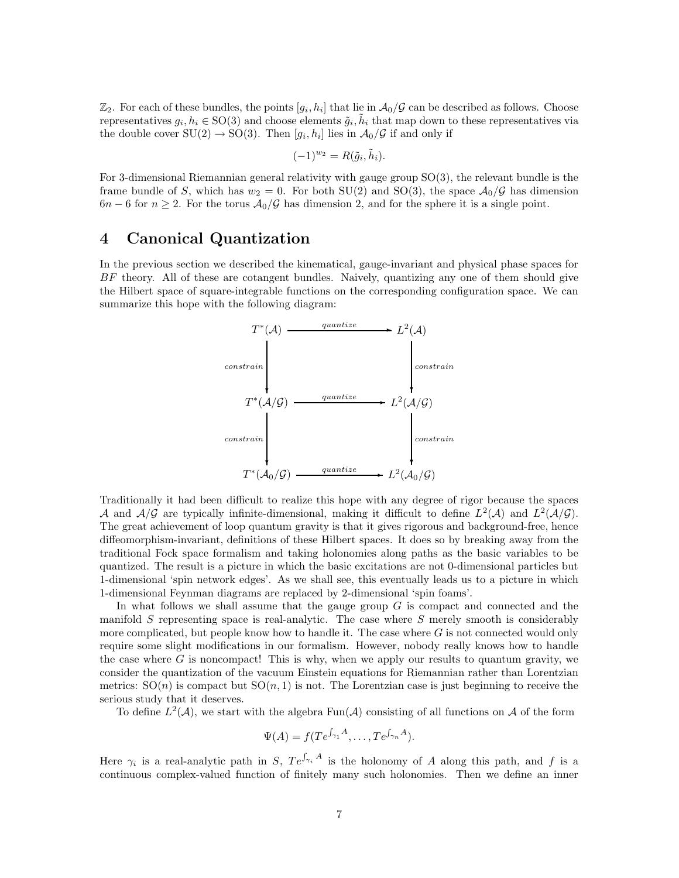$\mathbb{Z}_2$ . For each of these bundles, the points  $[g_i, h_i]$  that lie in  $\mathcal{A}_0/\mathcal{G}$  can be described as follows. Choose representatives  $g_i, h_i \in SO(3)$  and choose elements  $\tilde{g}_i, \tilde{h}_i$  that map down to these representatives via the double cover  $SU(2) \rightarrow SO(3)$ . Then  $[g_i, h_i]$  lies in  $\mathcal{A}_0/\mathcal{G}$  if and only if

$$
(-1)^{w_2} = R(\tilde{g}_i, \tilde{h}_i).
$$

For 3-dimensional Riemannian general relativity with gauge group SO(3), the relevant bundle is the frame bundle of S, which has  $w_2 = 0$ . For both SU(2) and SO(3), the space  $\mathcal{A}_0/\mathcal{G}$  has dimension  $6n-6$  for  $n \ge 2$ . For the torus  $\mathcal{A}_0/\mathcal{G}$  has dimension 2, and for the sphere it is a single point.

# 4 Canonical Quantization

In the previous section we described the kinematical, gauge-invariant and physical phase spaces for BF theory. All of these are cotangent bundles. Naively, quantizing any one of them should give the Hilbert space of square-integrable functions on the corresponding configuration space. We can summarize this hope with the following diagram:



Traditionally it had been difficult to realize this hope with any degree of rigor because the spaces A and  $A/G$  are typically infinite-dimensional, making it difficult to define  $L^2(A)$  and  $L^2(A/G)$ . The great achievement of loop quantum gravity is that it gives rigorous and background-free, hence diffeomorphism-invariant, definitions of these Hilbert spaces. It does so by breaking away from the traditional Fock space formalism and taking holonomies along paths as the basic variables to be quantized. The result is a picture in which the basic excitations are not 0-dimensional particles but 1-dimensional 'spin network edges'. As we shall see, this eventually leads us to a picture in which 1-dimensional Feynman diagrams are replaced by 2-dimensional 'spin foams'.

In what follows we shall assume that the gauge group  $G$  is compact and connected and the manifold  $S$  representing space is real-analytic. The case where  $S$  merely smooth is considerably more complicated, but people know how to handle it. The case where  $G$  is not connected would only require some slight modifications in our formalism. However, nobody really knows how to handle the case where  $G$  is noncompact! This is why, when we apply our results to quantum gravity, we consider the quantization of the vacuum Einstein equations for Riemannian rather than Lorentzian metrics:  $SO(n)$  is compact but  $SO(n, 1)$  is not. The Lorentzian case is just beginning to receive the serious study that it deserves.

To define  $L^2(\mathcal{A})$ , we start with the algebra  $\text{Fun}(\mathcal{A})$  consisting of all functions on  $\mathcal A$  of the form

$$
\Psi(A) = f(Te^{\int_{\gamma_1} A}, \dots, Te^{\int_{\gamma_n} A}).
$$

Here  $\gamma_i$  is a real-analytic path in S,  $Te^{\int_{\gamma_i} A}$  is the holonomy of A along this path, and f is a continuous complex-valued function of finitely many such holonomies. Then we define an inner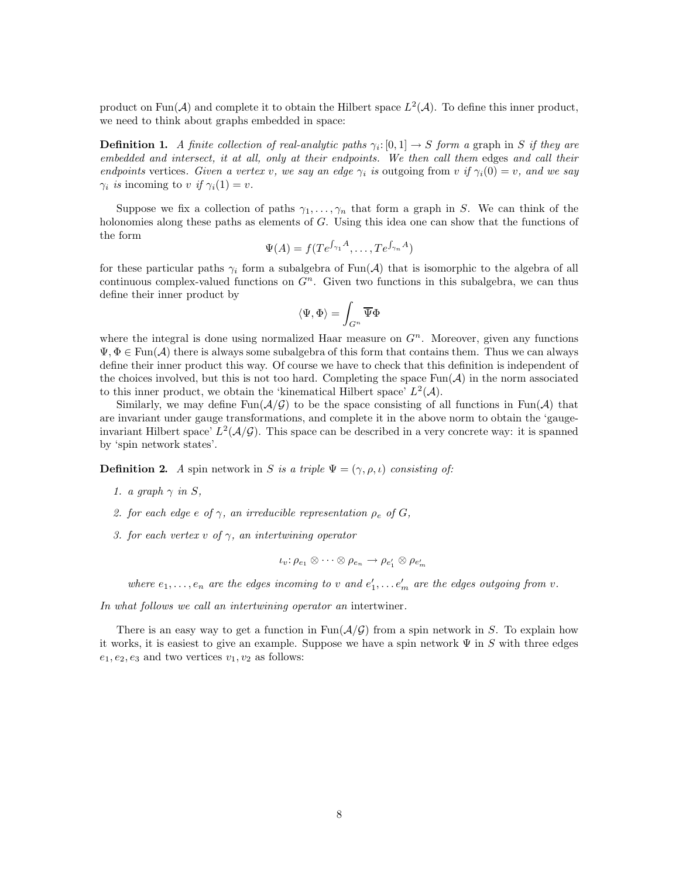product on Fun(A) and complete it to obtain the Hilbert space  $L^2(\mathcal{A})$ . To define this inner product, we need to think about graphs embedded in space:

**Definition 1.** A finite collection of real-analytic paths  $\gamma_i: [0,1] \to S$  form a graph in S if they are embedded and intersect, it at all, only at their endpoints. We then call them edges and call their endpoints vertices. Given a vertex v, we say an edge  $\gamma_i$  is outgoing from v if  $\gamma_i(0) = v$ , and we say  $\gamma_i$  is incoming to v if  $\gamma_i(1) = v$ .

Suppose we fix a collection of paths  $\gamma_1, \ldots, \gamma_n$  that form a graph in S. We can think of the holonomies along these paths as elements of G. Using this idea one can show that the functions of the form

$$
\Psi(A) = f(Te^{\int_{\gamma_1} A}, \dots, Te^{\int_{\gamma_n} A})
$$

for these particular paths  $\gamma_i$  form a subalgebra of Fun(A) that is isomorphic to the algebra of all continuous complex-valued functions on  $G<sup>n</sup>$ . Given two functions in this subalgebra, we can thus define their inner product by

$$
\langle \Psi,\Phi\rangle=\int_{G^n}\overline{\Psi}\Phi
$$

where the integral is done using normalized Haar measure on  $G<sup>n</sup>$ . Moreover, given any functions  $\Psi, \Phi \in \text{Fun}(\mathcal{A})$  there is always some subalgebra of this form that contains them. Thus we can always define their inner product this way. Of course we have to check that this definition is independent of the choices involved, but this is not too hard. Completing the space  $Fun(\mathcal{A})$  in the norm associated to this inner product, we obtain the 'kinematical Hilbert space'  $L^2(\mathcal{A})$ .

Similarly, we may define  $\text{Fun}(\mathcal{A}/\mathcal{G})$  to be the space consisting of all functions in  $\text{Fun}(\mathcal{A})$  that are invariant under gauge transformations, and complete it in the above norm to obtain the 'gaugeinvariant Hilbert space'  $L^2(\mathcal{A}/\mathcal{G})$ . This space can be described in a very concrete way: it is spanned by 'spin network states'.

**Definition 2.** A spin network in S is a triple  $\Psi = (\gamma, \rho, \iota)$  consisting of:

- 1. a graph  $\gamma$  in S,
- 2. for each edge e of  $\gamma$ , an irreducible representation  $\rho_e$  of  $G$ ,
- 3. for each vertex v of  $\gamma$ , an intertwining operator

$$
\iota_v \colon \rho_{e_1} \otimes \cdots \otimes \rho_{e_n} \to \rho_{e'_1} \otimes \rho_{e'_m}
$$

where  $e_1, \ldots, e_n$  are the edges incoming to v and  $e'_1, \ldots e'_m$  are the edges outgoing from v.

In what follows we call an intertwining operator an intertwiner.

There is an easy way to get a function in  $Fun(\mathcal{A}/\mathcal{G})$  from a spin network in S. To explain how it works, it is easiest to give an example. Suppose we have a spin network  $\Psi$  in S with three edges  $e_1, e_2, e_3$  and two vertices  $v_1, v_2$  as follows: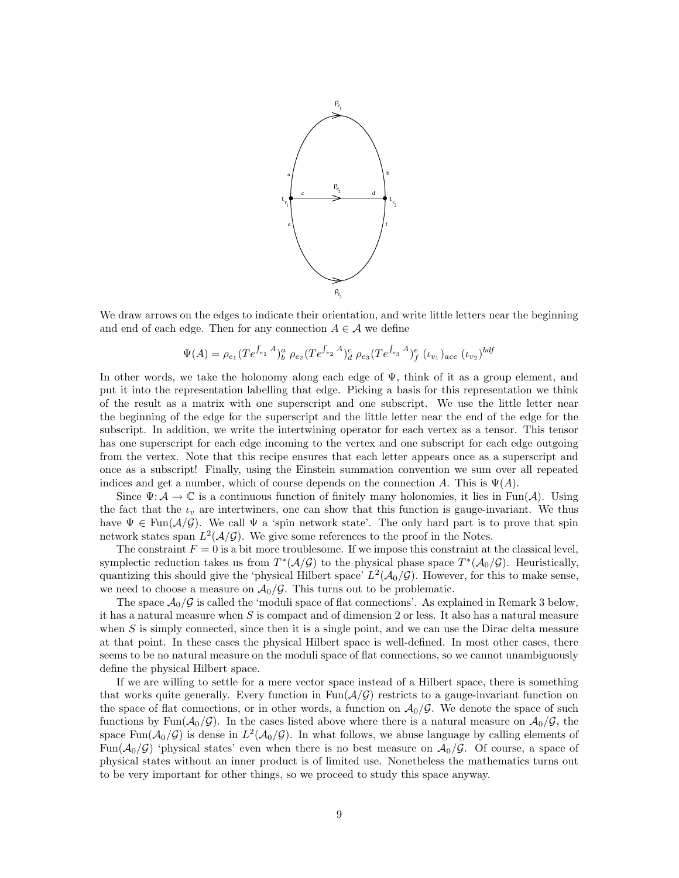

We draw arrows on the edges to indicate their orientation, and write little letters near the beginning and end of each edge. Then for any connection  $A \in \mathcal{A}$  we define

$$
\Psi(A) = \rho_{e_1} (Te^{\int_{e_1} A})^a_b \rho_{e_2} (Te^{\int_{e_2} A})^c_d \rho_{e_3} (Te^{\int_{e_3} A})^e_f (\iota_{v_1})_{ace} (\iota_{v_2})^{bdf}
$$

In other words, we take the holonomy along each edge of  $\Psi$ , think of it as a group element, and put it into the representation labelling that edge. Picking a basis for this representation we think of the result as a matrix with one superscript and one subscript. We use the little letter near the beginning of the edge for the superscript and the little letter near the end of the edge for the subscript. In addition, we write the intertwining operator for each vertex as a tensor. This tensor has one superscript for each edge incoming to the vertex and one subscript for each edge outgoing from the vertex. Note that this recipe ensures that each letter appears once as a superscript and once as a subscript! Finally, using the Einstein summation convention we sum over all repeated indices and get a number, which of course depends on the connection A. This is  $\Psi(A)$ .

Since  $\Psi: \mathcal{A} \to \mathbb{C}$  is a continuous function of finitely many holonomies, it lies in Fun $(\mathcal{A})$ . Using the fact that the  $i_v$  are intertwiners, one can show that this function is gauge-invariant. We thus have  $\Psi \in \text{Fun}(\mathcal{A}/\mathcal{G})$ . We call  $\Psi$  a 'spin network state'. The only hard part is to prove that spin network states span  $L^2(\mathcal{A}/\mathcal{G})$ . We give some references to the proof in the Notes.

The constraint  $F = 0$  is a bit more troublesome. If we impose this constraint at the classical level, symplectic reduction takes us from  $T^*(\mathcal{A}/\mathcal{G})$  to the physical phase space  $T^*(\mathcal{A}_0/\mathcal{G})$ . Heuristically, quantizing this should give the 'physical Hilbert space'  $L^2(\mathcal{A}_0/\mathcal{G})$ . However, for this to make sense, we need to choose a measure on  $\mathcal{A}_0/\mathcal{G}$ . This turns out to be problematic.

The space  $\mathcal{A}_0/\mathcal{G}$  is called the 'moduli space of flat connections'. As explained in Remark 3 below, it has a natural measure when  $S$  is compact and of dimension 2 or less. It also has a natural measure when S is simply connected, since then it is a single point, and we can use the Dirac delta measure at that point. In these cases the physical Hilbert space is well-defined. In most other cases, there seems to be no natural measure on the moduli space of flat connections, so we cannot unambiguously define the physical Hilbert space.

If we are willing to settle for a mere vector space instead of a Hilbert space, there is something that works quite generally. Every function in  $Fun(\mathcal{A}/\mathcal{G})$  restricts to a gauge-invariant function on the space of flat connections, or in other words, a function on  $\mathcal{A}_0/\mathcal{G}$ . We denote the space of such functions by Fun( $A_0/G$ ). In the cases listed above where there is a natural measure on  $A_0/G$ , the space  $\text{Fun}(\mathcal{A}_0/\mathcal{G})$  is dense in  $L^2(\mathcal{A}_0/\mathcal{G})$ . In what follows, we abuse language by calling elements of Fun( $\mathcal{A}_0/\mathcal{G}$ ) 'physical states' even when there is no best measure on  $\mathcal{A}_0/\mathcal{G}$ . Of course, a space of physical states without an inner product is of limited use. Nonetheless the mathematics turns out to be very important for other things, so we proceed to study this space anyway.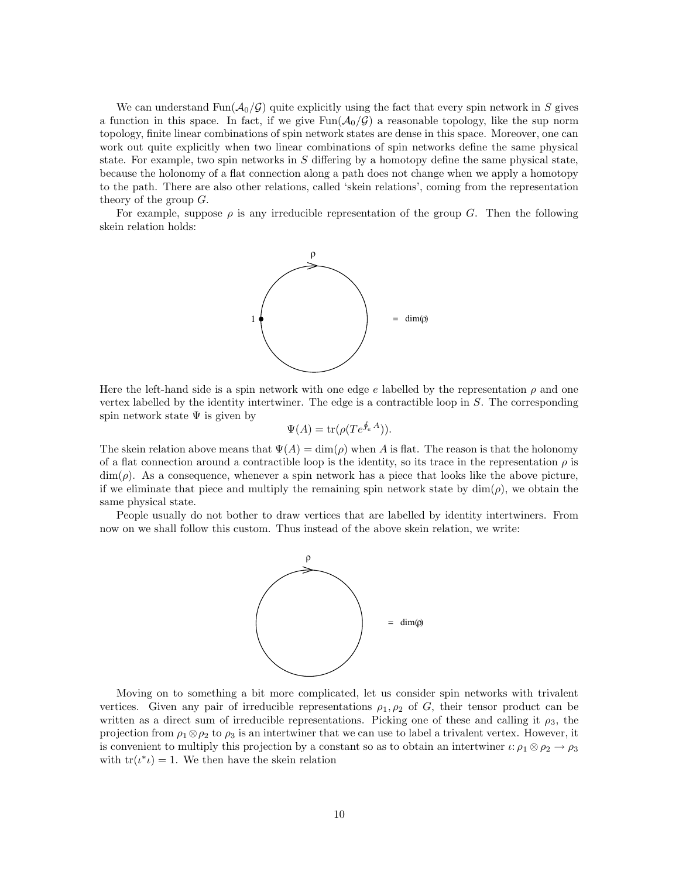We can understand Fun $(\mathcal{A}_0/\mathcal{G})$  quite explicitly using the fact that every spin network in S gives a function in this space. In fact, if we give  $\text{Fun}(\mathcal{A}_0/\mathcal{G})$  a reasonable topology, like the sup norm topology, finite linear combinations of spin network states are dense in this space. Moreover, one can work out quite explicitly when two linear combinations of spin networks define the same physical state. For example, two spin networks in  $S$  differing by a homotopy define the same physical state. because the holonomy of a flat connection along a path does not change when we apply a homotopy to the path. There are also other relations, called 'skein relations', coming from the representation theory of the group  $G$ .

For example, suppose  $\rho$  is any irreducible representation of the group G. Then the following skein relation holds:



Here the left-hand side is a spin network with one edge e labelled by the representation  $\rho$  and one vertex labelled by the identity intertwiner. The edge is a contractible loop in S. The corresponding spin network state  $\Psi$  is given by

$$
\Psi(A) = \text{tr}(\rho(T e^{\oint_e A})).
$$

The skein relation above means that  $\Psi(A) = \dim(\rho)$  when A is flat. The reason is that the holonomy of a flat connection around a contractible loop is the identity, so its trace in the representation  $\rho$  is  $\dim(\rho)$ . As a consequence, whenever a spin network has a piece that looks like the above picture, if we eliminate that piece and multiply the remaining spin network state by  $\dim(\rho)$ , we obtain the same physical state.

People usually do not bother to draw vertices that are labelled by identity intertwiners. From now on we shall follow this custom. Thus instead of the above skein relation, we write:



Moving on to something a bit more complicated, let us consider spin networks with trivalent vertices. Given any pair of irreducible representations  $\rho_1, \rho_2$  of G, their tensor product can be written as a direct sum of irreducible representations. Picking one of these and calling it  $\rho_3$ , the projection from  $\rho_1 \otimes \rho_2$  to  $\rho_3$  is an intertwiner that we can use to label a trivalent vertex. However, it is convenient to multiply this projection by a constant so as to obtain an intertwiner  $\iota: \rho_1 \otimes \rho_2 \to \rho_3$ with  $tr(\iota^*\iota) = 1$ . We then have the skein relation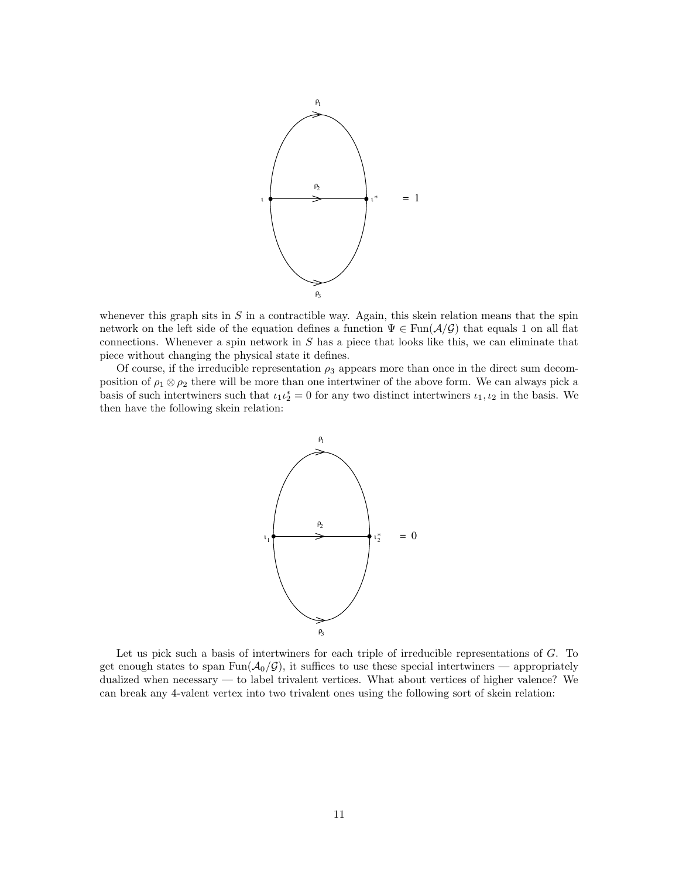

whenever this graph sits in  $S$  in a contractible way. Again, this skein relation means that the spin network on the left side of the equation defines a function  $\Psi \in \text{Fun}(\mathcal{A}/\mathcal{G})$  that equals 1 on all flat connections. Whenever a spin network in  $S$  has a piece that looks like this, we can eliminate that piece without changing the physical state it defines.

Of course, if the irreducible representation  $\rho_3$  appears more than once in the direct sum decomposition of  $\rho_1 \otimes \rho_2$  there will be more than one intertwiner of the above form. We can always pick a basis of such intertwiners such that  $\iota_1 \iota_2^* = 0$  for any two distinct intertwiners  $\iota_1, \iota_2$  in the basis. We then have the following skein relation:



Let us pick such a basis of intertwiners for each triple of irreducible representations of G. To get enough states to span  $\text{Fun}(\mathcal{A}_0/\mathcal{G})$ , it suffices to use these special intertwiners — appropriately dualized when necessary — to label trivalent vertices. What about vertices of higher valence? We can break any 4-valent vertex into two trivalent ones using the following sort of skein relation: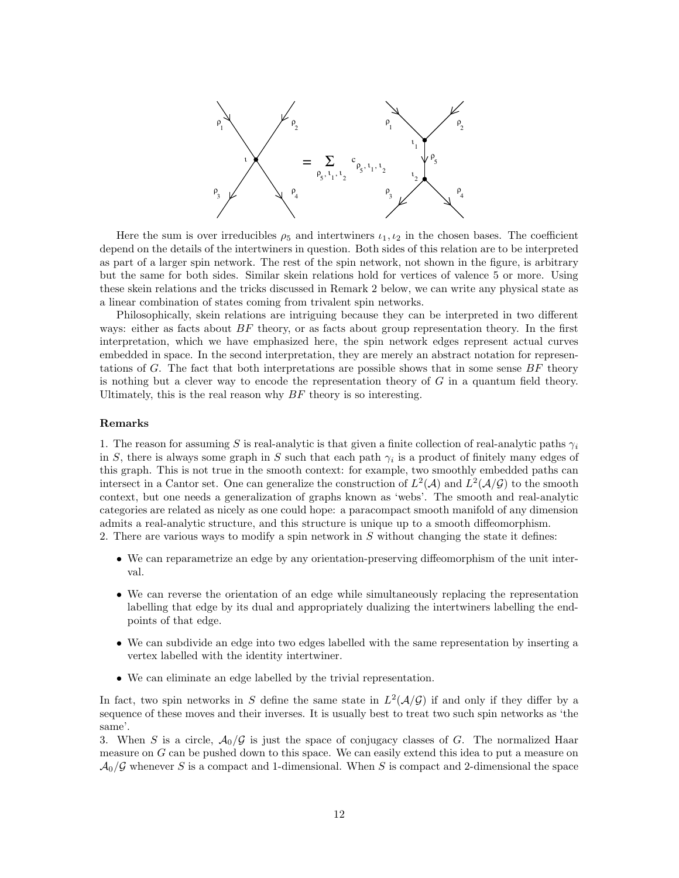

Here the sum is over irreducibles  $\rho_5$  and intertwiners  $\iota_1, \iota_2$  in the chosen bases. The coefficient depend on the details of the intertwiners in question. Both sides of this relation are to be interpreted as part of a larger spin network. The rest of the spin network, not shown in the figure, is arbitrary but the same for both sides. Similar skein relations hold for vertices of valence 5 or more. Using these skein relations and the tricks discussed in Remark 2 below, we can write any physical state as a linear combination of states coming from trivalent spin networks.

Philosophically, skein relations are intriguing because they can be interpreted in two different ways: either as facts about  $BF$  theory, or as facts about group representation theory. In the first interpretation, which we have emphasized here, the spin network edges represent actual curves embedded in space. In the second interpretation, they are merely an abstract notation for representations of G. The fact that both interpretations are possible shows that in some sense  $BF$  theory is nothing but a clever way to encode the representation theory of  $G$  in a quantum field theory. Ultimately, this is the real reason why  $BF$  theory is so interesting.

#### Remarks

1. The reason for assuming S is real-analytic is that given a finite collection of real-analytic paths  $\gamma_i$ in S, there is always some graph in S such that each path  $\gamma_i$  is a product of finitely many edges of this graph. This is not true in the smooth context: for example, two smoothly embedded paths can intersect in a Cantor set. One can generalize the construction of  $L^2(\mathcal{A})$  and  $L^2(\mathcal{A}/\mathcal{G})$  to the smooth context, but one needs a generalization of graphs known as 'webs'. The smooth and real-analytic categories are related as nicely as one could hope: a paracompact smooth manifold of any dimension admits a real-analytic structure, and this structure is unique up to a smooth diffeomorphism.

2. There are various ways to modify a spin network in  $S$  without changing the state it defines:

- We can reparametrize an edge by any orientation-preserving diffeomorphism of the unit interval.
- We can reverse the orientation of an edge while simultaneously replacing the representation labelling that edge by its dual and appropriately dualizing the intertwiners labelling the endpoints of that edge.
- We can subdivide an edge into two edges labelled with the same representation by inserting a vertex labelled with the identity intertwiner.
- We can eliminate an edge labelled by the trivial representation.

In fact, two spin networks in S define the same state in  $L^2(\mathcal{A}/\mathcal{G})$  if and only if they differ by a sequence of these moves and their inverses. It is usually best to treat two such spin networks as 'the same'.

3. When S is a circle,  $\mathcal{A}_0/\mathcal{G}$  is just the space of conjugacy classes of G. The normalized Haar measure on G can be pushed down to this space. We can easily extend this idea to put a measure on  $\mathcal{A}_0/\mathcal{G}$  whenever S is a compact and 1-dimensional. When S is compact and 2-dimensional the space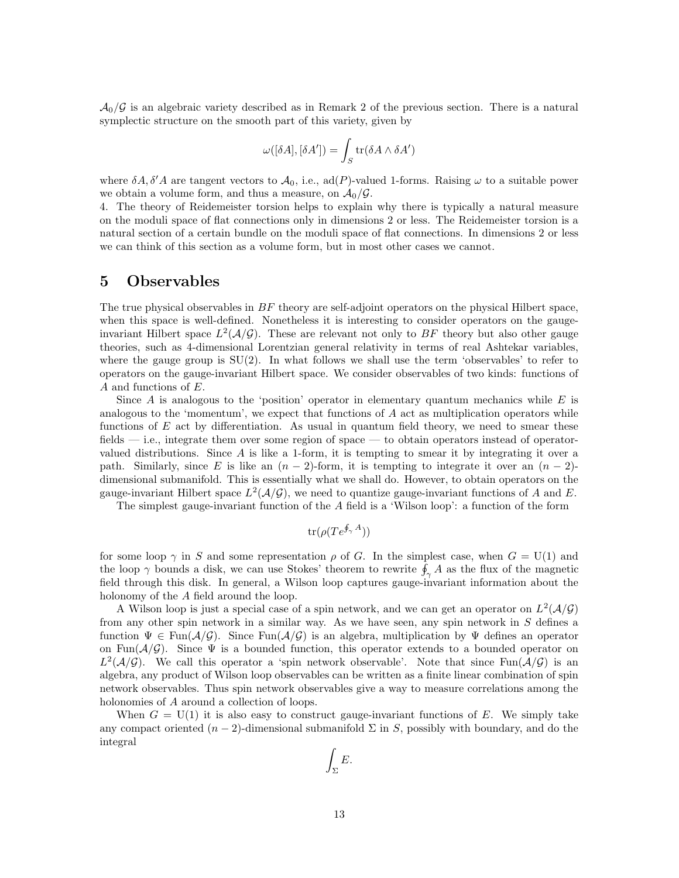$\mathcal{A}_0/\mathcal{G}$  is an algebraic variety described as in Remark 2 of the previous section. There is a natural symplectic structure on the smooth part of this variety, given by

$$
\omega([\delta A], [\delta A']) = \int_S \text{tr}(\delta A \wedge \delta A')
$$

where  $\delta A$ ,  $\delta' A$  are tangent vectors to  $\mathcal{A}_0$ , i.e., ad(P)-valued 1-forms. Raising  $\omega$  to a suitable power we obtain a volume form, and thus a measure, on  $\mathcal{A}_0/\mathcal{G}$ .

4. The theory of Reidemeister torsion helps to explain why there is typically a natural measure on the moduli space of flat connections only in dimensions 2 or less. The Reidemeister torsion is a natural section of a certain bundle on the moduli space of flat connections. In dimensions 2 or less we can think of this section as a volume form, but in most other cases we cannot.

## 5 Observables

The true physical observables in  $BF$  theory are self-adjoint operators on the physical Hilbert space, when this space is well-defined. Nonetheless it is interesting to consider operators on the gaugeinvariant Hilbert space  $L^2(\mathcal{A}/\mathcal{G})$ . These are relevant not only to  $BF$  theory but also other gauge theories, such as 4-dimensional Lorentzian general relativity in terms of real Ashtekar variables, where the gauge group is  $SU(2)$ . In what follows we shall use the term 'observables' to refer to operators on the gauge-invariant Hilbert space. We consider observables of two kinds: functions of A and functions of E.

Since A is analogous to the 'position' operator in elementary quantum mechanics while  $E$  is analogous to the 'momentum', we expect that functions of  $A$  act as multiplication operators while functions of  $E$  act by differentiation. As usual in quantum field theory, we need to smear these fields — i.e., integrate them over some region of space — to obtain operators instead of operatorvalued distributions. Since A is like a 1-form, it is tempting to smear it by integrating it over a path. Similarly, since E is like an  $(n-2)$ -form, it is tempting to integrate it over an  $(n-2)$ dimensional submanifold. This is essentially what we shall do. However, to obtain operators on the gauge-invariant Hilbert space  $L^2(\mathcal{A}/\mathcal{G})$ , we need to quantize gauge-invariant functions of A and E.

The simplest gauge-invariant function of the A field is a 'Wilson loop': a function of the form

$$
\operatorname{tr}(\rho(T e^{\oint_{\gamma} A}))
$$

for some loop  $\gamma$  in S and some representation  $\rho$  of G. In the simplest case, when  $G = U(1)$  and the loop  $\gamma$  bounds a disk, we can use Stokes' theorem to rewrite  $\oint_{\gamma} A$  as the flux of the magnetic field through this disk. In general, a Wilson loop captures gauge-invariant information about the holonomy of the A field around the loop.

A Wilson loop is just a special case of a spin network, and we can get an operator on  $L^2(\mathcal{A}/\mathcal{G})$ from any other spin network in a similar way. As we have seen, any spin network in S defines a function  $\Psi \in \text{Fun}(\mathcal{A}/\mathcal{G})$ . Since  $\text{Fun}(\mathcal{A}/\mathcal{G})$  is an algebra, multiplication by  $\Psi$  defines an operator on Fun( $\mathcal{A}/\mathcal{G}$ ). Since  $\Psi$  is a bounded function, this operator extends to a bounded operator on  $L^2(\mathcal{A}/\mathcal{G})$ . We call this operator a 'spin network observable'. Note that since  $\text{Fun}(\mathcal{A}/\mathcal{G})$  is an algebra, any product of Wilson loop observables can be written as a finite linear combination of spin network observables. Thus spin network observables give a way to measure correlations among the holonomies of A around a collection of loops.

When  $G = U(1)$  it is also easy to construct gauge-invariant functions of E. We simply take any compact oriented  $(n-2)$ -dimensional submanifold  $\Sigma$  in S, possibly with boundary, and do the integral

$$
\int_{\Sigma} E.
$$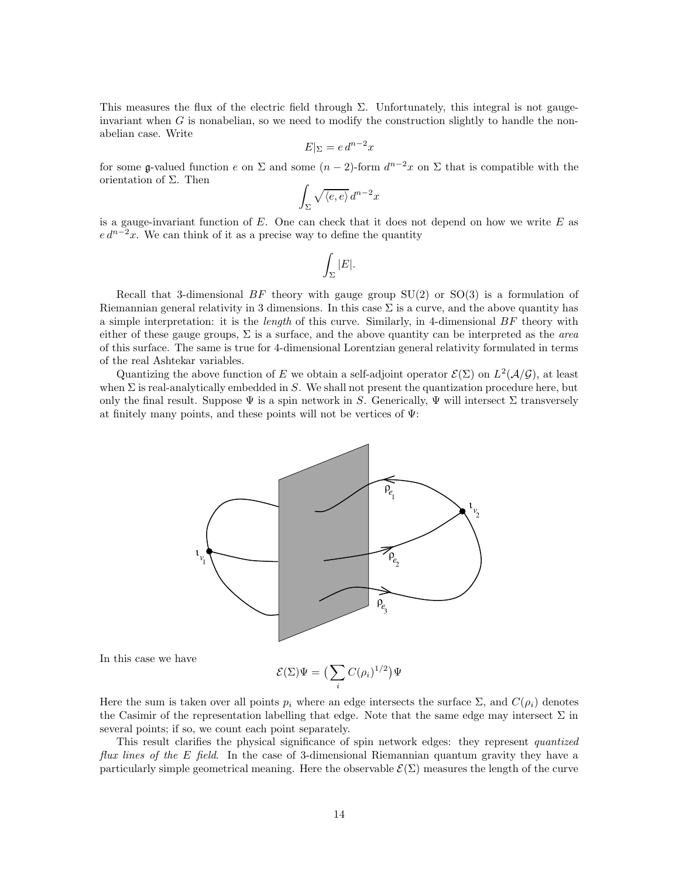This measures the flux of the electric field through  $\Sigma$ . Unfortunately, this integral is not gaugeinvariant when  $G$  is nonabelian, so we need to modify the construction slightly to handle the nonabelian case. Write

$$
E|_{\Sigma} = e d^{n-2} x
$$

for some g-valued function e on  $\Sigma$  and some  $(n-2)$ -form  $d^{n-2}x$  on  $\Sigma$  that is compatible with the orientation of  $\Sigma$ . Then

$$
\int_\Sigma \sqrt{\langle e,e\rangle}\, d^{n-2}x
$$

is a gauge-invariant function of  $E$ . One can check that it does not depend on how we write  $E$  as  $e d^{n-2}x$ . We can think of it as a precise way to define the quantity

$$
\int_{\Sigma}|E|.
$$

Recall that 3-dimensional BF theory with gauge group  $SU(2)$  or  $SO(3)$  is a formulation of Riemannian general relativity in 3 dimensions. In this case  $\Sigma$  is a curve, and the above quantity has a simple interpretation: it is the *length* of this curve. Similarly, in 4-dimensional  $BF$  theory with either of these gauge groups,  $\Sigma$  is a surface, and the above quantity can be interpreted as the *area* of this surface. The same is true for 4-dimensional Lorentzian general relativity formulated in terms of the real Ashtekar variables.

Quantizing the above function of E we obtain a self-adjoint operator  $\mathcal{E}(\Sigma)$  on  $L^2(\mathcal{A}/\mathcal{G})$ , at least when  $\Sigma$  is real-analytically embedded in S. We shall not present the quantization procedure here, but only the final result. Suppose  $\Psi$  is a spin network in S. Generically,  $\Psi$  will intersect  $\Sigma$  transversely at finitely many points, and these points will not be vertices of  $\Psi$ :



In this case we have

$$
\mathcal{E}(\Sigma)\Psi = \big(\sum_i C(\rho_i)^{1/2}\big)\Psi
$$

Here the sum is taken over all points  $p_i$  where an edge intersects the surface  $\Sigma$ , and  $C(\rho_i)$  denotes the Casimir of the representation labelling that edge. Note that the same edge may intersect  $\Sigma$  in several points; if so, we count each point separately.

This result clarifies the physical significance of spin network edges: they represent quantized flux lines of the E field. In the case of 3-dimensional Riemannian quantum gravity they have a particularly simple geometrical meaning. Here the observable  $\mathcal{E}(\Sigma)$  measures the length of the curve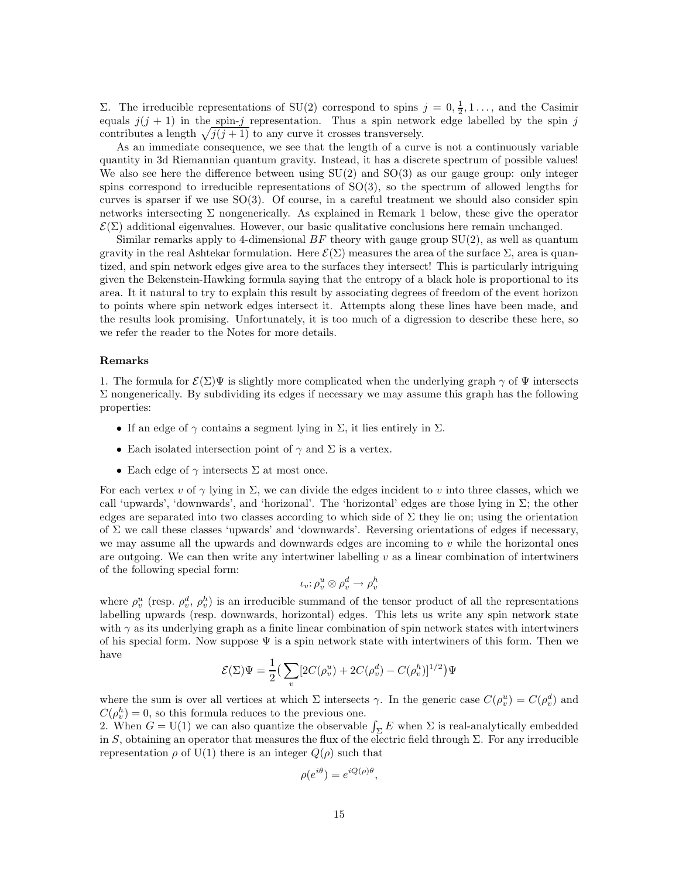Σ. The irreducible representations of SU(2) correspond to spins  $j = 0, \frac{1}{2}, 1, \ldots$ , and the Casimir equals  $j(j + 1)$  in the spin-j representation. Thus a spin network edge labelled by the spin j contributes a length  $\sqrt{j(j + 1)}$  to any curve it crosses transversely.

As an immediate consequence, we see that the length of a curve is not a continuously variable quantity in 3d Riemannian quantum gravity. Instead, it has a discrete spectrum of possible values! We also see here the difference between using  $SU(2)$  and  $SO(3)$  as our gauge group: only integer spins correspond to irreducible representations of  $SO(3)$ , so the spectrum of allowed lengths for curves is sparser if we use  $SO(3)$ . Of course, in a careful treatment we should also consider spin networks intersecting  $\Sigma$  nongenerically. As explained in Remark 1 below, these give the operator  $\mathcal{E}(\Sigma)$  additional eigenvalues. However, our basic qualitative conclusions here remain unchanged.

Similar remarks apply to 4-dimensional  $BF$  theory with gauge group  $SU(2)$ , as well as quantum gravity in the real Ashtekar formulation. Here  $\mathcal{E}(\Sigma)$  measures the area of the surface  $\Sigma$ , area is quantized, and spin network edges give area to the surfaces they intersect! This is particularly intriguing given the Bekenstein-Hawking formula saying that the entropy of a black hole is proportional to its area. It it natural to try to explain this result by associating degrees of freedom of the event horizon to points where spin network edges intersect it. Attempts along these lines have been made, and the results look promising. Unfortunately, it is too much of a digression to describe these here, so we refer the reader to the Notes for more details.

#### Remarks

1. The formula for  $\mathcal{E}(\Sigma)\Psi$  is slightly more complicated when the underlying graph  $\gamma$  of  $\Psi$  intersects  $\Sigma$  nongenerically. By subdividing its edges if necessary we may assume this graph has the following properties:

- If an edge of  $\gamma$  contains a segment lying in  $\Sigma$ , it lies entirely in  $\Sigma$ .
- Each isolated intersection point of  $\gamma$  and  $\Sigma$  is a vertex.
- Each edge of  $\gamma$  intersects  $\Sigma$  at most once.

For each vertex v of  $\gamma$  lying in  $\Sigma$ , we can divide the edges incident to v into three classes, which we call 'upwards', 'downwards', and 'horizonal'. The 'horizontal' edges are those lying in Σ; the other edges are separated into two classes according to which side of  $\Sigma$  they lie on; using the orientation of  $\Sigma$  we call these classes 'upwards' and 'downwards'. Reversing orientations of edges if necessary, we may assume all the upwards and downwards edges are incoming to  $v$  while the horizontal ones are outgoing. We can then write any intertwiner labelling  $v$  as a linear combination of intertwiners of the following special form:

$$
\iota_v \colon \rho_v^u \otimes \rho_v^d \to \rho_v^h
$$

where  $\rho_v^u$  (resp.  $\rho_v^d$ ,  $\rho_v^h$ ) is an irreducible summand of the tensor product of all the representations labelling upwards (resp. downwards, horizontal) edges. This lets us write any spin network state with  $\gamma$  as its underlying graph as a finite linear combination of spin network states with intertwiners of his special form. Now suppose  $\Psi$  is a spin network state with intertwiners of this form. Then we have

$$
\mathcal{E}(\Sigma)\Psi = \frac{1}{2} \left( \sum_{v} [2C(\rho_v^u) + 2C(\rho_v^d) - C(\rho_v^h)]^{1/2} \right) \Psi
$$

where the sum is over all vertices at which  $\Sigma$  intersects  $\gamma$ . In the generic case  $C(\rho_v^u) = C(\rho_v^d)$  and  $C(\rho_v^h) = 0$ , so this formula reduces to the previous one.

2. When  $G = U(1)$  we can also quantize the observable  $\int_{\Sigma} E$  when  $\Sigma$  is real-analytically embedded in S, obtaining an operator that measures the flux of the electric field through  $\Sigma$ . For any irreducible representation  $\rho$  of U(1) there is an integer  $Q(\rho)$  such that

$$
\rho(e^{i\theta}) = e^{iQ(\rho)\theta},
$$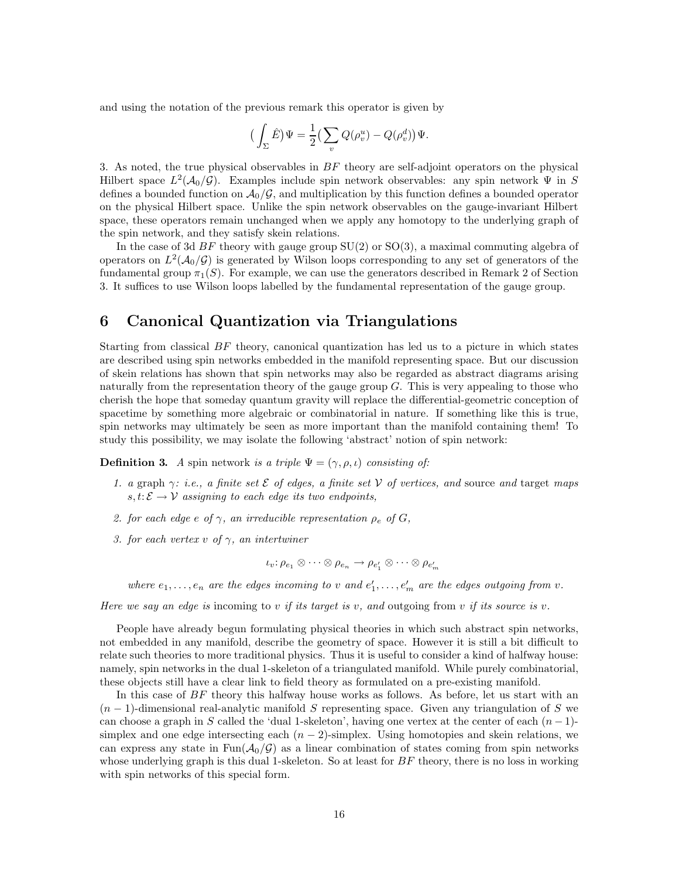and using the notation of the previous remark this operator is given by

$$
\big(\int_\Sigma \hat E\big)\Psi=\frac{1}{2}\big(\sum_v Q(\rho_v^u)-Q(\rho_v^d)\big)\Psi.
$$

3. As noted, the true physical observables in  $BF$  theory are self-adjoint operators on the physical Hilbert space  $L^2(\mathcal{A}_0/\mathcal{G})$ . Examples include spin network observables: any spin network  $\Psi$  in S defines a bounded function on  $A_0/G$ , and multiplication by this function defines a bounded operator on the physical Hilbert space. Unlike the spin network observables on the gauge-invariant Hilbert space, these operators remain unchanged when we apply any homotopy to the underlying graph of the spin network, and they satisfy skein relations.

In the case of 3d  $BF$  theory with gauge group  $SU(2)$  or  $SO(3)$ , a maximal commuting algebra of operators on  $L^2(\mathcal{A}_0/\mathcal{G})$  is generated by Wilson loops corresponding to any set of generators of the fundamental group  $\pi_1(S)$ . For example, we can use the generators described in Remark 2 of Section 3. It suffices to use Wilson loops labelled by the fundamental representation of the gauge group.

# 6 Canonical Quantization via Triangulations

Starting from classical  $BF$  theory, canonical quantization has led us to a picture in which states are described using spin networks embedded in the manifold representing space. But our discussion of skein relations has shown that spin networks may also be regarded as abstract diagrams arising naturally from the representation theory of the gauge group  $G$ . This is very appealing to those who cherish the hope that someday quantum gravity will replace the differential-geometric conception of spacetime by something more algebraic or combinatorial in nature. If something like this is true, spin networks may ultimately be seen as more important than the manifold containing them! To study this possibility, we may isolate the following 'abstract' notion of spin network:

**Definition 3.** A spin network is a triple  $\Psi = (\gamma, \rho, \iota)$  consisting of:

- 1. a graph  $\gamma$ : i.e., a finite set  $\mathcal E$  of edges, a finite set  $\mathcal V$  of vertices, and source and target maps  $s,t:\mathcal{E}\to\mathcal{V}$  assigning to each edge its two endpoints,
- 2. for each edge e of  $\gamma$ , an irreducible representation  $\rho_e$  of  $G$ ,
- 3. for each vertex v of  $\gamma$ , an intertwiner

$$
\iota_v \colon \rho_{e_1} \otimes \cdots \otimes \rho_{e_n} \to \rho_{e'_1} \otimes \cdots \otimes \rho_{e'_m}
$$

where  $e_1, \ldots, e_n$  are the edges incoming to v and  $e'_1, \ldots, e'_m$  are the edges outgoing from v.

Here we say an edge is incoming to v if its target is v, and outgoing from v if its source is v.

People have already begun formulating physical theories in which such abstract spin networks, not embedded in any manifold, describe the geometry of space. However it is still a bit difficult to relate such theories to more traditional physics. Thus it is useful to consider a kind of halfway house: namely, spin networks in the dual 1-skeleton of a triangulated manifold. While purely combinatorial, these objects still have a clear link to field theory as formulated on a pre-existing manifold.

In this case of BF theory this halfway house works as follows. As before, let us start with an  $(n-1)$ -dimensional real-analytic manifold S representing space. Given any triangulation of S we can choose a graph in S called the 'dual 1-skeleton', having one vertex at the center of each  $(n-1)$ simplex and one edge intersecting each  $(n-2)$ -simplex. Using homotopies and skein relations, we can express any state in  $\text{Fun}(\mathcal{A}_0/\mathcal{G})$  as a linear combination of states coming from spin networks whose underlying graph is this dual 1-skeleton. So at least for  $BF$  theory, there is no loss in working with spin networks of this special form.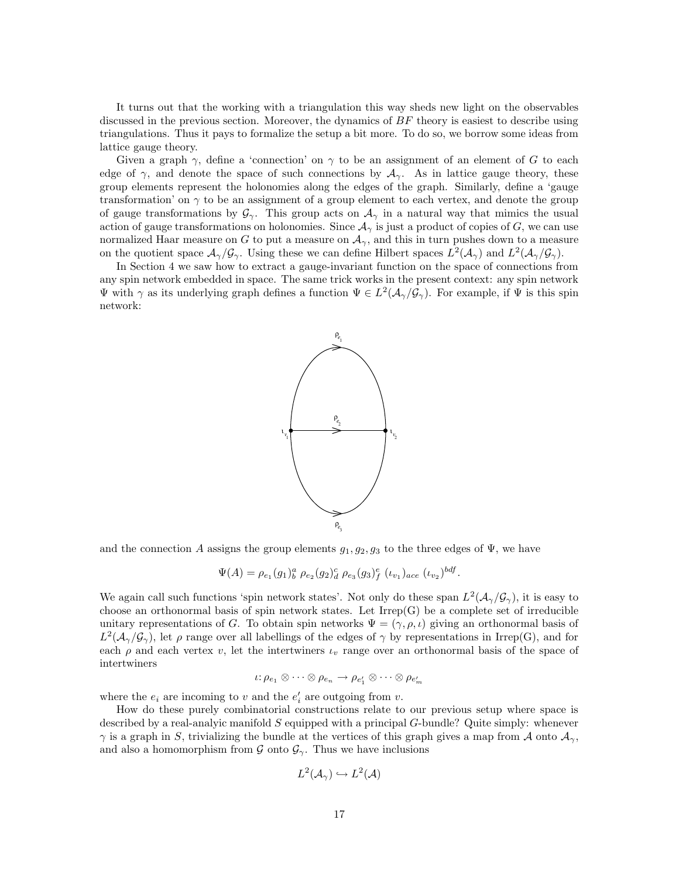It turns out that the working with a triangulation this way sheds new light on the observables discussed in the previous section. Moreover, the dynamics of  $BF$  theory is easiest to describe using triangulations. Thus it pays to formalize the setup a bit more. To do so, we borrow some ideas from lattice gauge theory.

Given a graph  $\gamma$ , define a 'connection' on  $\gamma$  to be an assignment of an element of G to each edge of  $\gamma$ , and denote the space of such connections by  $\mathcal{A}_{\gamma}$ . As in lattice gauge theory, these group elements represent the holonomies along the edges of the graph. Similarly, define a 'gauge transformation' on  $\gamma$  to be an assignment of a group element to each vertex, and denote the group of gauge transformations by  $\mathcal{G}_{\gamma}$ . This group acts on  $\mathcal{A}_{\gamma}$  in a natural way that mimics the usual action of gauge transformations on holonomies. Since  $A_{\gamma}$  is just a product of copies of G, we can use normalized Haar measure on G to put a measure on  $A_{\gamma}$ , and this in turn pushes down to a measure on the quotient space  $\mathcal{A}_{\gamma}/\mathcal{G}_{\gamma}$ . Using these we can define Hilbert spaces  $L^2(\mathcal{A}_{\gamma})$  and  $L^2(\mathcal{A}_{\gamma}/\mathcal{G}_{\gamma})$ .

In Section 4 we saw how to extract a gauge-invariant function on the space of connections from any spin network embedded in space. The same trick works in the present context: any spin network  $\Psi$  with  $\gamma$  as its underlying graph defines a function  $\Psi \in L^2(\mathcal{A}_{\gamma}/\mathcal{G}_{\gamma})$ . For example, if  $\Psi$  is this spin network:



and the connection A assigns the group elements  $g_1, g_2, g_3$  to the three edges of  $\Psi$ , we have

$$
\Psi(A) = \rho_{e_1}(g_1)^a_b \rho_{e_2}(g_2)^c_d \rho_{e_3}(g_3)^e_f (\iota_{v_1})_{ace} (\iota_{v_2})^{bdf}.
$$

We again call such functions 'spin network states'. Not only do these span  $L^2(\mathcal{A}_{\gamma}/\mathcal{G}_{\gamma})$ , it is easy to choose an orthonormal basis of spin network states. Let  $Irrep(G)$  be a complete set of irreducible unitary representations of G. To obtain spin networks  $\Psi = (\gamma, \rho, \iota)$  giving an orthonormal basis of  $L^2(\mathcal{A}_\gamma/\mathcal{G}_\gamma)$ , let  $\rho$  range over all labellings of the edges of  $\gamma$  by representations in Irrep(G), and for each  $\rho$  and each vertex v, let the intertwiners  $\iota_v$  range over an orthonormal basis of the space of intertwiners

$$
\iota: \rho_{e_1} \otimes \cdots \otimes \rho_{e_n} \to \rho_{e'_1} \otimes \cdots \otimes \rho_{e'_m}
$$

where the  $e_i$  are incoming to v and the  $e'_i$  are outgoing from v.

How do these purely combinatorial constructions relate to our previous setup where space is described by a real-analyic manifold  $S$  equipped with a principal  $G$ -bundle? Quite simply: whenever  $\gamma$  is a graph in S, trivializing the bundle at the vertices of this graph gives a map from A onto  $\mathcal{A}_{\gamma}$ , and also a homomorphism from  $\mathcal{G}$  onto  $\mathcal{G}_{\gamma}$ . Thus we have inclusions

$$
L^2(\mathcal{A}_{\gamma}) \hookrightarrow L^2(\mathcal{A})
$$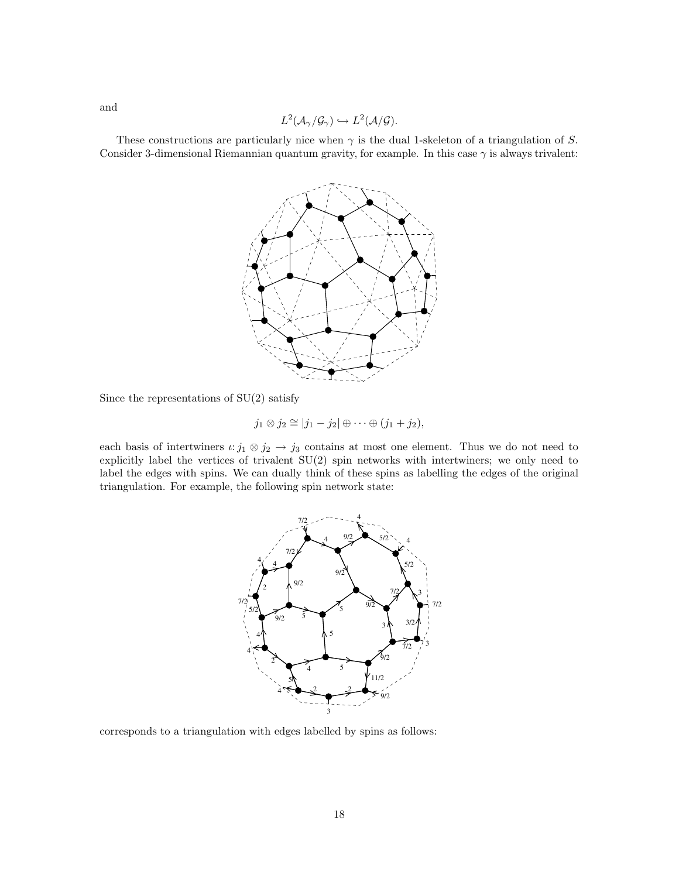$$
L^2(\mathcal{A}_{\gamma}/\mathcal{G}_{\gamma}) \hookrightarrow L^2(\mathcal{A}/\mathcal{G}).
$$

These constructions are particularly nice when  $\gamma$  is the dual 1-skeleton of a triangulation of S. Consider 3-dimensional Riemannian quantum gravity, for example. In this case  $\gamma$  is always trivalent:



Since the representations of  $SU(2)$  satisfy

$$
j_1 \otimes j_2 \cong |j_1 - j_2| \oplus \cdots \oplus (j_1 + j_2),
$$

each basis of intertwiners  $\iota: j_1 \otimes j_2 \to j_3$  contains at most one element. Thus we do not need to explicitly label the vertices of trivalent SU(2) spin networks with intertwiners; we only need to label the edges with spins. We can dually think of these spins as labelling the edges of the original triangulation. For example, the following spin network state:



corresponds to a triangulation with edges labelled by spins as follows:

and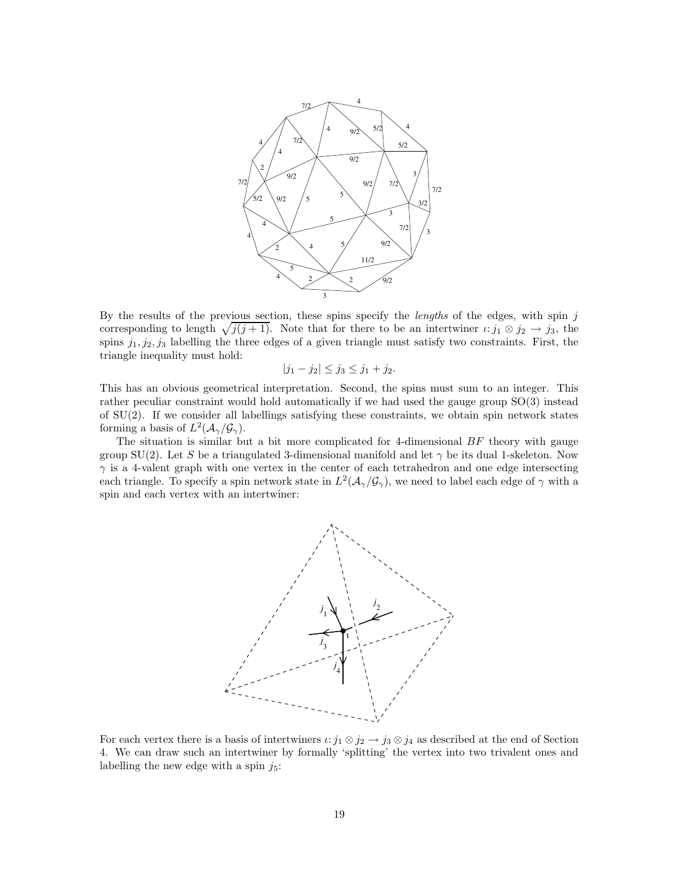

By the results of the previous section, these spins specify the *lengths* of the edges, with spin  $j$ corresponding to length  $\sqrt{j(j + 1)}$ . Note that for there to be an intertwiner  $\iota : j_1 \otimes j_2 \to j_3$ , the spins  $j_1, j_2, j_3$  labelling the three edges of a given triangle must satisfy two constraints. First, the triangle inequality must hold:

$$
|j_1 - j_2| \le j_3 \le j_1 + j_2.
$$

This has an obvious geometrical interpretation. Second, the spins must sum to an integer. This rather peculiar constraint would hold automatically if we had used the gauge group SO(3) instead of SU(2). If we consider all labellings satisfying these constraints, we obtain spin network states forming a basis of  $L^2(\mathcal{A}_{\gamma}/\mathcal{G}_{\gamma}).$ 

The situation is similar but a bit more complicated for 4-dimensional  $BF$  theory with gauge group SU(2). Let S be a triangulated 3-dimensional manifold and let  $\gamma$  be its dual 1-skeleton. Now  $\gamma$  is a 4-valent graph with one vertex in the center of each tetrahedron and one edge intersecting each triangle. To specify a spin network state in  $L^2(\mathcal{A}_{\gamma}/\mathcal{G}_{\gamma})$ , we need to label each edge of  $\gamma$  with a spin and each vertex with an intertwiner:



For each vertex there is a basis of intertwiners  $\iota: j_1 \otimes j_2 \to j_3 \otimes j_4$  as described at the end of Section 4. We can draw such an intertwiner by formally 'splitting' the vertex into two trivalent ones and labelling the new edge with a spin  $j_5$ :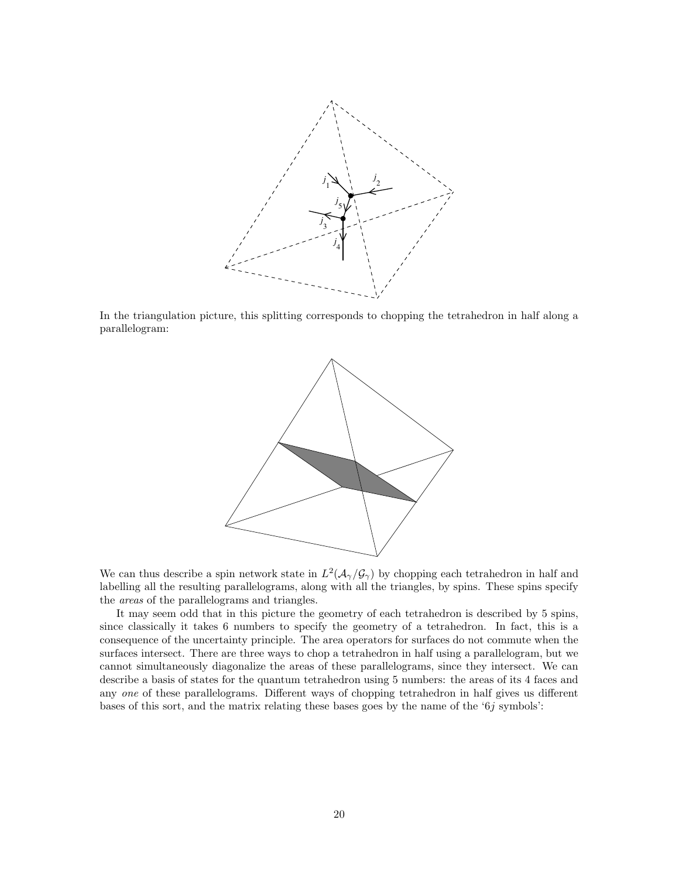

In the triangulation picture, this splitting corresponds to chopping the tetrahedron in half along a parallelogram:



We can thus describe a spin network state in  $L^2(\mathcal{A}_{\gamma}/\mathcal{G}_{\gamma})$  by chopping each tetrahedron in half and labelling all the resulting parallelograms, along with all the triangles, by spins. These spins specify the areas of the parallelograms and triangles.

It may seem odd that in this picture the geometry of each tetrahedron is described by 5 spins, since classically it takes 6 numbers to specify the geometry of a tetrahedron. In fact, this is a consequence of the uncertainty principle. The area operators for surfaces do not commute when the surfaces intersect. There are three ways to chop a tetrahedron in half using a parallelogram, but we cannot simultaneously diagonalize the areas of these parallelograms, since they intersect. We can describe a basis of states for the quantum tetrahedron using 5 numbers: the areas of its 4 faces and any one of these parallelograms. Different ways of chopping tetrahedron in half gives us different bases of this sort, and the matrix relating these bases goes by the name of the '6j symbols':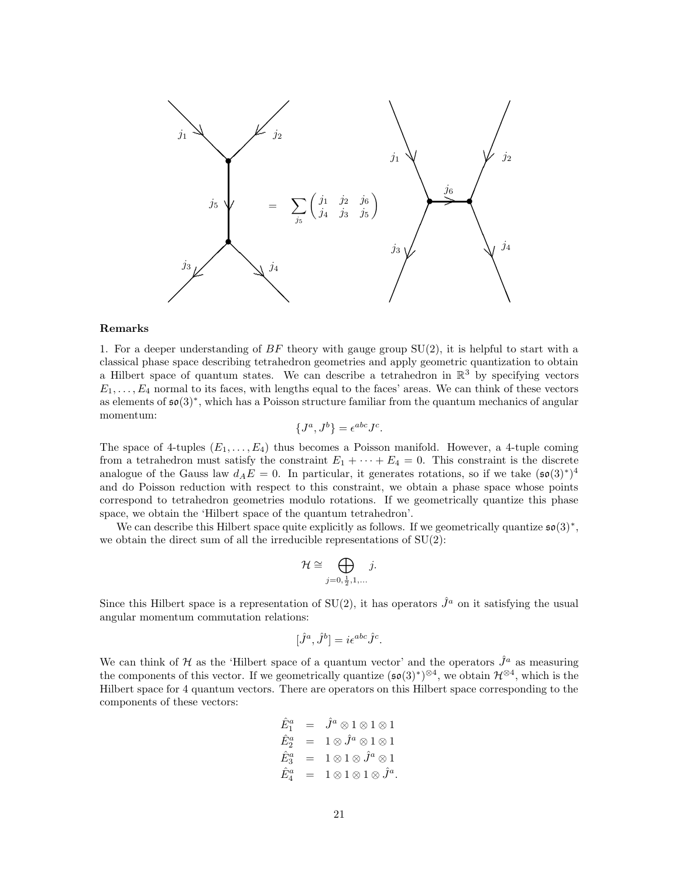

#### Remarks

1. For a deeper understanding of  $BF$  theory with gauge group  $SU(2)$ , it is helpful to start with a classical phase space describing tetrahedron geometries and apply geometric quantization to obtain a Hilbert space of quantum states. We can describe a tetrahedron in  $\mathbb{R}^3$  by specifying vectors  $E_1, \ldots, E_4$  normal to its faces, with lengths equal to the faces' areas. We can think of these vectors as elements of  $\mathfrak{so}(3)^*$ , which has a Poisson structure familiar from the quantum mechanics of angular momentum:

$$
\{J^a, J^b\} = \epsilon^{abc} J^c.
$$

The space of 4-tuples  $(E_1, \ldots, E_4)$  thus becomes a Poisson manifold. However, a 4-tuple coming from a tetrahedron must satisfy the constraint  $E_1 + \cdots + E_4 = 0$ . This constraint is the discrete analogue of the Gauss law  $d_A E = 0$ . In particular, it generates rotations, so if we take  $(\mathfrak{so}(3))^*)^4$ and do Poisson reduction with respect to this constraint, we obtain a phase space whose points correspond to tetrahedron geometries modulo rotations. If we geometrically quantize this phase space, we obtain the 'Hilbert space of the quantum tetrahedron'.

We can describe this Hilbert space quite explicitly as follows. If we geometrically quantize  $\mathfrak{so}(3)^*$ , we obtain the direct sum of all the irreducible representations of  $SU(2)$ :

$$
\mathcal{H}\cong\bigoplus_{j=0,\frac{1}{2},1,\ldots}j.
$$

Since this Hilbert space is a representation of SU(2), it has operators  $\hat{J}^a$  on it satisfying the usual angular momentum commutation relations:

$$
[\hat{J}^a, \hat{J}^b] = i\epsilon^{abc}\hat{J}^c.
$$

We can think of H as the 'Hilbert space of a quantum vector' and the operators  $\hat{J}^a$  as measuring the components of this vector. If we geometrically quantize  $(\mathfrak{so}(3)^*)^{\otimes 4}$ , we obtain  $\mathcal{H}^{\otimes 4}$ , which is the Hilbert space for 4 quantum vectors. There are operators on this Hilbert space corresponding to the components of these vectors:

$$
\begin{array}{rcl}\n\hat{E}^a_1 &=& \hat{J}^a \otimes 1 \otimes 1 \otimes 1 \\
\hat{E}^a_2 &=& 1 \otimes \hat{J}^a \otimes 1 \otimes 1 \\
\hat{E}^a_3 &=& 1 \otimes 1 \otimes \hat{J}^a \otimes 1 \\
\hat{E}^a_4 &=& 1 \otimes 1 \otimes 1 \otimes \hat{J}^a.\n\end{array}
$$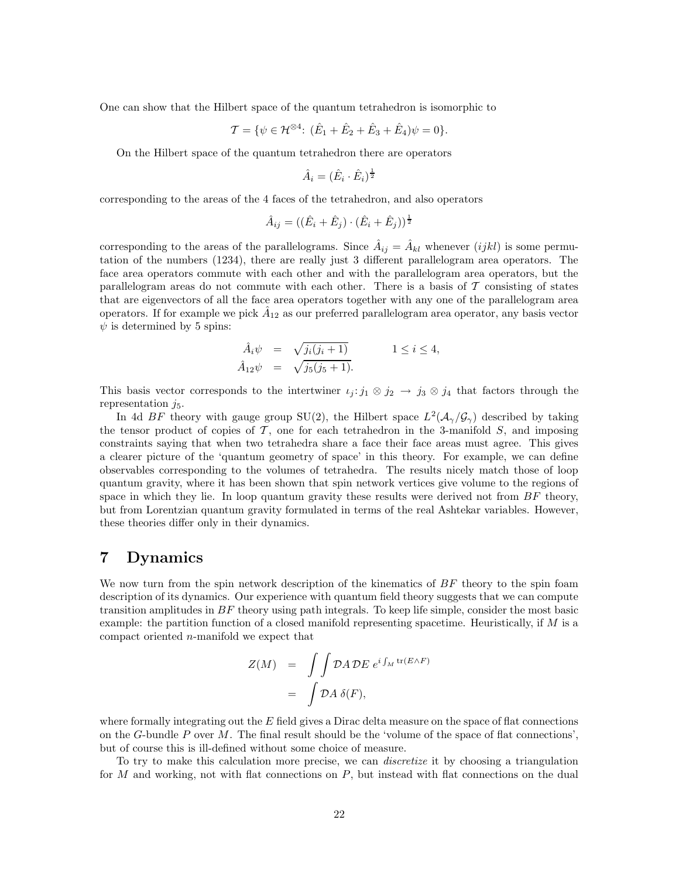One can show that the Hilbert space of the quantum tetrahedron is isomorphic to

$$
\mathcal{T} = \{ \psi \in \mathcal{H}^{\otimes 4} : (\hat{E}_1 + \hat{E}_2 + \hat{E}_3 + \hat{E}_4) \psi = 0 \}.
$$

On the Hilbert space of the quantum tetrahedron there are operators

$$
\hat{A}_i = (\hat{E}_i \cdot \hat{E}_i)^{\frac{1}{2}}
$$

corresponding to the areas of the 4 faces of the tetrahedron, and also operators

$$
\hat{A}_{ij} = ((\hat{E}_i + \hat{E}_j) \cdot (\hat{E}_i + \hat{E}_j))^{\frac{1}{2}}
$$

corresponding to the areas of the parallelograms. Since  $\hat{A}_{ij} = \hat{A}_{kl}$  whenever  $(ijkl)$  is some permutation of the numbers (1234), there are really just 3 different parallelogram area operators. The face area operators commute with each other and with the parallelogram area operators, but the parallelogram areas do not commute with each other. There is a basis of  $\mathcal T$  consisting of states that are eigenvectors of all the face area operators together with any one of the parallelogram area operators. If for example we pick  $\hat{A}_{12}$  as our preferred parallelogram area operator, any basis vector  $\psi$  is determined by 5 spins:

$$
\begin{aligned}\n\hat{A}_i \psi &= \sqrt{j_i(j_i+1)} & 1 \leq i \leq 4, \\
\hat{A}_{12} \psi &= \sqrt{j_5(j_5+1)}.\n\end{aligned}
$$

This basis vector corresponds to the intertwiner  $\iota_j : j_1 \otimes j_2 \to j_3 \otimes j_4$  that factors through the representation  $j_5$ .

In 4d BF theory with gauge group SU(2), the Hilbert space  $L^2(\mathcal{A}_{\gamma}/\mathcal{G}_{\gamma})$  described by taking the tensor product of copies of  $\mathcal T$ , one for each tetrahedron in the 3-manifold  $S$ , and imposing constraints saying that when two tetrahedra share a face their face areas must agree. This gives a clearer picture of the 'quantum geometry of space' in this theory. For example, we can define observables corresponding to the volumes of tetrahedra. The results nicely match those of loop quantum gravity, where it has been shown that spin network vertices give volume to the regions of space in which they lie. In loop quantum gravity these results were derived not from  $BF$  theory, but from Lorentzian quantum gravity formulated in terms of the real Ashtekar variables. However, these theories differ only in their dynamics.

# 7 Dynamics

We now turn from the spin network description of the kinematics of  $BF$  theory to the spin foam description of its dynamics. Our experience with quantum field theory suggests that we can compute transition amplitudes in BF theory using path integrals. To keep life simple, consider the most basic example: the partition function of a closed manifold representing spacetime. Heuristically, if  $M$  is a compact oriented n-manifold we expect that

$$
Z(M) = \int \int \mathcal{D}A \mathcal{D}E \ e^{i \int_M \text{tr}(E \wedge F)}
$$

$$
= \int \mathcal{D}A \ \delta(F),
$$

where formally integrating out the  $E$  field gives a Dirac delta measure on the space of flat connections on the G-bundle P over M. The final result should be the 'volume of the space of flat connections', but of course this is ill-defined without some choice of measure.

To try to make this calculation more precise, we can discretize it by choosing a triangulation for  $M$  and working, not with flat connections on  $P$ , but instead with flat connections on the dual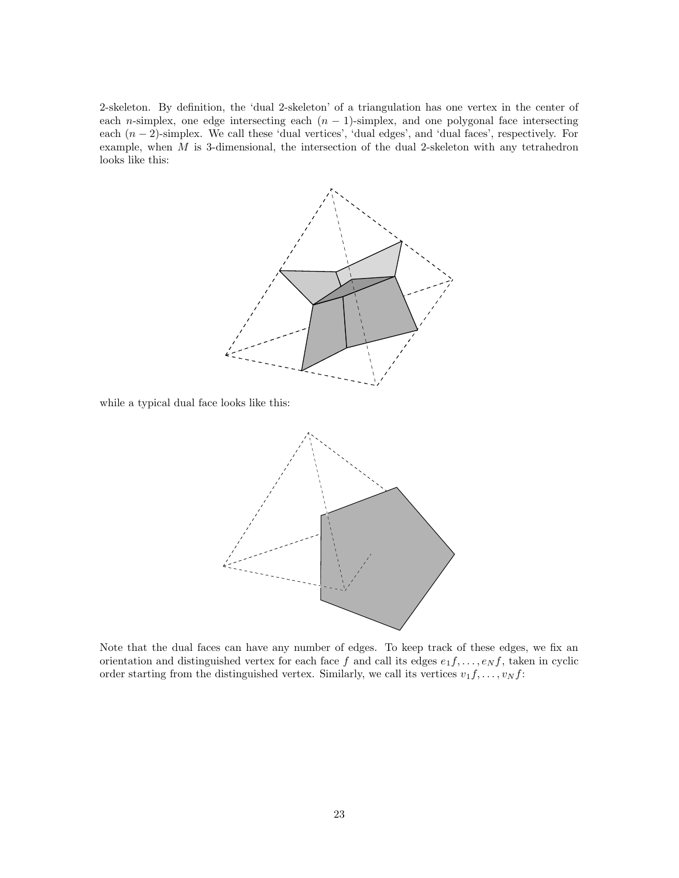2-skeleton. By definition, the 'dual 2-skeleton' of a triangulation has one vertex in the center of each n-simplex, one edge intersecting each  $(n - 1)$ -simplex, and one polygonal face intersecting each (n − 2)-simplex. We call these 'dual vertices', 'dual edges', and 'dual faces', respectively. For example, when  $M$  is 3-dimensional, the intersection of the dual 2-skeleton with any tetrahedron looks like this:



while a typical dual face looks like this:



Note that the dual faces can have any number of edges. To keep track of these edges, we fix an orientation and distinguished vertex for each face f and call its edges  $e_1f, \ldots, e_Nf$ , taken in cyclic order starting from the distinguished vertex. Similarly, we call its vertices  $v_1f, \ldots, v_Nf$ :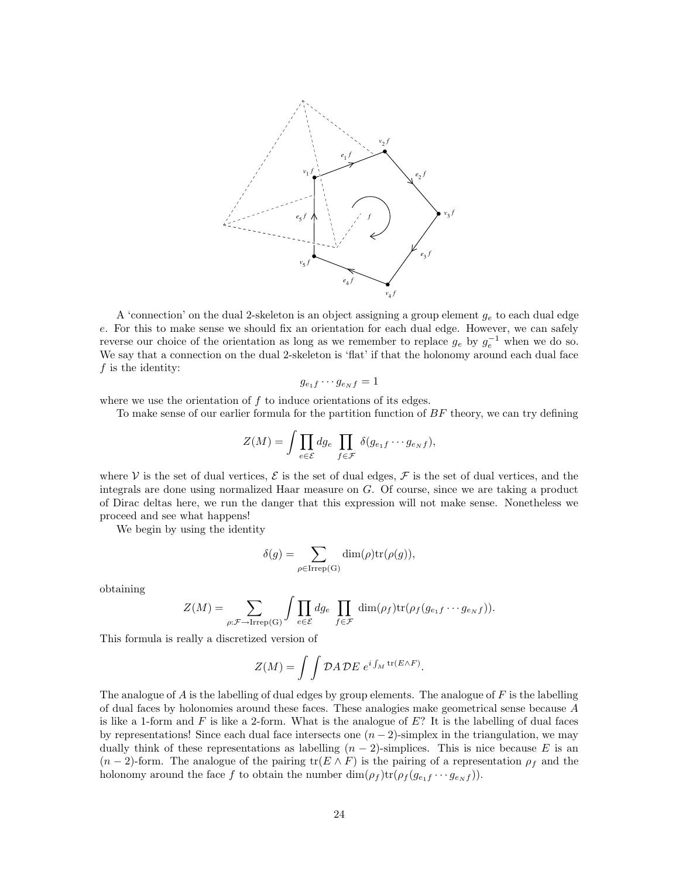

A 'connection' on the dual 2-skeleton is an object assigning a group element  $g_e$  to each dual edge e. For this to make sense we should fix an orientation for each dual edge. However, we can safely reverse our choice of the orientation as long as we remember to replace  $g_e$  by  $g_e^{-1}$  when we do so. We say that a connection on the dual 2-skeleton is 'flat' if that the holonomy around each dual face f is the identity:

$$
g_{e_1f}\cdots g_{e_Nf}=1
$$

where we use the orientation of  $f$  to induce orientations of its edges.

To make sense of our earlier formula for the partition function of  $BF$  theory, we can try defining

$$
Z(M) = \int \prod_{e \in \mathcal{E}} dg_e \prod_{f \in \mathcal{F}} \delta(g_{e_1 f} \cdots g_{e_N f}),
$$

where V is the set of dual vertices,  $\mathcal E$  is the set of dual edges,  $\mathcal F$  is the set of dual vertices, and the integrals are done using normalized Haar measure on G. Of course, since we are taking a product of Dirac deltas here, we run the danger that this expression will not make sense. Nonetheless we proceed and see what happens!

We begin by using the identity

$$
\delta(g) = \sum_{\rho \in \operatorname{Irrep}(\mathcal{G})} \dim(\rho) \mathrm{tr}(\rho(g)),
$$

obtaining

$$
Z(M) = \sum_{\rho:\mathcal{F}\to\text{Irrep}(G)} \int \prod_{e\in\mathcal{E}} dg_e \prod_{f\in\mathcal{F}} \dim(\rho_f) tr(\rho_f(g_{e_1f}\cdots g_{e_Nf})).
$$

This formula is really a discretized version of

$$
Z(M) = \int \int \mathcal{D}A \, \mathcal{D}E \, e^{i \int_M \text{tr}(E \wedge F)}.
$$

The analogue of  $A$  is the labelling of dual edges by group elements. The analogue of  $F$  is the labelling of dual faces by holonomies around these faces. These analogies make geometrical sense because A is like a 1-form and  $F$  is like a 2-form. What is the analogue of  $E$ ? It is the labelling of dual faces by representations! Since each dual face intersects one  $(n-2)$ -simplex in the triangulation, we may dually think of these representations as labelling  $(n-2)$ -simplices. This is nice because E is an  $(n-2)$ -form. The analogue of the pairing  $tr(E \wedge F)$  is the pairing of a representation  $\rho_f$  and the holonomy around the face f to obtain the number  $\dim(\rho_f) \text{tr}(\rho_f (g_{e_1f} \cdots g_{e_N f}))$ .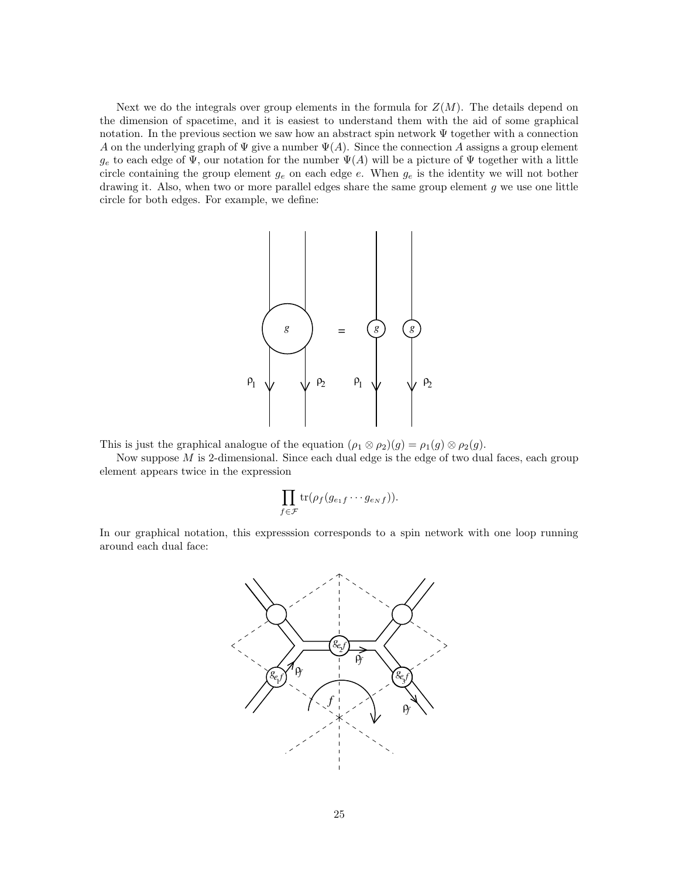Next we do the integrals over group elements in the formula for  $Z(M)$ . The details depend on the dimension of spacetime, and it is easiest to understand them with the aid of some graphical notation. In the previous section we saw how an abstract spin network Ψ together with a connection A on the underlying graph of  $\Psi$  give a number  $\Psi(A)$ . Since the connection A assigns a group element  $g_e$  to each edge of  $\Psi$ , our notation for the number  $\Psi(A)$  will be a picture of  $\Psi$  together with a little circle containing the group element  $g_e$  on each edge  $e$ . When  $g_e$  is the identity we will not bother drawing it. Also, when two or more parallel edges share the same group element  $g$  we use one little circle for both edges. For example, we define:



This is just the graphical analogue of the equation  $(\rho_1 \otimes \rho_2)(g) = \rho_1(g) \otimes \rho_2(g)$ .

Now suppose  $M$  is 2-dimensional. Since each dual edge is the edge of two dual faces, each group element appears twice in the expression

$$
\prod_{f \in \mathcal{F}} \text{tr}(\rho_f(g_{e_1f} \cdots g_{e_Nf})).
$$

In our graphical notation, this expresssion corresponds to a spin network with one loop running around each dual face:

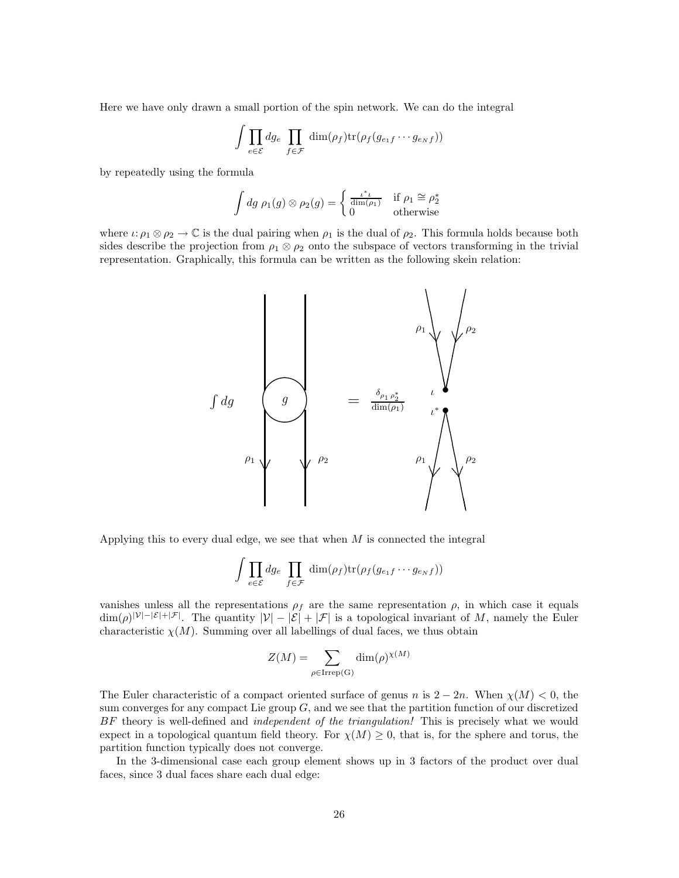Here we have only drawn a small portion of the spin network. We can do the integral

$$
\int \prod_{e \in \mathcal{E}} dg_e \prod_{f \in \mathcal{F}} \dim(\rho_f) tr(\rho_f(g_{e_1f} \cdots g_{e_Nf}))
$$

by repeatedly using the formula

$$
\int dg \,\rho_1(g) \otimes \rho_2(g) = \begin{cases} \frac{\iota^* \iota}{\dim(\rho_1)} & \text{if } \rho_1 \cong \rho_2^* \\ 0 & \text{otherwise} \end{cases}
$$

where  $\iota: \rho_1 \otimes \rho_2 \to \mathbb{C}$  is the dual pairing when  $\rho_1$  is the dual of  $\rho_2$ . This formula holds because both sides describe the projection from  $\rho_1 \otimes \rho_2$  onto the subspace of vectors transforming in the trivial representation. Graphically, this formula can be written as the following skein relation:



Applying this to every dual edge, we see that when  $M$  is connected the integral

$$
\int \prod_{e \in \mathcal{E}} dg_e \prod_{f \in \mathcal{F}} \dim(\rho_f) tr(\rho_f(g_{e_1f} \cdots g_{e_Nf}))
$$

vanishes unless all the representations  $\rho_f$  are the same representation  $\rho$ , in which case it equals  $\dim(\rho)^{|\mathcal{V}|-|\mathcal{E}|+|\mathcal{F}|}$ . The quantity  $|\mathcal{V}|-|\mathcal{E}|+|\mathcal{F}|$  is a topological invariant of M, namely the Euler characteristic  $\chi(M)$ . Summing over all labellings of dual faces, we thus obtain

$$
Z(M) = \sum_{\rho \in \operatorname{Irrep}(\mathbf{G})} \dim(\rho)^{\chi(M)}
$$

The Euler characteristic of a compact oriented surface of genus n is  $2 - 2n$ . When  $\chi(M) < 0$ , the sum converges for any compact Lie group  $G$ , and we see that the partition function of our discretized BF theory is well-defined and *independent of the triangulation!* This is precisely what we would expect in a topological quantum field theory. For  $\chi(M) \geq 0$ , that is, for the sphere and torus, the partition function typically does not converge.

In the 3-dimensional case each group element shows up in 3 factors of the product over dual faces, since 3 dual faces share each dual edge: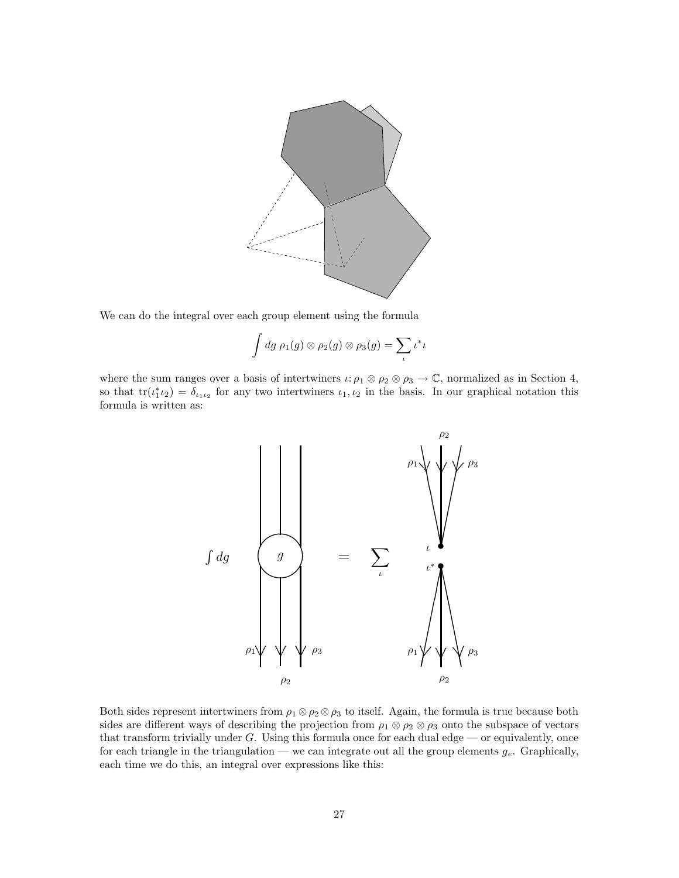

We can do the integral over each group element using the formula

$$
\int dg\; \rho_1(g)\otimes \rho_2(g)\otimes \rho_3(g)=\sum_{\iota}\iota^*\iota
$$

where the sum ranges over a basis of intertwiners  $\iota: \rho_1 \otimes \rho_2 \otimes \rho_3 \to \mathbb{C}$ , normalized as in Section 4, so that  $tr(\iota_1^*\iota_2) = \delta_{\iota_1\iota_2}$  for any two intertwiners  $\iota_1, \iota_2$  in the basis. In our graphical notation this formula is written as:



Both sides represent intertwiners from  $\rho_1 \otimes \rho_2 \otimes \rho_3$  to itself. Again, the formula is true because both sides are different ways of describing the projection from  $\rho_1 \otimes \rho_2 \otimes \rho_3$  onto the subspace of vectors that transform trivially under  $G$ . Using this formula once for each dual edge — or equivalently, once for each triangle in the triangulation — we can integrate out all the group elements  $g_e$ . Graphically, each time we do this, an integral over expressions like this: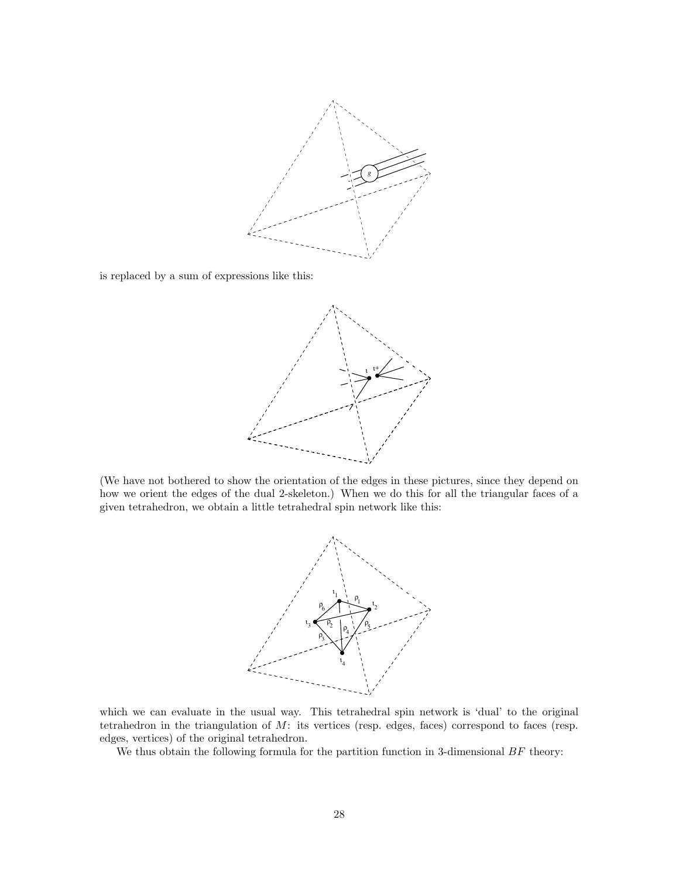

is replaced by a sum of expressions like this:



(We have not bothered to show the orientation of the edges in these pictures, since they depend on how we orient the edges of the dual 2-skeleton.) When we do this for all the triangular faces of a given tetrahedron, we obtain a little tetrahedral spin network like this:



which we can evaluate in the usual way. This tetrahedral spin network is 'dual' to the original tetrahedron in the triangulation of M: its vertices (resp. edges, faces) correspond to faces (resp. edges, vertices) of the original tetrahedron.

We thus obtain the following formula for the partition function in 3-dimensional  $BF$  theory: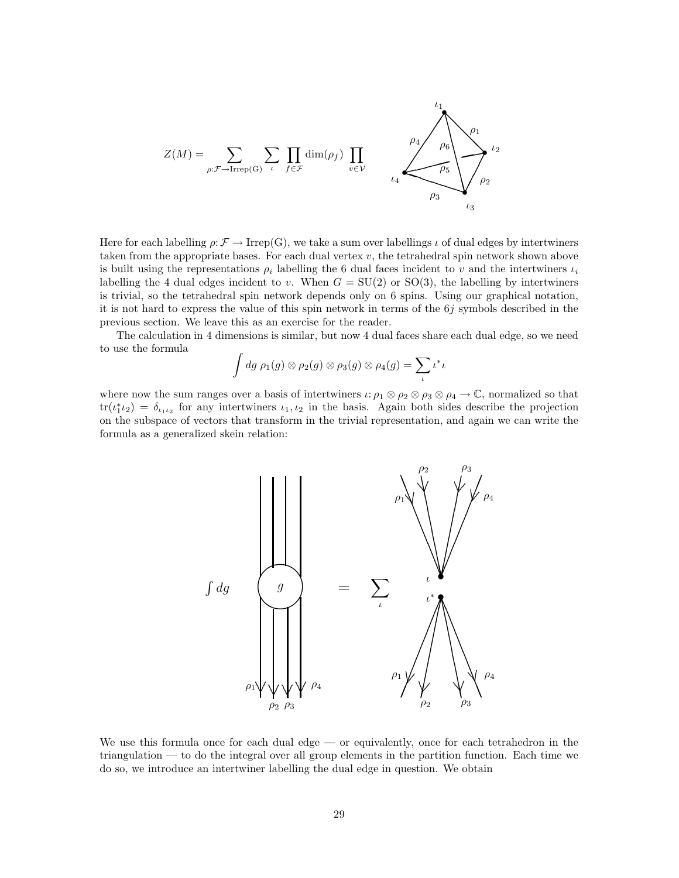$$
Z(M) = \sum_{\rho:\mathcal{F}\to\text{Irrep(G)}}\sum_{\iota} \prod_{f\in\mathcal{F}} \dim(\rho_f) \prod_{v\in\mathcal{V}} \underbrace{\rho_4}_{\iota_4} \underbrace{\rho_6}_{\rho_5} \underbrace{\rho_1}_{\rho_2} \underbrace{\rho_2}_{\iota_3}
$$

Here for each labelling  $\rho: \mathcal{F} \to \text{Irrep}(G)$ , we take a sum over labellings  $\iota$  of dual edges by intertwiners taken from the appropriate bases. For each dual vertex  $v$ , the tetrahedral spin network shown above is built using the representations  $\rho_i$  labelling the 6 dual faces incident to v and the intertwiners  $\iota_i$ labelling the 4 dual edges incident to v. When  $G = SU(2)$  or  $SO(3)$ , the labelling by intertwiners is trivial, so the tetrahedral spin network depends only on 6 spins. Using our graphical notation, it is not hard to express the value of this spin network in terms of the 6j symbols described in the previous section. We leave this as an exercise for the reader.

The calculation in 4 dimensions is similar, but now 4 dual faces share each dual edge, so we need to use the formula

$$
\int dg \; \rho_1(g) \otimes \rho_2(g) \otimes \rho_3(g) \otimes \rho_4(g) = \sum_{\iota} \iota^* \iota
$$

where now the sum ranges over a basis of intertwiners  $\iota: \rho_1 \otimes \rho_2 \otimes \rho_3 \otimes \rho_4 \to \mathbb{C}$ , normalized so that  $\text{tr}(\iota_1^*\iota_2) = \delta_{\iota_1\iota_2}$  for any intertwiners  $\iota_1, \iota_2$  in the basis. Again both sides describe the projection on the subspace of vectors that transform in the trivial representation, and again we can write the formula as a generalized skein relation:



We use this formula once for each dual edge — or equivalently, once for each tetrahedron in the triangulation — to do the integral over all group elements in the partition function. Each time we do so, we introduce an intertwiner labelling the dual edge in question. We obtain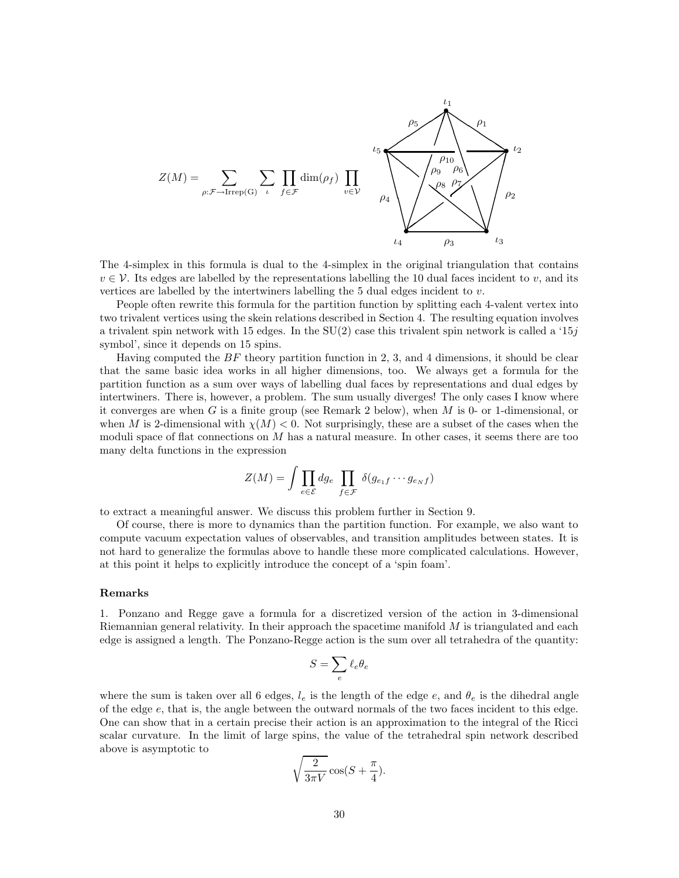$$
Z(M) = \sum_{\rho:\mathcal{F}\to\text{Irrep}(G)}\sum_{\iota}\prod_{f\in\mathcal{F}}\dim(\rho_f)\prod_{v\in\mathcal{V}}\left(\bigwedge_{\rho_4}\begin{matrix}\rho_5\\ \rho_9\end{matrix}\begin{matrix}\rho_1\\ \rho_9\end{matrix}\begin{matrix}\rho_1\\ \rho_2\end{matrix}\right)\rho_2
$$

The 4-simplex in this formula is dual to the 4-simplex in the original triangulation that contains  $v \in V$ . Its edges are labelled by the representations labelling the 10 dual faces incident to v, and its vertices are labelled by the intertwiners labelling the 5 dual edges incident to  $v$ .

People often rewrite this formula for the partition function by splitting each 4-valent vertex into two trivalent vertices using the skein relations described in Section 4. The resulting equation involves a trivalent spin network with 15 edges. In the  $SU(2)$  case this trivalent spin network is called a '15j symbol', since it depends on 15 spins.

Having computed the  $BF$  theory partition function in 2, 3, and 4 dimensions, it should be clear that the same basic idea works in all higher dimensions, too. We always get a formula for the partition function as a sum over ways of labelling dual faces by representations and dual edges by intertwiners. There is, however, a problem. The sum usually diverges! The only cases I know where it converges are when G is a finite group (see Remark 2 below), when M is 0- or 1-dimensional, or when M is 2-dimensional with  $\chi(M) < 0$ . Not surprisingly, these are a subset of the cases when the moduli space of flat connections on  $M$  has a natural measure. In other cases, it seems there are too many delta functions in the expression

$$
Z(M) = \int \prod_{e \in \mathcal{E}} dg_e \prod_{f \in \mathcal{F}} \delta(g_{e_1 f} \cdots g_{e_N f})
$$

to extract a meaningful answer. We discuss this problem further in Section 9.

Of course, there is more to dynamics than the partition function. For example, we also want to compute vacuum expectation values of observables, and transition amplitudes between states. It is not hard to generalize the formulas above to handle these more complicated calculations. However, at this point it helps to explicitly introduce the concept of a 'spin foam'.

#### Remarks

1. Ponzano and Regge gave a formula for a discretized version of the action in 3-dimensional Riemannian general relativity. In their approach the spacetime manifold  $M$  is triangulated and each edge is assigned a length. The Ponzano-Regge action is the sum over all tetrahedra of the quantity:

$$
S=\sum_e \ell_e \theta_e
$$

where the sum is taken over all 6 edges,  $l_e$  is the length of the edge e, and  $\theta_e$  is the dihedral angle of the edge  $e$ , that is, the angle between the outward normals of the two faces incident to this edge. One can show that in a certain precise their action is an approximation to the integral of the Ricci scalar curvature. In the limit of large spins, the value of the tetrahedral spin network described above is asymptotic to

$$
\sqrt{\frac{2}{3\pi V}}\cos(S+\frac{\pi}{4}).
$$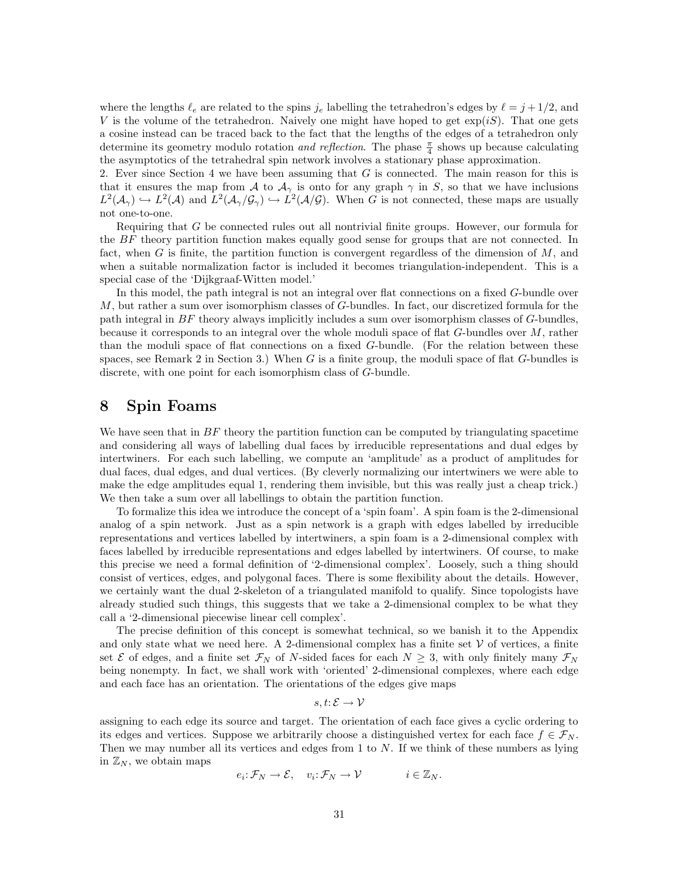where the lengths  $\ell_e$  are related to the spins  $j_e$  labelling the tetrahedron's edges by  $\ell = j + 1/2$ , and V is the volume of the tetrahedron. Naively one might have hoped to get  $\exp(iS)$ . That one gets a cosine instead can be traced back to the fact that the lengths of the edges of a tetrahedron only determine its geometry modulo rotation *and reflection*. The phase  $\frac{\pi}{4}$  shows up because calculating the asymptotics of the tetrahedral spin network involves a stationary phase approximation.

2. Ever since Section 4 we have been assuming that  $G$  is connected. The main reason for this is that it ensures the map from A to  $A_{\gamma}$  is onto for any graph  $\gamma$  in S, so that we have inclusions  $L^2(\mathcal{A}_{\gamma}) \hookrightarrow L^2(\mathcal{A})$  and  $L^2(\mathcal{A}_{\gamma}/\mathcal{G}_{\gamma}) \hookrightarrow L^2(\mathcal{A}/\mathcal{G})$ . When G is not connected, these maps are usually not one-to-one.

Requiring that G be connected rules out all nontrivial finite groups. However, our formula for the  $BF$  theory partition function makes equally good sense for groups that are not connected. In fact, when G is finite, the partition function is convergent regardless of the dimension of  $M$ , and when a suitable normalization factor is included it becomes triangulation-independent. This is a special case of the 'Dijkgraaf-Witten model.'

In this model, the path integral is not an integral over flat connections on a fixed G-bundle over M, but rather a sum over isomorphism classes of G-bundles. In fact, our discretized formula for the path integral in BF theory always implicitly includes a sum over isomorphism classes of G-bundles, because it corresponds to an integral over the whole moduli space of flat G-bundles over M, rather than the moduli space of flat connections on a fixed G-bundle. (For the relation between these spaces, see Remark 2 in Section 3.) When G is a finite group, the moduli space of flat  $G$ -bundles is discrete, with one point for each isomorphism class of G-bundle.

# 8 Spin Foams

We have seen that in  $BF$  theory the partition function can be computed by triangulating spacetime and considering all ways of labelling dual faces by irreducible representations and dual edges by intertwiners. For each such labelling, we compute an 'amplitude' as a product of amplitudes for dual faces, dual edges, and dual vertices. (By cleverly normalizing our intertwiners we were able to make the edge amplitudes equal 1, rendering them invisible, but this was really just a cheap trick.) We then take a sum over all labellings to obtain the partition function.

To formalize this idea we introduce the concept of a 'spin foam'. A spin foam is the 2-dimensional analog of a spin network. Just as a spin network is a graph with edges labelled by irreducible representations and vertices labelled by intertwiners, a spin foam is a 2-dimensional complex with faces labelled by irreducible representations and edges labelled by intertwiners. Of course, to make this precise we need a formal definition of '2-dimensional complex'. Loosely, such a thing should consist of vertices, edges, and polygonal faces. There is some flexibility about the details. However, we certainly want the dual 2-skeleton of a triangulated manifold to qualify. Since topologists have already studied such things, this suggests that we take a 2-dimensional complex to be what they call a '2-dimensional piecewise linear cell complex'.

The precise definition of this concept is somewhat technical, so we banish it to the Appendix and only state what we need here. A 2-dimensional complex has a finite set  $\mathcal V$  of vertices, a finite set  $\mathcal E$  of edges, and a finite set  $\mathcal F_N$  of N-sided faces for each  $N \geq 3$ , with only finitely many  $\mathcal F_N$ being nonempty. In fact, we shall work with 'oriented' 2-dimensional complexes, where each edge and each face has an orientation. The orientations of the edges give maps

$$
s,t\colon\mathcal{E}\to\mathcal{V}
$$

assigning to each edge its source and target. The orientation of each face gives a cyclic ordering to its edges and vertices. Suppose we arbitrarily choose a distinguished vertex for each face  $f \in \mathcal{F}_N$ . Then we may number all its vertices and edges from 1 to N. If we think of these numbers as lying in  $\mathbb{Z}_N$ , we obtain maps

$$
e_i: \mathcal{F}_N \to \mathcal{E}, \quad v_i: \mathcal{F}_N \to \mathcal{V} \qquad i \in \mathbb{Z}_N.
$$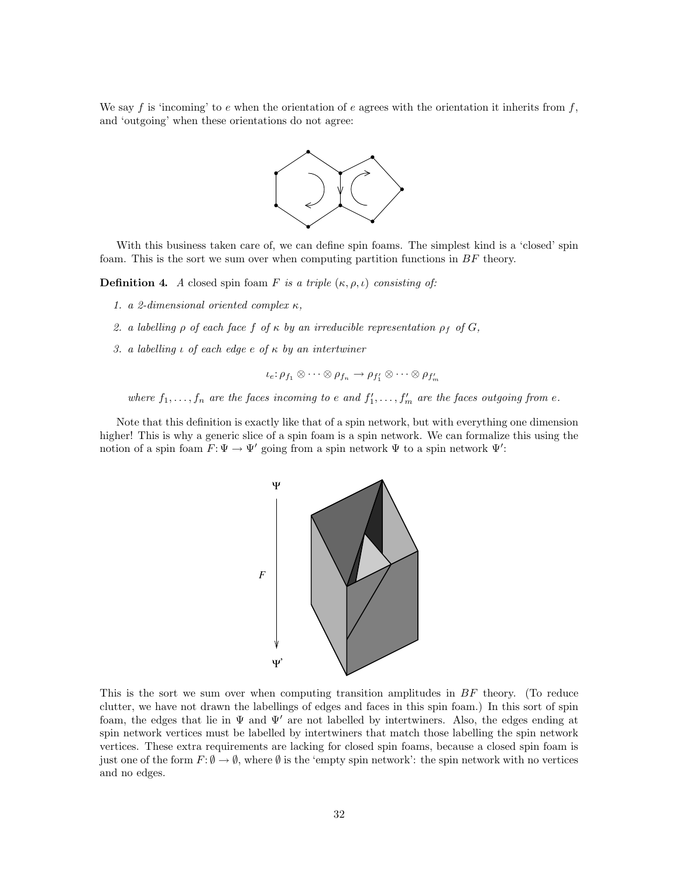We say f is 'incoming' to e when the orientation of e agrees with the orientation it inherits from f, and 'outgoing' when these orientations do not agree:



With this business taken care of, we can define spin foams. The simplest kind is a 'closed' spin foam. This is the sort we sum over when computing partition functions in BF theory.

**Definition 4.** A closed spin foam F is a triple  $(\kappa, \rho, \iota)$  consisting of:

- 1. a 2-dimensional oriented complex  $\kappa$ ,
- 2. a labelling  $\rho$  of each face f of  $\kappa$  by an irreducible representation  $\rho_f$  of  $G$ ,
- 3. a labelling  $\iota$  of each edge  $e$  of  $\kappa$  by an intertwiner

$$
\iota_e \colon \rho_{f_1} \otimes \cdots \otimes \rho_{f_n} \to \rho_{f'_1} \otimes \cdots \otimes \rho_{f'_m}
$$

where  $f_1, \ldots, f_n$  are the faces incoming to e and  $f'_1, \ldots, f'_m$  are the faces outgoing from e.

Note that this definition is exactly like that of a spin network, but with everything one dimension higher! This is why a generic slice of a spin foam is a spin network. We can formalize this using the notion of a spin foam  $F: \Psi \to \Psi'$  going from a spin network  $\Psi$  to a spin network  $\Psi'$ :



This is the sort we sum over when computing transition amplitudes in  $BF$  theory. (To reduce clutter, we have not drawn the labellings of edges and faces in this spin foam.) In this sort of spin foam, the edges that lie in  $\Psi$  and  $\Psi'$  are not labelled by intertwiners. Also, the edges ending at spin network vertices must be labelled by intertwiners that match those labelling the spin network vertices. These extra requirements are lacking for closed spin foams, because a closed spin foam is just one of the form  $F: \emptyset \to \emptyset$ , where  $\emptyset$  is the 'empty spin network': the spin network with no vertices and no edges.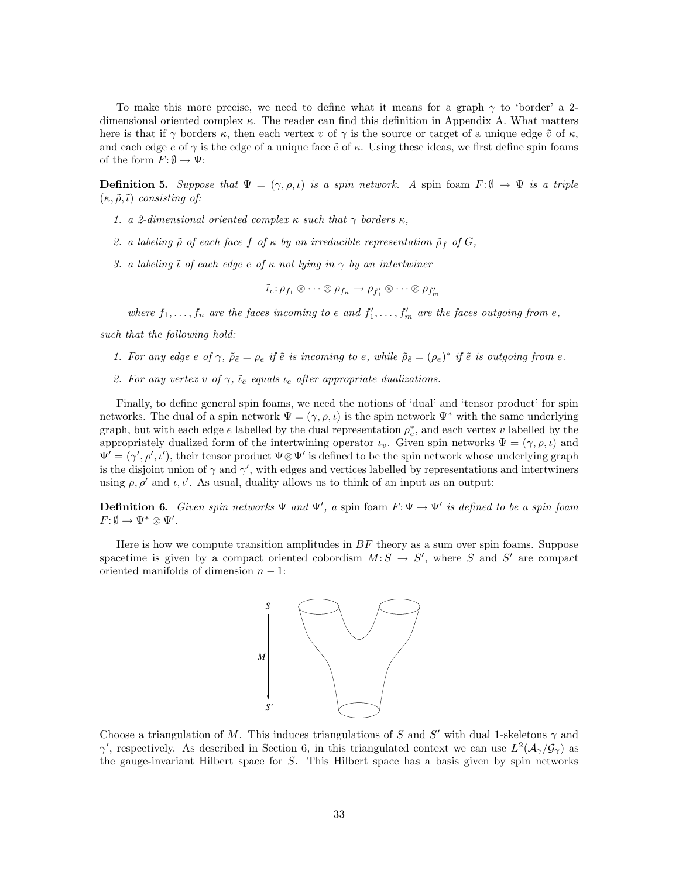To make this more precise, we need to define what it means for a graph  $\gamma$  to 'border' a 2dimensional oriented complex  $\kappa$ . The reader can find this definition in Appendix A. What matters here is that if  $\gamma$  borders  $\kappa$ , then each vertex v of  $\gamma$  is the source or target of a unique edge  $\tilde{v}$  of  $\kappa$ , and each edge e of  $\gamma$  is the edge of a unique face  $\tilde{e}$  of  $\kappa$ . Using these ideas, we first define spin foams of the form  $F: \emptyset \to \Psi$ :

**Definition 5.** Suppose that  $\Psi = (\gamma, \rho, \iota)$  is a spin network. A spin foam  $F: \emptyset \to \Psi$  is a triple  $(\kappa, \tilde{\rho}, \tilde{\iota})$  consisting of:

- 1. a 2-dimensional oriented complex  $\kappa$  such that  $\gamma$  borders  $\kappa$ ,
- 2. a labeling  $\tilde{\rho}$  of each face f of  $\kappa$  by an irreducible representation  $\tilde{\rho}_f$  of  $G$ ,
- 3. a labeling  $\tilde{\iota}$  of each edge e of  $\kappa$  not lying in  $\gamma$  by an intertwiner

$$
\tilde{\iota}_{e} \colon \rho_{f_1} \otimes \cdots \otimes \rho_{f_n} \to \rho_{f'_1} \otimes \cdots \otimes \rho_{f'_m}
$$

where  $f_1, \ldots, f_n$  are the faces incoming to e and  $f'_1, \ldots, f'_m$  are the faces outgoing from e,

such that the following hold:

- 1. For any edge e of  $\gamma$ ,  $\tilde{\rho}_{\tilde{e}} = \rho_e$  if  $\tilde{e}$  is incoming to e, while  $\tilde{\rho}_{\tilde{e}} = (\rho_e)^*$  if  $\tilde{e}$  is outgoing from e.
- 2. For any vertex v of  $\gamma$ ,  $\tilde{\iota}_{\tilde{e}}$  equals  $\iota_e$  after appropriate dualizations.

Finally, to define general spin foams, we need the notions of 'dual' and 'tensor product' for spin networks. The dual of a spin network  $\Psi = (\gamma, \rho, \iota)$  is the spin network  $\Psi^*$  with the same underlying graph, but with each edge  $e$  labelled by the dual representation  $\rho_e^*$ , and each vertex  $v$  labelled by the appropriately dualized form of the intertwining operator  $\iota_v$ . Given spin networks  $\Psi = (\gamma, \rho, \iota)$  and  $\Psi' = (\gamma', \rho', \iota')$ , their tensor product  $\Psi \otimes \Psi'$  is defined to be the spin network whose underlying graph is the disjoint union of  $\gamma$  and  $\gamma'$ , with edges and vertices labelled by representations and intertwiners using  $\rho$ ,  $\rho'$  and  $\iota$ ,  $\iota'$ . As usual, duality allows us to think of an input as an output:

**Definition 6.** Given spin networks  $\Psi$  and  $\Psi'$ , a spin foam  $F: \Psi \to \Psi'$  is defined to be a spin foam  $F: \emptyset \to \Psi^* \otimes \Psi'.$ 

Here is how we compute transition amplitudes in  $BF$  theory as a sum over spin foams. Suppose spacetime is given by a compact oriented cobordism  $M: S \to S'$ , where S and S' are compact oriented manifolds of dimension  $n - 1$ :



Choose a triangulation of M. This induces triangulations of S and S' with dual 1-skeletons  $\gamma$  and  $\gamma'$ , respectively. As described in Section 6, in this triangulated context we can use  $L^2(\mathcal{A}_{\gamma}/\mathcal{G}_{\gamma})$  as the gauge-invariant Hilbert space for  $S$ . This Hilbert space has a basis given by spin networks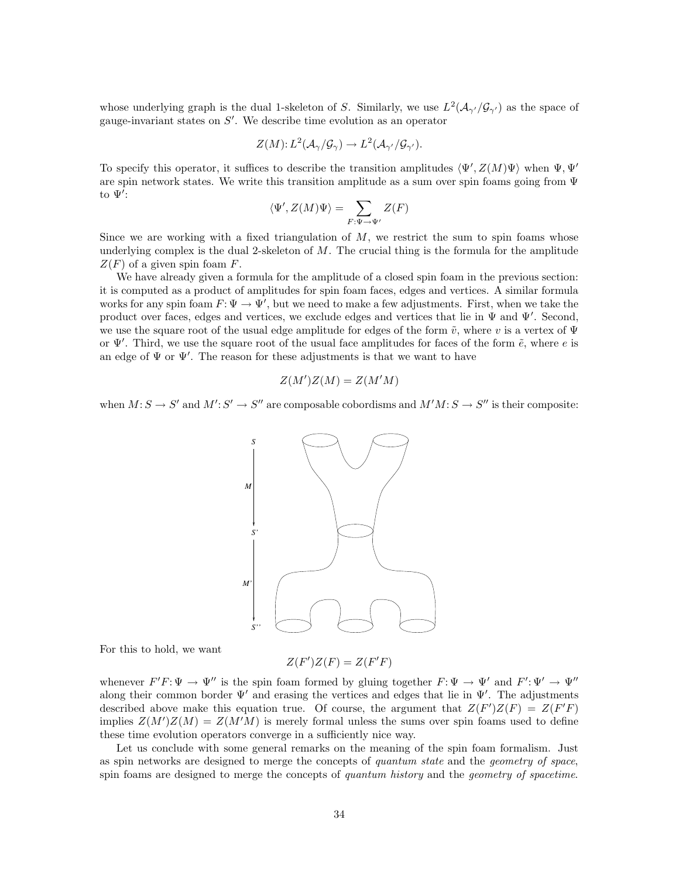whose underlying graph is the dual 1-skeleton of S. Similarly, we use  $L^2(\mathcal{A}_{\gamma'}/\mathcal{G}_{\gamma'})$  as the space of gauge-invariant states on  $S'$ . We describe time evolution as an operator

$$
Z(M): L^2(\mathcal{A}_{\gamma}/\mathcal{G}_{\gamma}) \to L^2(\mathcal{A}_{\gamma'}/\mathcal{G}_{\gamma'}).
$$

To specify this operator, it suffices to describe the transition amplitudes  $\langle \Psi', Z(M)\Psi \rangle$  when  $\Psi, \Psi'$ are spin network states. We write this transition amplitude as a sum over spin foams going from  $\Psi$ to  $\Psi'$ :

$$
\langle \Psi', Z(M)\Psi \rangle = \sum_{F:\Psi \to \Psi'} Z(F)
$$

Since we are working with a fixed triangulation of  $M$ , we restrict the sum to spin foams whose underlying complex is the dual 2-skeleton of  $M$ . The crucial thing is the formula for the amplitude  $Z(F)$  of a given spin foam F.

We have already given a formula for the amplitude of a closed spin foam in the previous section: it is computed as a product of amplitudes for spin foam faces, edges and vertices. A similar formula works for any spin foam  $F: \Psi \to \Psi'$ , but we need to make a few adjustments. First, when we take the product over faces, edges and vertices, we exclude edges and vertices that lie in  $\Psi$  and  $\Psi'$ . Second, we use the square root of the usual edge amplitude for edges of the form  $\tilde{v}$ , where v is a vertex of  $\Psi$ or  $\Psi'$ . Third, we use the square root of the usual face amplitudes for faces of the form  $\tilde{e}$ , where e is an edge of  $\Psi$  or  $\Psi'$ . The reason for these adjustments is that we want to have

$$
Z(M')Z(M) = Z(M'M)
$$

when  $M: S \to S'$  and  $M': S' \to S''$  are composable cobordisms and  $M'M: S \to S''$  is their composite:



For this to hold, we want

 $Z(F')Z(F) = Z(F'F)$ 

whenever  $F'F: \Psi \to \Psi''$  is the spin foam formed by gluing together  $F: \Psi \to \Psi'$  and  $F': \Psi' \to \Psi''$ along their common border  $\Psi'$  and erasing the vertices and edges that lie in  $\Psi'$ . The adjustments described above make this equation true. Of course, the argument that  $Z(F')Z(F) = Z(F'F)$ implies  $Z(M')Z(M) = Z(M'M)$  is merely formal unless the sums over spin foams used to define these time evolution operators converge in a sufficiently nice way.

Let us conclude with some general remarks on the meaning of the spin foam formalism. Just as spin networks are designed to merge the concepts of quantum state and the geometry of space, spin foams are designed to merge the concepts of quantum history and the geometry of spacetime.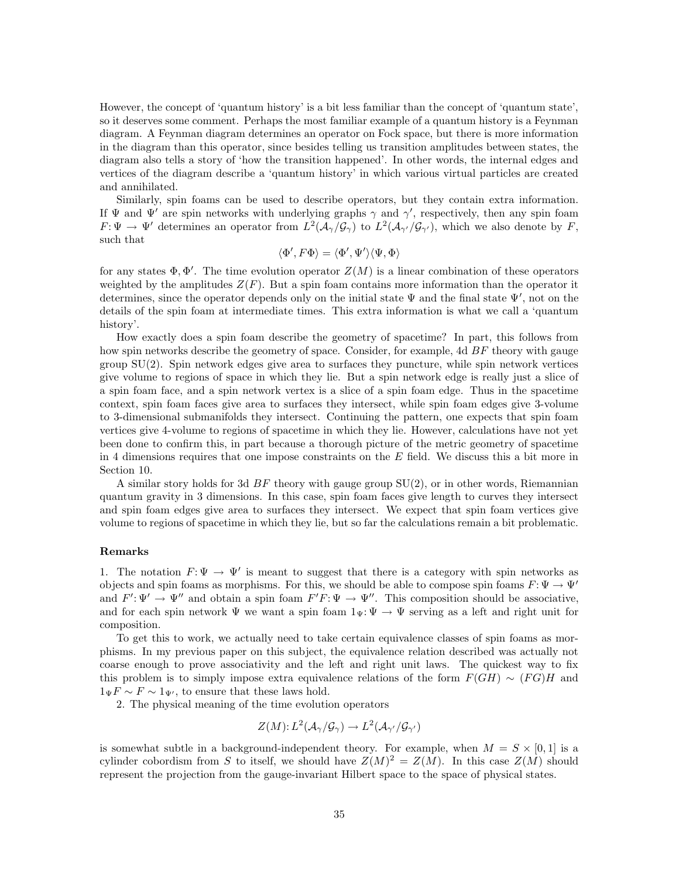However, the concept of 'quantum history' is a bit less familiar than the concept of 'quantum state', so it deserves some comment. Perhaps the most familiar example of a quantum history is a Feynman diagram. A Feynman diagram determines an operator on Fock space, but there is more information in the diagram than this operator, since besides telling us transition amplitudes between states, the diagram also tells a story of 'how the transition happened'. In other words, the internal edges and vertices of the diagram describe a 'quantum history' in which various virtual particles are created and annihilated.

Similarly, spin foams can be used to describe operators, but they contain extra information. If  $\Psi$  and  $\Psi'$  are spin networks with underlying graphs  $\gamma$  and  $\gamma'$ , respectively, then any spin foam  $F: \Psi \to \Psi'$  determines an operator from  $L^2(\mathcal{A}_{\gamma}/\mathcal{G}_{\gamma})$  to  $L^2(\mathcal{A}_{\gamma'}/\mathcal{G}_{\gamma'})$ , which we also denote by F, such that

$$
\langle \Phi', F\Phi \rangle = \langle \Phi', \Psi' \rangle \langle \Psi, \Phi \rangle
$$

for any states  $\Phi$ ,  $\Phi'$ . The time evolution operator  $Z(M)$  is a linear combination of these operators weighted by the amplitudes  $Z(F)$ . But a spin foam contains more information than the operator it determines, since the operator depends only on the initial state  $\Psi$  and the final state  $\Psi'$ , not on the details of the spin foam at intermediate times. This extra information is what we call a 'quantum history'.

How exactly does a spin foam describe the geometry of spacetime? In part, this follows from how spin networks describe the geometry of space. Consider, for example, 4d BF theory with gauge group  $SU(2)$ . Spin network edges give area to surfaces they puncture, while spin network vertices give volume to regions of space in which they lie. But a spin network edge is really just a slice of a spin foam face, and a spin network vertex is a slice of a spin foam edge. Thus in the spacetime context, spin foam faces give area to surfaces they intersect, while spin foam edges give 3-volume to 3-dimensional submanifolds they intersect. Continuing the pattern, one expects that spin foam vertices give 4-volume to regions of spacetime in which they lie. However, calculations have not yet been done to confirm this, in part because a thorough picture of the metric geometry of spacetime in 4 dimensions requires that one impose constraints on the  $E$  field. We discuss this a bit more in Section 10.

A similar story holds for 3d  $BF$  theory with gauge group  $SU(2)$ , or in other words, Riemannian quantum gravity in 3 dimensions. In this case, spin foam faces give length to curves they intersect and spin foam edges give area to surfaces they intersect. We expect that spin foam vertices give volume to regions of spacetime in which they lie, but so far the calculations remain a bit problematic.

#### Remarks

1. The notation  $F: \Psi \to \Psi'$  is meant to suggest that there is a category with spin networks as objects and spin foams as morphisms. For this, we should be able to compose spin foams  $F: \Psi \to \Psi'$ and  $F' : \Psi' \to \Psi''$  and obtain a spin foam  $F'F : \Psi \to \Psi''$ . This composition should be associative, and for each spin network  $\Psi$  we want a spin foam  $1_{\Psi}:\Psi \to \Psi$  serving as a left and right unit for composition.

To get this to work, we actually need to take certain equivalence classes of spin foams as morphisms. In my previous paper on this subject, the equivalence relation described was actually not coarse enough to prove associativity and the left and right unit laws. The quickest way to fix this problem is to simply impose extra equivalence relations of the form  $F(GH) \sim (FG)H$  and  $1_{\Psi}F \sim F \sim 1_{\Psi'}$ , to ensure that these laws hold.

2. The physical meaning of the time evolution operators

$$
Z(M) : L^2(\mathcal{A}_{\gamma}/\mathcal{G}_{\gamma}) \to L^2(\mathcal{A}_{\gamma'}/\mathcal{G}_{\gamma'})
$$

is somewhat subtle in a background-independent theory. For example, when  $M = S \times [0,1]$  is a cylinder cobordism from S to itself, we should have  $Z(M)^2 = Z(M)$ . In this case  $Z(M)$  should represent the projection from the gauge-invariant Hilbert space to the space of physical states.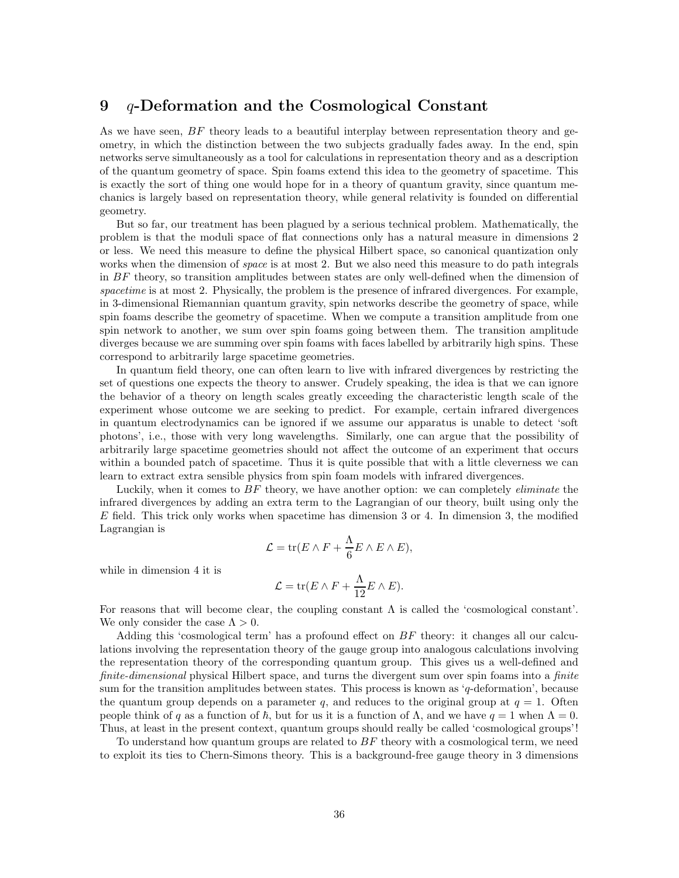# 9 q-Deformation and the Cosmological Constant

As we have seen, BF theory leads to a beautiful interplay between representation theory and geometry, in which the distinction between the two subjects gradually fades away. In the end, spin networks serve simultaneously as a tool for calculations in representation theory and as a description of the quantum geometry of space. Spin foams extend this idea to the geometry of spacetime. This is exactly the sort of thing one would hope for in a theory of quantum gravity, since quantum mechanics is largely based on representation theory, while general relativity is founded on differential geometry.

But so far, our treatment has been plagued by a serious technical problem. Mathematically, the problem is that the moduli space of flat connections only has a natural measure in dimensions 2 or less. We need this measure to define the physical Hilbert space, so canonical quantization only works when the dimension of *space* is at most 2. But we also need this measure to do path integrals in BF theory, so transition amplitudes between states are only well-defined when the dimension of spacetime is at most 2. Physically, the problem is the presence of infrared divergences. For example, in 3-dimensional Riemannian quantum gravity, spin networks describe the geometry of space, while spin foams describe the geometry of spacetime. When we compute a transition amplitude from one spin network to another, we sum over spin foams going between them. The transition amplitude diverges because we are summing over spin foams with faces labelled by arbitrarily high spins. These correspond to arbitrarily large spacetime geometries.

In quantum field theory, one can often learn to live with infrared divergences by restricting the set of questions one expects the theory to answer. Crudely speaking, the idea is that we can ignore the behavior of a theory on length scales greatly exceeding the characteristic length scale of the experiment whose outcome we are seeking to predict. For example, certain infrared divergences in quantum electrodynamics can be ignored if we assume our apparatus is unable to detect 'soft photons', i.e., those with very long wavelengths. Similarly, one can argue that the possibility of arbitrarily large spacetime geometries should not affect the outcome of an experiment that occurs within a bounded patch of spacetime. Thus it is quite possible that with a little cleverness we can learn to extract extra sensible physics from spin foam models with infrared divergences.

Luckily, when it comes to  $BF$  theory, we have another option: we can completely *eliminate* the infrared divergences by adding an extra term to the Lagrangian of our theory, built using only the E field. This trick only works when spacetime has dimension 3 or 4. In dimension 3, the modified Lagrangian is

$$
\mathcal{L} = \text{tr}(E \wedge F + \frac{\Lambda}{6} E \wedge E \wedge E),
$$

while in dimension 4 it is

$$
\mathcal{L} = \text{tr}(E \wedge F + \frac{\Lambda}{12} E \wedge E).
$$

For reasons that will become clear, the coupling constant  $\Lambda$  is called the 'cosmological constant'. We only consider the case  $\Lambda > 0$ .

Adding this 'cosmological term' has a profound effect on  $BF$  theory: it changes all our calculations involving the representation theory of the gauge group into analogous calculations involving the representation theory of the corresponding quantum group. This gives us a well-defined and finite-dimensional physical Hilbert space, and turns the divergent sum over spin foams into a finite sum for the transition amplitudes between states. This process is known as 'q-deformation', because the quantum group depends on a parameter q, and reduces to the original group at  $q = 1$ . Often people think of q as a function of  $\hbar$ , but for us it is a function of  $\Lambda$ , and we have  $q = 1$  when  $\Lambda = 0$ . Thus, at least in the present context, quantum groups should really be called 'cosmological groups'!

To understand how quantum groups are related to  $BF$  theory with a cosmological term, we need to exploit its ties to Chern-Simons theory. This is a background-free gauge theory in 3 dimensions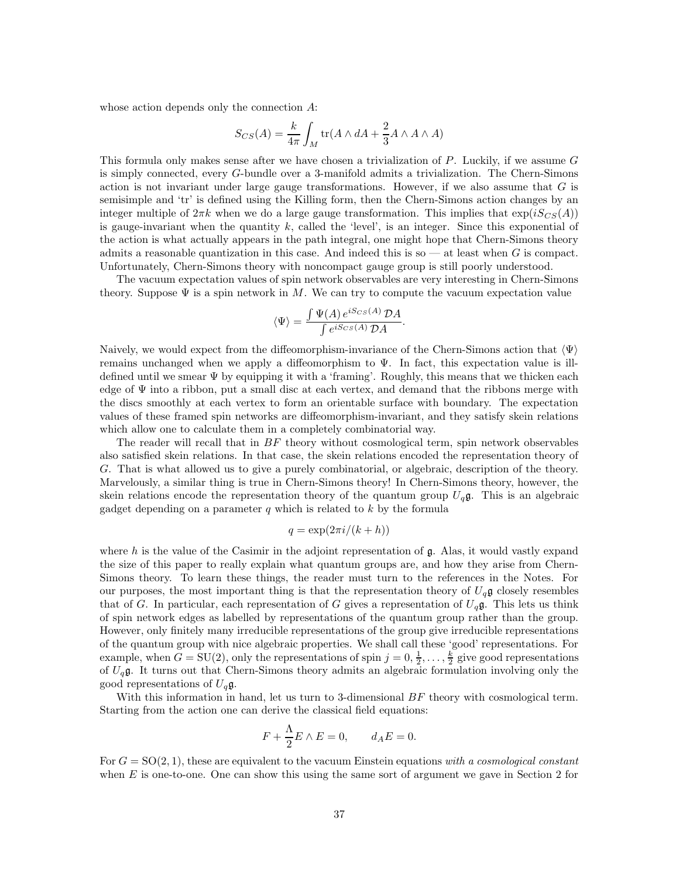whose action depends only the connection A:

$$
S_{CS}(A) = \frac{k}{4\pi} \int_M \text{tr}(A \wedge dA + \frac{2}{3}A \wedge A \wedge A)
$$

This formula only makes sense after we have chosen a trivialization of P. Luckily, if we assume G is simply connected, every G-bundle over a 3-manifold admits a trivialization. The Chern-Simons action is not invariant under large gauge transformations. However, if we also assume that  $G$  is semisimple and 'tr' is defined using the Killing form, then the Chern-Simons action changes by an integer multiple of  $2\pi k$  when we do a large gauge transformation. This implies that  $\exp(iS_{CS}(A))$ is gauge-invariant when the quantity k, called the 'level', is an integer. Since this exponential of the action is what actually appears in the path integral, one might hope that Chern-Simons theory admits a reasonable quantization in this case. And indeed this is so  $-$  at least when G is compact. Unfortunately, Chern-Simons theory with noncompact gauge group is still poorly understood.

The vacuum expectation values of spin network observables are very interesting in Chern-Simons theory. Suppose  $\Psi$  is a spin network in M. We can try to compute the vacuum expectation value

$$
\langle \Psi \rangle = \frac{\int \Psi(A) \, e^{i S_{CS}(A)} \, \mathcal{D}A}{\int e^{i S_{CS}(A)} \, \mathcal{D}A}
$$

.

Naively, we would expect from the diffeomorphism-invariance of the Chern-Simons action that  $\langle \Psi \rangle$ remains unchanged when we apply a diffeomorphism to  $\Psi$ . In fact, this expectation value is illdefined until we smear  $\Psi$  by equipping it with a 'framing'. Roughly, this means that we thicken each edge of Ψ into a ribbon, put a small disc at each vertex, and demand that the ribbons merge with the discs smoothly at each vertex to form an orientable surface with boundary. The expectation values of these framed spin networks are diffeomorphism-invariant, and they satisfy skein relations which allow one to calculate them in a completely combinatorial way.

The reader will recall that in BF theory without cosmological term, spin network observables also satisfied skein relations. In that case, the skein relations encoded the representation theory of G. That is what allowed us to give a purely combinatorial, or algebraic, description of the theory. Marvelously, a similar thing is true in Chern-Simons theory! In Chern-Simons theory, however, the skein relations encode the representation theory of the quantum group  $U_q$ g. This is an algebraic gadget depending on a parameter  $q$  which is related to  $k$  by the formula

## $q = \exp(2\pi i/(k+h))$

where h is the value of the Casimir in the adjoint representation of  $\mathfrak{g}$ . Alas, it would vastly expand the size of this paper to really explain what quantum groups are, and how they arise from Chern-Simons theory. To learn these things, the reader must turn to the references in the Notes. For our purposes, the most important thing is that the representation theory of  $U_q\mathfrak{g}$  closely resembles that of G. In particular, each representation of G gives a representation of  $U_q$ **g**. This lets us think of spin network edges as labelled by representations of the quantum group rather than the group. However, only finitely many irreducible representations of the group give irreducible representations of the quantum group with nice algebraic properties. We shall call these 'good' representations. For example, when  $G = SU(2)$ , only the representations of spin  $j = 0, \frac{1}{2}, \ldots, \frac{k}{2}$  give good representations of  $U_q$ g. It turns out that Chern-Simons theory admits an algebraic formulation involving only the good representations of  $U_q\mathfrak{g}$ .

With this information in hand, let us turn to 3-dimensional  $BF$  theory with cosmological term. Starting from the action one can derive the classical field equations:

$$
F + \frac{\Lambda}{2}E \wedge E = 0, \qquad d_A E = 0.
$$

For  $G = SO(2, 1)$ , these are equivalent to the vacuum Einstein equations with a cosmological constant when  $E$  is one-to-one. One can show this using the same sort of argument we gave in Section 2 for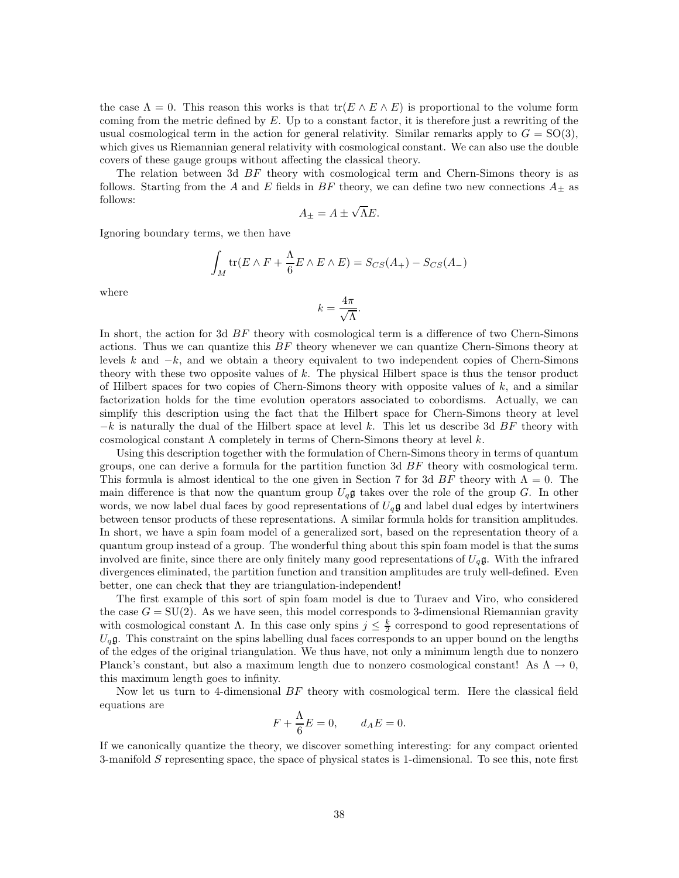the case  $\Lambda = 0$ . This reason this works is that tr( $E \wedge E \wedge E$ ) is proportional to the volume form coming from the metric defined by  $E$ . Up to a constant factor, it is therefore just a rewriting of the usual cosmological term in the action for general relativity. Similar remarks apply to  $G = SO(3)$ , which gives us Riemannian general relativity with cosmological constant. We can also use the double covers of these gauge groups without affecting the classical theory.

The relation between 3d BF theory with cosmological term and Chern-Simons theory is as follows. Starting from the A and E fields in BF theory, we can define two new connections  $A_{\pm}$  as follows:

$$
A_{\pm} = A \pm \sqrt{\Lambda} E.
$$

Ignoring boundary terms, we then have

$$
\int_M \text{tr}(E \wedge F + \frac{\Lambda}{6} E \wedge E \wedge E) = S_{CS}(A_+) - S_{CS}(A_-)
$$

where

$$
k=\frac{4\pi}{\sqrt{\Lambda}}.
$$

In short, the action for 3d  $BF$  theory with cosmological term is a difference of two Chern-Simons actions. Thus we can quantize this  $BF$  theory whenever we can quantize Chern-Simons theory at levels  $k$  and  $-k$ , and we obtain a theory equivalent to two independent copies of Chern-Simons theory with these two opposite values of k. The physical Hilbert space is thus the tensor product of Hilbert spaces for two copies of Chern-Simons theory with opposite values of  $k$ , and a similar factorization holds for the time evolution operators associated to cobordisms. Actually, we can simplify this description using the fact that the Hilbert space for Chern-Simons theory at level  $-k$  is naturally the dual of the Hilbert space at level k. This let us describe 3d BF theory with cosmological constant  $\Lambda$  completely in terms of Chern-Simons theory at level k.

Using this description together with the formulation of Chern-Simons theory in terms of quantum groups, one can derive a formula for the partition function 3d  $BF$  theory with cosmological term. This formula is almost identical to the one given in Section 7 for 3d  $BF$  theory with  $\Lambda = 0$ . The main difference is that now the quantum group  $U_q\mathfrak{g}$  takes over the role of the group G. In other words, we now label dual faces by good representations of  $U_q$ **g** and label dual edges by intertwiners between tensor products of these representations. A similar formula holds for transition amplitudes. In short, we have a spin foam model of a generalized sort, based on the representation theory of a quantum group instead of a group. The wonderful thing about this spin foam model is that the sums involved are finite, since there are only finitely many good representations of  $U_q\mathfrak{g}$ . With the infrared divergences eliminated, the partition function and transition amplitudes are truly well-defined. Even better, one can check that they are triangulation-independent!

The first example of this sort of spin foam model is due to Turaev and Viro, who considered the case  $G = SU(2)$ . As we have seen, this model corresponds to 3-dimensional Riemannian gravity with cosmological constant  $\Lambda$ . In this case only spins  $j \leq \frac{k}{2}$  correspond to good representations of  $U_q$ g. This constraint on the spins labelling dual faces corresponds to an upper bound on the lengths of the edges of the original triangulation. We thus have, not only a minimum length due to nonzero Planck's constant, but also a maximum length due to nonzero cosmological constant! As  $\Lambda \to 0$ , this maximum length goes to infinity.

Now let us turn to 4-dimensional BF theory with cosmological term. Here the classical field equations are

$$
F + \frac{\Lambda}{6}E = 0, \qquad d_A E = 0.
$$

If we canonically quantize the theory, we discover something interesting: for any compact oriented 3-manifold S representing space, the space of physical states is 1-dimensional. To see this, note first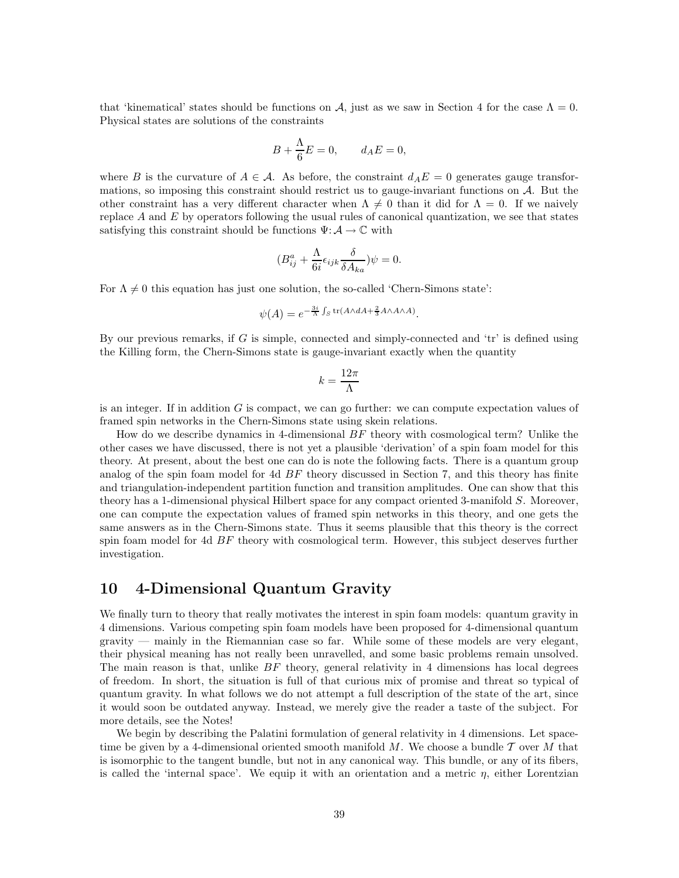that 'kinematical' states should be functions on A, just as we saw in Section 4 for the case  $\Lambda = 0$ . Physical states are solutions of the constraints

$$
B + \frac{\Lambda}{6}E = 0, \qquad d_A E = 0,
$$

where B is the curvature of  $A \in \mathcal{A}$ . As before, the constraint  $d_A E = 0$  generates gauge transformations, so imposing this constraint should restrict us to gauge-invariant functions on  $\mathcal{A}$ . But the other constraint has a very different character when  $\Lambda \neq 0$  than it did for  $\Lambda = 0$ . If we naively replace A and  $E$  by operators following the usual rules of canonical quantization, we see that states satisfying this constraint should be functions  $\Psi: \mathcal{A} \to \mathbb{C}$  with

$$
(B_{ij}^a + \frac{\Lambda}{6i} \epsilon_{ijk} \frac{\delta}{\delta A_{ka}}) \psi = 0.
$$

For  $\Lambda \neq 0$  this equation has just one solution, the so-called 'Chern-Simons state':

$$
\psi(A) = e^{-\frac{3i}{\Lambda} \int_S \text{tr}(A \wedge dA + \frac{2}{3}A \wedge A \wedge A)}.
$$

By our previous remarks, if  $G$  is simple, connected and simply-connected and 'tr' is defined using the Killing form, the Chern-Simons state is gauge-invariant exactly when the quantity

$$
k = \frac{12\pi}{\Lambda}
$$

is an integer. If in addition  $G$  is compact, we can go further: we can compute expectation values of framed spin networks in the Chern-Simons state using skein relations.

How do we describe dynamics in 4-dimensional  $BF$  theory with cosmological term? Unlike the other cases we have discussed, there is not yet a plausible 'derivation' of a spin foam model for this theory. At present, about the best one can do is note the following facts. There is a quantum group analog of the spin foam model for  $4d$   $BF$  theory discussed in Section 7, and this theory has finite and triangulation-independent partition function and transition amplitudes. One can show that this theory has a 1-dimensional physical Hilbert space for any compact oriented 3-manifold S. Moreover, one can compute the expectation values of framed spin networks in this theory, and one gets the same answers as in the Chern-Simons state. Thus it seems plausible that this theory is the correct spin foam model for 4d BF theory with cosmological term. However, this subject deserves further investigation.

## 10 4-Dimensional Quantum Gravity

We finally turn to theory that really motivates the interest in spin foam models: quantum gravity in 4 dimensions. Various competing spin foam models have been proposed for 4-dimensional quantum  $\gamma$ gravity — mainly in the Riemannian case so far. While some of these models are very elegant, their physical meaning has not really been unravelled, and some basic problems remain unsolved. The main reason is that, unlike  $BF$  theory, general relativity in 4 dimensions has local degrees of freedom. In short, the situation is full of that curious mix of promise and threat so typical of quantum gravity. In what follows we do not attempt a full description of the state of the art, since it would soon be outdated anyway. Instead, we merely give the reader a taste of the subject. For more details, see the Notes!

We begin by describing the Palatini formulation of general relativity in 4 dimensions. Let spacetime be given by a 4-dimensional oriented smooth manifold  $M$ . We choose a bundle  $\mathcal T$  over  $M$  that is isomorphic to the tangent bundle, but not in any canonical way. This bundle, or any of its fibers, is called the 'internal space'. We equip it with an orientation and a metric  $\eta$ , either Lorentzian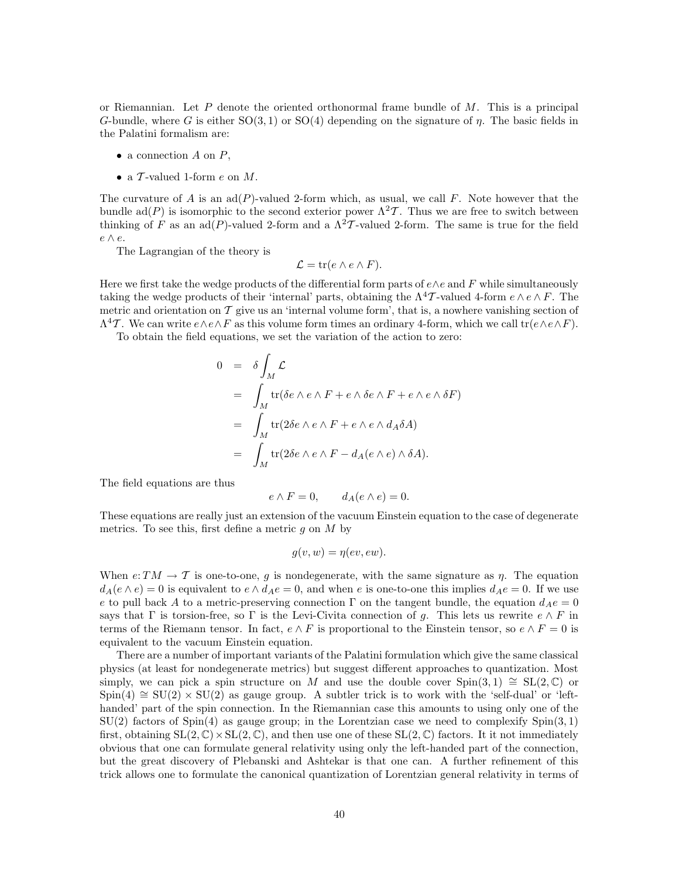or Riemannian. Let P denote the oriented orthonormal frame bundle of  $M$ . This is a principal G-bundle, where G is either  $SO(3, 1)$  or  $SO(4)$  depending on the signature of  $\eta$ . The basic fields in the Palatini formalism are:

- a connection  $A$  on  $P$ ,
- a  $\mathcal T$ -valued 1-form  $e$  on  $M$ .

The curvature of A is an  $\text{ad}(P)$ -valued 2-form which, as usual, we call F. Note however that the bundle ad(P) is isomorphic to the second exterior power  $\Lambda^2 \mathcal{T}$ . Thus we are free to switch between thinking of F as an ad(P)-valued 2-form and a  $\Lambda^2 \mathcal{T}$ -valued 2-form. The same is true for the field  $e \wedge e$ .

The Lagrangian of the theory is

$$
\mathcal{L} = \text{tr}(e \wedge e \wedge F).
$$

Here we first take the wedge products of the differential form parts of  $e \wedge e$  and F while simultaneously taking the wedge products of their 'internal' parts, obtaining the  $\Lambda^4 \mathcal{T}$ -valued 4-form  $e \wedge e \wedge F$ . The metric and orientation on  $T$  give us an 'internal volume form', that is, a nowhere vanishing section of  $\Lambda^4 \mathcal{T}$ . We can write  $e \wedge e \wedge F$  as this volume form times an ordinary 4-form, which we call  $\text{tr}(e \wedge e \wedge F)$ .

To obtain the field equations, we set the variation of the action to zero:

$$
0 = \delta \int_M \mathcal{L}
$$
  
=  $\int_M \text{tr}(\delta e \wedge e \wedge F + e \wedge \delta e \wedge F + e \wedge e \wedge \delta F)$   
=  $\int_M \text{tr}(2\delta e \wedge e \wedge F + e \wedge e \wedge d_A \delta A)$   
=  $\int_M \text{tr}(2\delta e \wedge e \wedge F - d_A(e \wedge e) \wedge \delta A).$ 

The field equations are thus

$$
e \wedge F = 0, \qquad d_A(e \wedge e) = 0.
$$

These equations are really just an extension of the vacuum Einstein equation to the case of degenerate metrics. To see this, first define a metric  $q$  on  $M$  by

$$
g(v, w) = \eta(ev, ew).
$$

When  $e: TM \to \mathcal{T}$  is one-to-one, g is nondegenerate, with the same signature as  $\eta$ . The equation  $d_A(e \wedge e) = 0$  is equivalent to  $e \wedge d_A e = 0$ , and when e is one-to-one this implies  $d_A e = 0$ . If we use e to pull back A to a metric-preserving connection  $\Gamma$  on the tangent bundle, the equation  $d_Ae = 0$ says that  $\Gamma$  is torsion-free, so  $\Gamma$  is the Levi-Civita connection of g. This lets us rewrite  $e \wedge F$  in terms of the Riemann tensor. In fact,  $e \wedge F$  is proportional to the Einstein tensor, so  $e \wedge F = 0$  is equivalent to the vacuum Einstein equation.

There are a number of important variants of the Palatini formulation which give the same classical physics (at least for nondegenerate metrics) but suggest different approaches to quantization. Most simply, we can pick a spin structure on M and use the double cover Spin(3,1)  $\cong$  SL(2,  $\mathbb{C}$ ) or  $Spin(4) \cong SU(2) \times SU(2)$  as gauge group. A subtler trick is to work with the 'self-dual' or 'lefthanded' part of the spin connection. In the Riemannian case this amounts to using only one of the  $SU(2)$  factors of Spin(4) as gauge group; in the Lorentzian case we need to complexify Spin(3, 1) first, obtaining  $SL(2,\mathbb{C})\times SL(2,\mathbb{C})$ , and then use one of these  $SL(2,\mathbb{C})$  factors. It it not immediately obvious that one can formulate general relativity using only the left-handed part of the connection, but the great discovery of Plebanski and Ashtekar is that one can. A further refinement of this trick allows one to formulate the canonical quantization of Lorentzian general relativity in terms of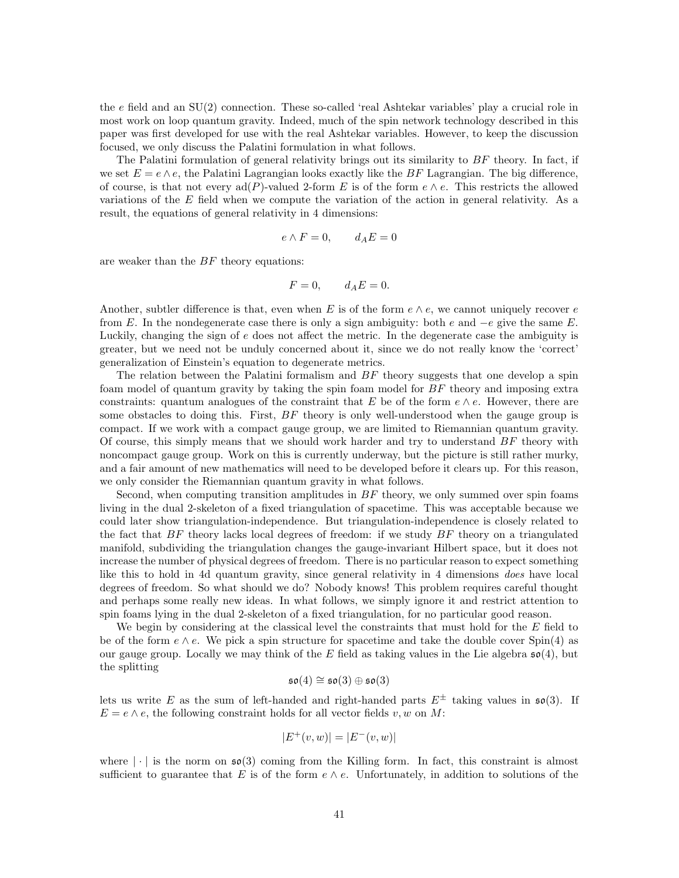the e field and an SU(2) connection. These so-called 'real Ashtekar variables' play a crucial role in most work on loop quantum gravity. Indeed, much of the spin network technology described in this paper was first developed for use with the real Ashtekar variables. However, to keep the discussion focused, we only discuss the Palatini formulation in what follows.

The Palatini formulation of general relativity brings out its similarity to  $BF$  theory. In fact, if we set  $E = e \wedge e$ , the Palatini Lagrangian looks exactly like the BF Lagrangian. The big difference, of course, is that not every  $\text{ad}(P)$ -valued 2-form E is of the form  $e \wedge e$ . This restricts the allowed variations of the E field when we compute the variation of the action in general relativity. As a result, the equations of general relativity in 4 dimensions:

$$
e \wedge F = 0, \qquad d_A E = 0
$$

are weaker than the BF theory equations:

$$
F = 0, \qquad d_A E = 0.
$$

Another, subtler difference is that, even when E is of the form  $e \wedge e$ , we cannot uniquely recover e from E. In the nondegenerate case there is only a sign ambiguity: both e and  $-e$  give the same E. Luckily, changing the sign of e does not affect the metric. In the degenerate case the ambiguity is greater, but we need not be unduly concerned about it, since we do not really know the 'correct' generalization of Einstein's equation to degenerate metrics.

The relation between the Palatini formalism and BF theory suggests that one develop a spin foam model of quantum gravity by taking the spin foam model for BF theory and imposing extra constraints: quantum analogues of the constraint that E be of the form  $e \wedge e$ . However, there are some obstacles to doing this. First,  $BF$  theory is only well-understood when the gauge group is compact. If we work with a compact gauge group, we are limited to Riemannian quantum gravity. Of course, this simply means that we should work harder and try to understand BF theory with noncompact gauge group. Work on this is currently underway, but the picture is still rather murky, and a fair amount of new mathematics will need to be developed before it clears up. For this reason, we only consider the Riemannian quantum gravity in what follows.

Second, when computing transition amplitudes in  $BF$  theory, we only summed over spin foams living in the dual 2-skeleton of a fixed triangulation of spacetime. This was acceptable because we could later show triangulation-independence. But triangulation-independence is closely related to the fact that  $BF$  theory lacks local degrees of freedom: if we study  $BF$  theory on a triangulated manifold, subdividing the triangulation changes the gauge-invariant Hilbert space, but it does not increase the number of physical degrees of freedom. There is no particular reason to expect something like this to hold in 4d quantum gravity, since general relativity in 4 dimensions does have local degrees of freedom. So what should we do? Nobody knows! This problem requires careful thought and perhaps some really new ideas. In what follows, we simply ignore it and restrict attention to spin foams lying in the dual 2-skeleton of a fixed triangulation, for no particular good reason.

We begin by considering at the classical level the constraints that must hold for the E field to be of the form  $e \wedge e$ . We pick a spin structure for spacetime and take the double cover Spin(4) as our gauge group. Locally we may think of the E field as taking values in the Lie algebra  $\mathfrak{so}(4)$ , but the splitting

$$
\mathfrak{so}(4)\cong\mathfrak{so}(3)\oplus\mathfrak{so}(3)
$$

lets us write E as the sum of left-handed and right-handed parts  $E^{\pm}$  taking values in  $\mathfrak{so}(3)$ . If  $E = e \wedge e$ , the following constraint holds for all vector fields v, w on M:

$$
\vert E^+(v,w) \vert = \vert E^-(v,w) \vert
$$

where  $|\cdot|$  is the norm on  $\mathfrak{so}(3)$  coming from the Killing form. In fact, this constraint is almost sufficient to guarantee that E is of the form  $e \wedge e$ . Unfortunately, in addition to solutions of the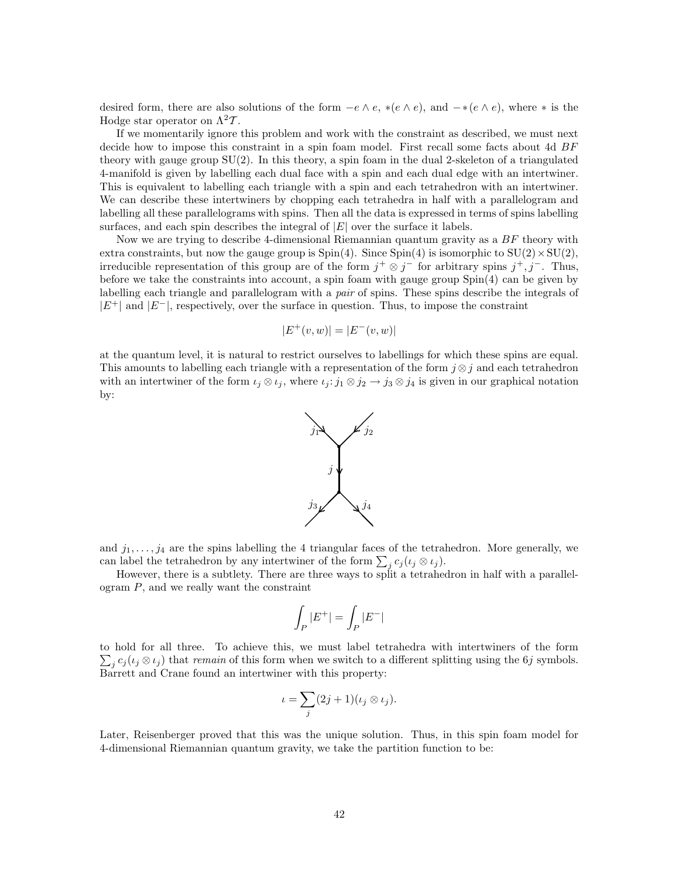desired form, there are also solutions of the form  $-e \wedge e$ , \* $(e \wedge e)$ , and  $-* (e \wedge e)$ , where \* is the Hodge star operator on  $\Lambda^2 T$ .

If we momentarily ignore this problem and work with the constraint as described, we must next decide how to impose this constraint in a spin foam model. First recall some facts about 4d BF theory with gauge group SU(2). In this theory, a spin foam in the dual 2-skeleton of a triangulated 4-manifold is given by labelling each dual face with a spin and each dual edge with an intertwiner. This is equivalent to labelling each triangle with a spin and each tetrahedron with an intertwiner. We can describe these intertwiners by chopping each tetrahedra in half with a parallelogram and labelling all these parallelograms with spins. Then all the data is expressed in terms of spins labelling surfaces, and each spin describes the integral of  $|E|$  over the surface it labels.

Now we are trying to describe 4-dimensional Riemannian quantum gravity as a  $BF$  theory with extra constraints, but now the gauge group is  $Spin(4)$ . Since  $Spin(4)$  is isomorphic to  $SU(2) \times SU(2)$ , irreducible representation of this group are of the form  $j^+ \otimes j^-$  for arbitrary spins  $j^+, j^-$ . Thus, before we take the constraints into account, a spin foam with gauge group Spin(4) can be given by labelling each triangle and parallelogram with a *pair* of spins. These spins describe the integrals of  $|E^+|$  and  $|E^-|$ , respectively, over the surface in question. Thus, to impose the constraint

$$
|E^+(v, w)| = |E^-(v, w)|
$$

at the quantum level, it is natural to restrict ourselves to labellings for which these spins are equal. This amounts to labelling each triangle with a representation of the form  $j \otimes j$  and each tetrahedron with an intertwiner of the form  $\iota_j \otimes \iota_j$ , where  $\iota_j : j_1 \otimes j_2 \to j_3 \otimes j_4$  is given in our graphical notation by:



and  $j_1, \ldots, j_4$  are the spins labelling the 4 triangular faces of the tetrahedron. More generally, we can label the tetrahedron by any intertwiner of the form  $\sum_j c_j (i_j \otimes i_j)$ .

However, there is a subtlety. There are three ways to split a tetrahedron in half with a parallel- $\gamma$  ogram  $P$ , and we really want the constraint

$$
\int_P |E^+| = \int_P |E^-|
$$

 $\sum_j c_j(\iota_j \otimes \iota_j)$  that *remain* of this form when we switch to a different splitting using the 6j symbols. to hold for all three. To achieve this, we must label tetrahedra with intertwiners of the form Barrett and Crane found an intertwiner with this property:

$$
\iota = \sum_j (2j+1)(\iota_j \otimes \iota_j).
$$

Later, Reisenberger proved that this was the unique solution. Thus, in this spin foam model for 4-dimensional Riemannian quantum gravity, we take the partition function to be: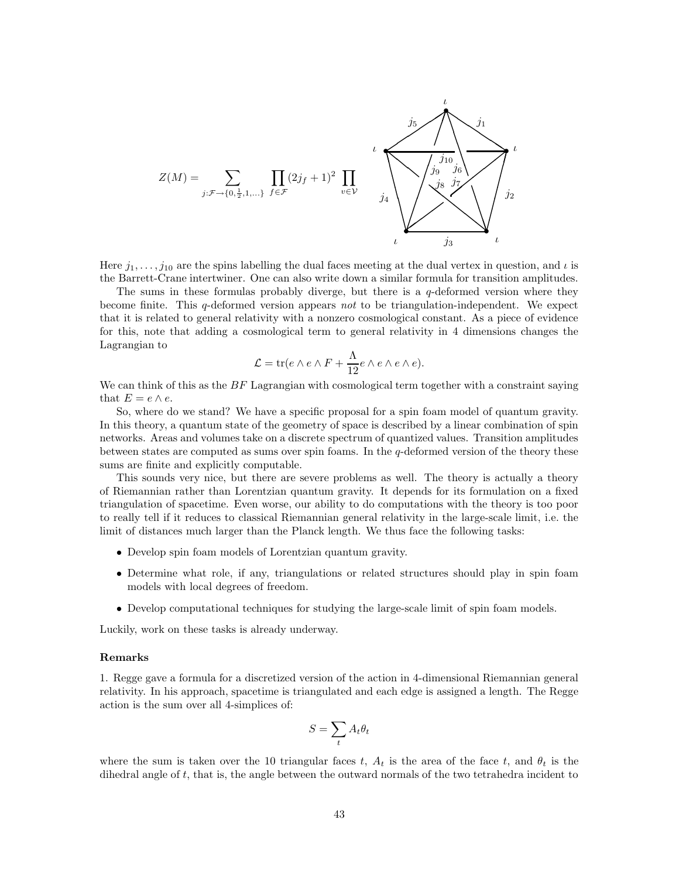$$
Z(M) = \sum_{j:\mathcal{F}\to\{0,\frac{1}{2},1,\ldots\}} \prod_{f\in\mathcal{F}} (2j_f+1)^2 \prod_{v\in\mathcal{V}} \underbrace{\left(\sum_{j_0} \frac{j_{10}}{j_0}\right)}_{j_4} \underbrace{\left(\sum_{j_8} \frac{j_{7}}{j_7}\right)}_{j_3} \underbrace{\left(\sum_{j_2} \frac{j_{10}}{j_8}\right)}_{l_2}
$$

Here  $j_1, \ldots, j_{10}$  are the spins labelling the dual faces meeting at the dual vertex in question, and  $\iota$  is the Barrett-Crane intertwiner. One can also write down a similar formula for transition amplitudes.

The sums in these formulas probably diverge, but there is a  $q$ -deformed version where they become finite. This  $q$ -deformed version appears not to be triangulation-independent. We expect that it is related to general relativity with a nonzero cosmological constant. As a piece of evidence for this, note that adding a cosmological term to general relativity in 4 dimensions changes the Lagrangian to

$$
\mathcal{L} = \text{tr}(e \wedge e \wedge F + \frac{\Lambda}{12}e \wedge e \wedge e \wedge e).
$$

We can think of this as the  $BF$  Lagrangian with cosmological term together with a constraint saying that  $E = e \wedge e$ .

So, where do we stand? We have a specific proposal for a spin foam model of quantum gravity. In this theory, a quantum state of the geometry of space is described by a linear combination of spin networks. Areas and volumes take on a discrete spectrum of quantized values. Transition amplitudes between states are computed as sums over spin foams. In the q-deformed version of the theory these sums are finite and explicitly computable.

This sounds very nice, but there are severe problems as well. The theory is actually a theory of Riemannian rather than Lorentzian quantum gravity. It depends for its formulation on a fixed triangulation of spacetime. Even worse, our ability to do computations with the theory is too poor to really tell if it reduces to classical Riemannian general relativity in the large-scale limit, i.e. the limit of distances much larger than the Planck length. We thus face the following tasks:

- Develop spin foam models of Lorentzian quantum gravity.
- Determine what role, if any, triangulations or related structures should play in spin foam models with local degrees of freedom.
- Develop computational techniques for studying the large-scale limit of spin foam models.

Luckily, work on these tasks is already underway.

#### Remarks

1. Regge gave a formula for a discretized version of the action in 4-dimensional Riemannian general relativity. In his approach, spacetime is triangulated and each edge is assigned a length. The Regge action is the sum over all 4-simplices of:

$$
S=\sum_t A_t\theta_t
$$

where the sum is taken over the 10 triangular faces t,  $A_t$  is the area of the face t, and  $\theta_t$  is the dihedral angle of t, that is, the angle between the outward normals of the two tetrahedra incident to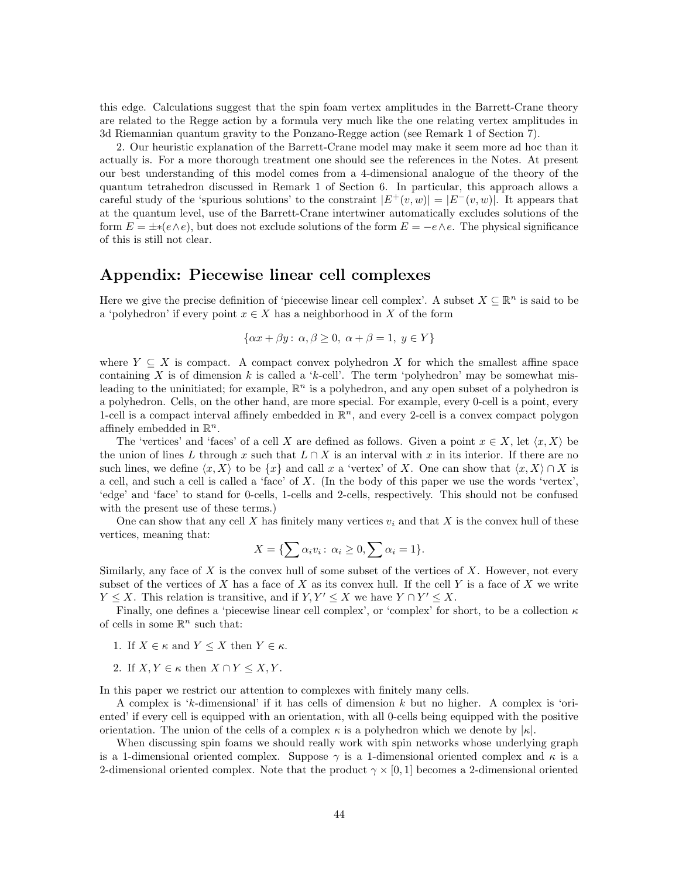this edge. Calculations suggest that the spin foam vertex amplitudes in the Barrett-Crane theory are related to the Regge action by a formula very much like the one relating vertex amplitudes in 3d Riemannian quantum gravity to the Ponzano-Regge action (see Remark 1 of Section 7).

2. Our heuristic explanation of the Barrett-Crane model may make it seem more ad hoc than it actually is. For a more thorough treatment one should see the references in the Notes. At present our best understanding of this model comes from a 4-dimensional analogue of the theory of the quantum tetrahedron discussed in Remark 1 of Section 6. In particular, this approach allows a careful study of the 'spurious solutions' to the constraint  $|E^+(v,w)| = |E^-(v,w)|$ . It appears that at the quantum level, use of the Barrett-Crane intertwiner automatically excludes solutions of the form  $E = \pm \epsilon(e \wedge e)$ , but does not exclude solutions of the form  $E = -e \wedge e$ . The physical significance of this is still not clear.

# Appendix: Piecewise linear cell complexes

Here we give the precise definition of 'piecewise linear cell complex'. A subset  $X \subseteq \mathbb{R}^n$  is said to be a 'polyhedron' if every point  $x \in X$  has a neighborhood in X of the form

$$
\{\alpha x + \beta y : \alpha, \beta \ge 0, \ \alpha + \beta = 1, \ y \in Y\}
$$

where  $Y \subseteq X$  is compact. A compact convex polyhedron X for which the smallest affine space containing X is of dimension k is called a 'k-cell'. The term 'polyhedron' may be somewhat misleading to the uninitiated; for example,  $\mathbb{R}^n$  is a polyhedron, and any open subset of a polyhedron is a polyhedron. Cells, on the other hand, are more special. For example, every 0-cell is a point, every 1-cell is a compact interval affinely embedded in  $\mathbb{R}^n$ , and every 2-cell is a convex compact polygon affinely embedded in  $\mathbb{R}^n$ .

The 'vertices' and 'faces' of a cell X are defined as follows. Given a point  $x \in X$ , let  $\langle x, X \rangle$  be the union of lines L through x such that  $L \cap X$  is an interval with x in its interior. If there are no such lines, we define  $\langle x, X \rangle$  to be  $\{x\}$  and call x a 'vertex' of X. One can show that  $\langle x, X \rangle \cap X$  is a cell, and such a cell is called a 'face' of X. (In the body of this paper we use the words 'vertex', 'edge' and 'face' to stand for 0-cells, 1-cells and 2-cells, respectively. This should not be confused with the present use of these terms.)

One can show that any cell X has finitely many vertices  $v_i$  and that X is the convex hull of these vertices, meaning that:

$$
X = \{ \sum \alpha_i v_i \colon \alpha_i \ge 0, \sum \alpha_i = 1 \}.
$$

Similarly, any face of X is the convex hull of some subset of the vertices of X. However, not every subset of the vertices of X has a face of X as its convex hull. If the cell Y is a face of X we write  $Y \leq X$ . This relation is transitive, and if  $Y, Y' \leq X$  we have  $Y \cap Y' \leq X$ .

Finally, one defines a 'piecewise linear cell complex', or 'complex' for short, to be a collection  $\kappa$ of cells in some  $\mathbb{R}^n$  such that:

- 1. If  $X \in \kappa$  and  $Y \leq X$  then  $Y \in \kappa$ .
- 2. If  $X, Y \in \kappa$  then  $X \cap Y \leq X, Y$ .

In this paper we restrict our attention to complexes with finitely many cells.

A complex is 'k-dimensional' if it has cells of dimension  $k$  but no higher. A complex is 'oriented' if every cell is equipped with an orientation, with all 0-cells being equipped with the positive orientation. The union of the cells of a complex  $\kappa$  is a polyhedron which we denote by  $|\kappa|$ .

When discussing spin foams we should really work with spin networks whose underlying graph is a 1-dimensional oriented complex. Suppose  $\gamma$  is a 1-dimensional oriented complex and  $\kappa$  is a 2-dimensional oriented complex. Note that the product  $\gamma \times [0, 1]$  becomes a 2-dimensional oriented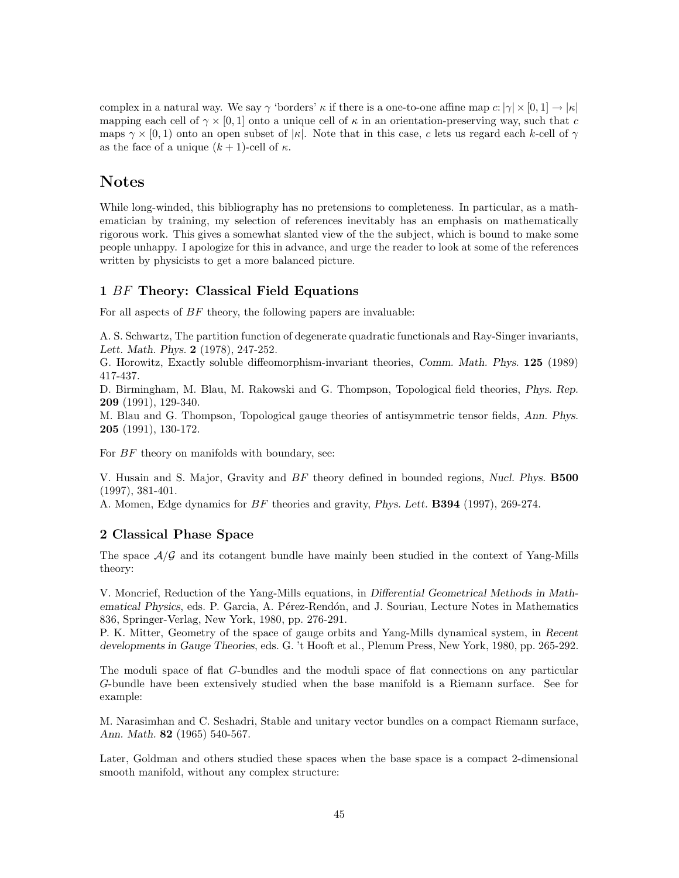complex in a natural way. We say  $\gamma$  'borders'  $\kappa$  if there is a one-to-one affine map  $c: |\gamma| \times [0, 1] \to |\kappa|$ mapping each cell of  $\gamma \times [0, 1]$  onto a unique cell of  $\kappa$  in an orientation-preserving way, such that c maps  $\gamma \times [0, 1)$  onto an open subset of  $|\kappa|$ . Note that in this case, c lets us regard each k-cell of  $\gamma$ as the face of a unique  $(k + 1)$ -cell of  $\kappa$ .

# Notes

While long-winded, this bibliography has no pretensions to completeness. In particular, as a mathematician by training, my selection of references inevitably has an emphasis on mathematically rigorous work. This gives a somewhat slanted view of the the subject, which is bound to make some people unhappy. I apologize for this in advance, and urge the reader to look at some of the references written by physicists to get a more balanced picture.

## 1 BF Theory: Classical Field Equations

For all aspects of BF theory, the following papers are invaluable:

A. S. Schwartz, The partition function of degenerate quadratic functionals and Ray-Singer invariants, Lett. Math. Phys. 2 (1978), 247-252.

G. Horowitz, Exactly soluble diffeomorphism-invariant theories, Comm. Math. Phys. 125 (1989) 417-437.

D. Birmingham, M. Blau, M. Rakowski and G. Thompson, Topological field theories, Phys. Rep. 209 (1991), 129-340.

M. Blau and G. Thompson, Topological gauge theories of antisymmetric tensor fields, Ann. Phys. 205 (1991), 130-172.

For  $BF$  theory on manifolds with boundary, see:

V. Husain and S. Major, Gravity and BF theory defined in bounded regions, Nucl. Phys. B500 (1997), 381-401.

A. Momen, Edge dynamics for BF theories and gravity, Phys. Lett. B394 (1997), 269-274.

## 2 Classical Phase Space

The space  $\mathcal{A}/\mathcal{G}$  and its cotangent bundle have mainly been studied in the context of Yang-Mills theory:

V. Moncrief, Reduction of the Yang-Mills equations, in Differential Geometrical Methods in Mathematical Physics, eds. P. Garcia, A. Pérez-Rendón, and J. Souriau, Lecture Notes in Mathematics 836, Springer-Verlag, New York, 1980, pp. 276-291.

P. K. Mitter, Geometry of the space of gauge orbits and Yang-Mills dynamical system, in Recent developments in Gauge Theories, eds. G. 't Hooft et al., Plenum Press, New York, 1980, pp. 265-292.

The moduli space of flat G-bundles and the moduli space of flat connections on any particular G-bundle have been extensively studied when the base manifold is a Riemann surface. See for example:

M. Narasimhan and C. Seshadri, Stable and unitary vector bundles on a compact Riemann surface, Ann. Math. 82 (1965) 540-567.

Later, Goldman and others studied these spaces when the base space is a compact 2-dimensional smooth manifold, without any complex structure: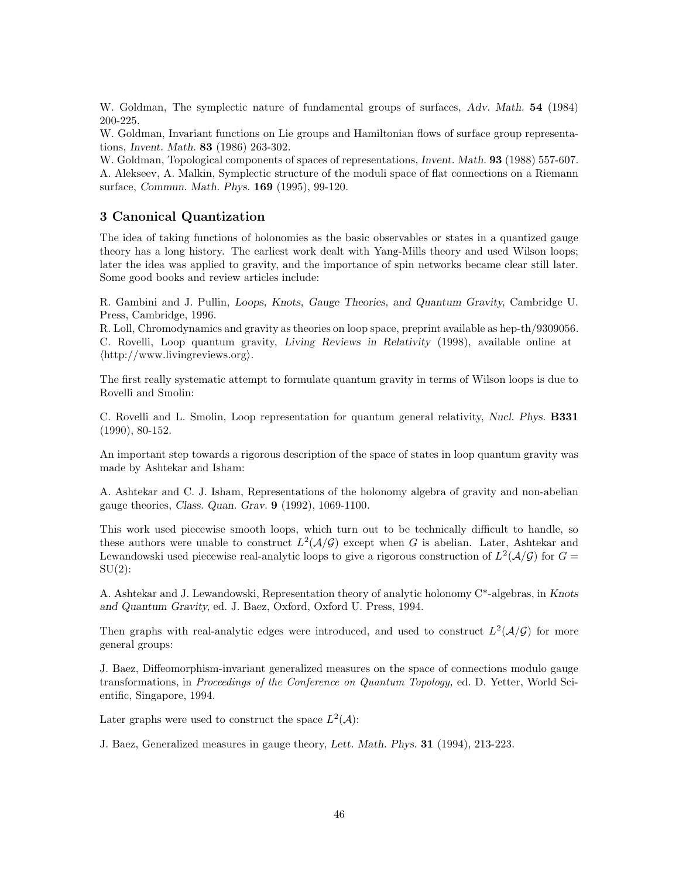W. Goldman, The symplectic nature of fundamental groups of surfaces, Adv. Math. 54 (1984) 200-225.

W. Goldman, Invariant functions on Lie groups and Hamiltonian flows of surface group representations, Invent. Math. 83 (1986) 263-302.

W. Goldman, Topological components of spaces of representations, Invent. Math. **93** (1988) 557-607. A. Alekseev, A. Malkin, Symplectic structure of the moduli space of flat connections on a Riemann surface, Commun. Math. Phys. 169 (1995), 99-120.

## 3 Canonical Quantization

The idea of taking functions of holonomies as the basic observables or states in a quantized gauge theory has a long history. The earliest work dealt with Yang-Mills theory and used Wilson loops; later the idea was applied to gravity, and the importance of spin networks became clear still later. Some good books and review articles include:

R. Gambini and J. Pullin, Loops, Knots, Gauge Theories, and Quantum Gravity, Cambridge U. Press, Cambridge, 1996.

R. Loll, Chromodynamics and gravity as theories on loop space, preprint available as hep-th/9309056. C. Rovelli, Loop quantum gravity, Living Reviews in Relativity (1998), available online at  $\langle$ http://www.livingreviews.org $\rangle$ .

The first really systematic attempt to formulate quantum gravity in terms of Wilson loops is due to Rovelli and Smolin:

C. Rovelli and L. Smolin, Loop representation for quantum general relativity, Nucl. Phys. B331 (1990), 80-152.

An important step towards a rigorous description of the space of states in loop quantum gravity was made by Ashtekar and Isham:

A. Ashtekar and C. J. Isham, Representations of the holonomy algebra of gravity and non-abelian gauge theories, Class. Quan. Grav. 9 (1992), 1069-1100.

This work used piecewise smooth loops, which turn out to be technically difficult to handle, so these authors were unable to construct  $L^2(\mathcal{A}/\mathcal{G})$  except when G is abelian. Later, Ashtekar and Lewandowski used piecewise real-analytic loops to give a rigorous construction of  $L^2(\mathcal{A}/\mathcal{G})$  for  $G =$  $SU(2)$ :

A. Ashtekar and J. Lewandowski, Representation theory of analytic holonomy C\*-algebras, in Knots and Quantum Gravity, ed. J. Baez, Oxford, Oxford U. Press, 1994.

Then graphs with real-analytic edges were introduced, and used to construct  $L^2(\mathcal{A}/\mathcal{G})$  for more general groups:

J. Baez, Diffeomorphism-invariant generalized measures on the space of connections modulo gauge transformations, in *Proceedings of the Conference on Quantum Topology*, ed. D. Yetter, World Scientific, Singapore, 1994.

Later graphs were used to construct the space  $L^2(\mathcal{A})$ :

J. Baez, Generalized measures in gauge theory, Lett. Math. Phys. 31 (1994), 213-223.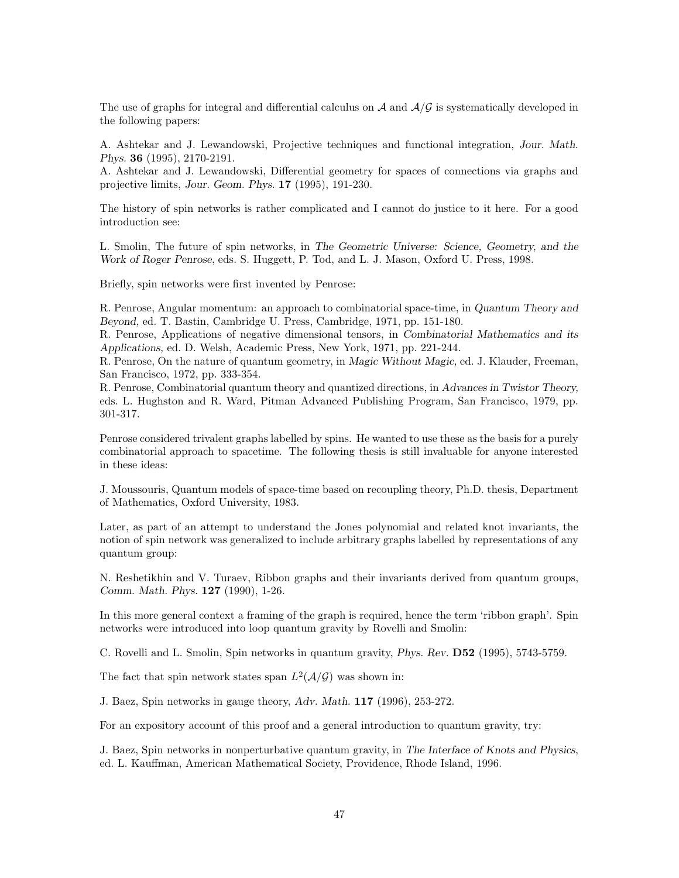The use of graphs for integral and differential calculus on  $\mathcal A$  and  $\mathcal A/\mathcal G$  is systematically developed in the following papers:

A. Ashtekar and J. Lewandowski, Projective techniques and functional integration, Jour. Math. Phys. 36 (1995), 2170-2191.

A. Ashtekar and J. Lewandowski, Differential geometry for spaces of connections via graphs and projective limits, Jour. Geom. Phys. 17 (1995), 191-230.

The history of spin networks is rather complicated and I cannot do justice to it here. For a good introduction see:

L. Smolin, The future of spin networks, in The Geometric Universe: Science, Geometry, and the Work of Roger Penrose, eds. S. Huggett, P. Tod, and L. J. Mason, Oxford U. Press, 1998.

Briefly, spin networks were first invented by Penrose:

R. Penrose, Angular momentum: an approach to combinatorial space-time, in Quantum Theory and Beyond, ed. T. Bastin, Cambridge U. Press, Cambridge, 1971, pp. 151-180.

R. Penrose, Applications of negative dimensional tensors, in Combinatorial Mathematics and its Applications, ed. D. Welsh, Academic Press, New York, 1971, pp. 221-244.

R. Penrose, On the nature of quantum geometry, in Magic Without Magic, ed. J. Klauder, Freeman, San Francisco, 1972, pp. 333-354.

R. Penrose, Combinatorial quantum theory and quantized directions, in Advances in Twistor Theory, eds. L. Hughston and R. Ward, Pitman Advanced Publishing Program, San Francisco, 1979, pp. 301-317.

Penrose considered trivalent graphs labelled by spins. He wanted to use these as the basis for a purely combinatorial approach to spacetime. The following thesis is still invaluable for anyone interested in these ideas:

J. Moussouris, Quantum models of space-time based on recoupling theory, Ph.D. thesis, Department of Mathematics, Oxford University, 1983.

Later, as part of an attempt to understand the Jones polynomial and related knot invariants, the notion of spin network was generalized to include arbitrary graphs labelled by representations of any quantum group:

N. Reshetikhin and V. Turaev, Ribbon graphs and their invariants derived from quantum groups, Comm. Math. Phys. 127 (1990), 1-26.

In this more general context a framing of the graph is required, hence the term 'ribbon graph'. Spin networks were introduced into loop quantum gravity by Rovelli and Smolin:

C. Rovelli and L. Smolin, Spin networks in quantum gravity, Phys. Rev. D52 (1995), 5743-5759.

The fact that spin network states span  $L^2(\mathcal{A}/\mathcal{G})$  was shown in:

J. Baez, Spin networks in gauge theory, Adv. Math. 117 (1996), 253-272.

For an expository account of this proof and a general introduction to quantum gravity, try:

J. Baez, Spin networks in nonperturbative quantum gravity, in The Interface of Knots and Physics, ed. L. Kauffman, American Mathematical Society, Providence, Rhode Island, 1996.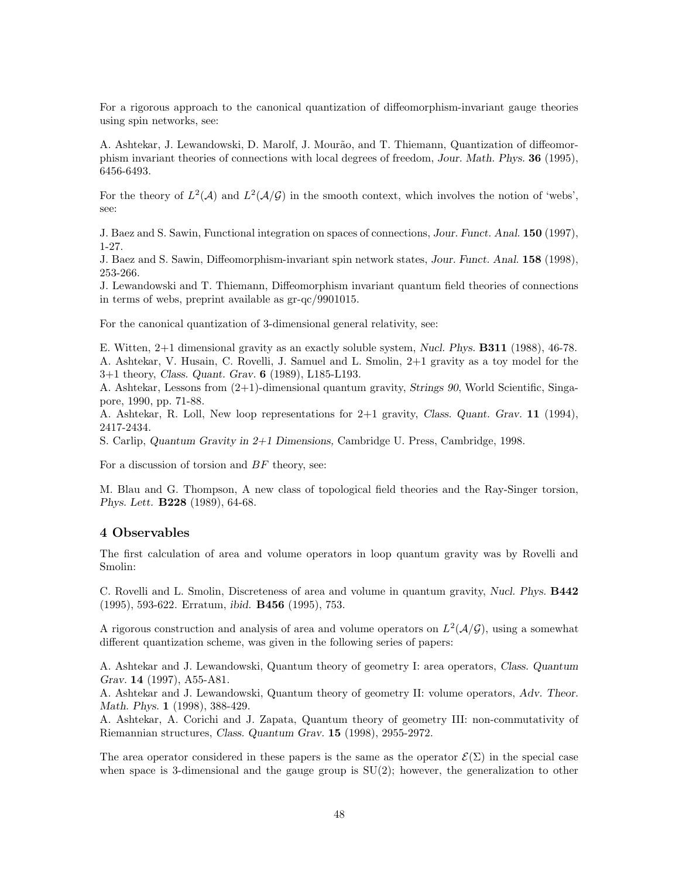For a rigorous approach to the canonical quantization of diffeomorphism-invariant gauge theories using spin networks, see:

A. Ashtekar, J. Lewandowski, D. Marolf, J. Mourão, and T. Thiemann, Quantization of diffeomorphism invariant theories of connections with local degrees of freedom, Jour. Math. Phys. 36 (1995), 6456-6493.

For the theory of  $L^2(\mathcal{A})$  and  $L^2(\mathcal{A}/\mathcal{G})$  in the smooth context, which involves the notion of 'webs', see:

J. Baez and S. Sawin, Functional integration on spaces of connections, Jour. Funct. Anal. 150 (1997), 1-27.

J. Baez and S. Sawin, Diffeomorphism-invariant spin network states, Jour. Funct. Anal. 158 (1998), 253-266.

J. Lewandowski and T. Thiemann, Diffeomorphism invariant quantum field theories of connections in terms of webs, preprint available as gr-qc/9901015.

For the canonical quantization of 3-dimensional general relativity, see:

E. Witten, 2+1 dimensional gravity as an exactly soluble system, Nucl. Phys. B311 (1988), 46-78. A. Ashtekar, V. Husain, C. Rovelli, J. Samuel and L. Smolin, 2+1 gravity as a toy model for the 3+1 theory, Class. Quant. Grav. 6 (1989), L185-L193.

A. Ashtekar, Lessons from (2+1)-dimensional quantum gravity, Strings 90, World Scientific, Singapore, 1990, pp. 71-88.

A. Ashtekar, R. Loll, New loop representations for 2+1 gravity, Class. Quant. Grav. 11 (1994), 2417-2434.

S. Carlip, Quantum Gravity in 2+1 Dimensions, Cambridge U. Press, Cambridge, 1998.

For a discussion of torsion and  $BF$  theory, see:

M. Blau and G. Thompson, A new class of topological field theories and the Ray-Singer torsion, Phys. Lett. B228 (1989), 64-68.

### 4 Observables

The first calculation of area and volume operators in loop quantum gravity was by Rovelli and Smolin:

C. Rovelli and L. Smolin, Discreteness of area and volume in quantum gravity, Nucl. Phys. B442 (1995), 593-622. Erratum, ibid. B456 (1995), 753.

A rigorous construction and analysis of area and volume operators on  $L^2(\mathcal{A}/\mathcal{G})$ , using a somewhat different quantization scheme, was given in the following series of papers:

A. Ashtekar and J. Lewandowski, Quantum theory of geometry I: area operators, Class. Quantum Grav. 14 (1997), A55-A81.

A. Ashtekar and J. Lewandowski, Quantum theory of geometry II: volume operators, Adv. Theor. Math. Phys. 1 (1998), 388-429.

A. Ashtekar, A. Corichi and J. Zapata, Quantum theory of geometry III: non-commutativity of Riemannian structures, Class. Quantum Grav. 15 (1998), 2955-2972.

The area operator considered in these papers is the same as the operator  $\mathcal{E}(\Sigma)$  in the special case when space is 3-dimensional and the gauge group is  $SU(2)$ ; however, the generalization to other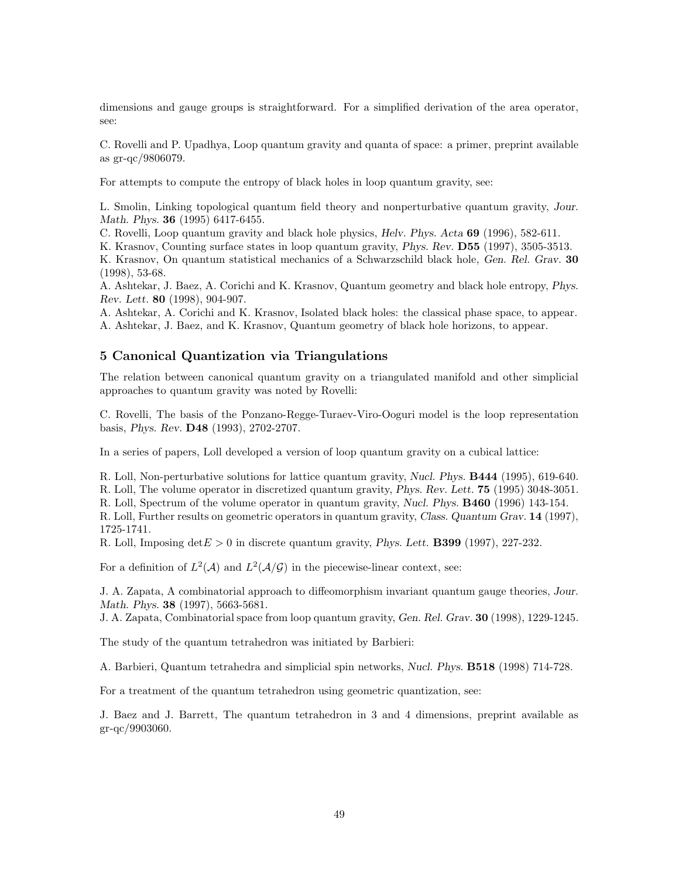dimensions and gauge groups is straightforward. For a simplified derivation of the area operator, see:

C. Rovelli and P. Upadhya, Loop quantum gravity and quanta of space: a primer, preprint available as gr-qc/9806079.

For attempts to compute the entropy of black holes in loop quantum gravity, see:

L. Smolin, Linking topological quantum field theory and nonperturbative quantum gravity, Jour. Math. Phys. 36 (1995) 6417-6455.

C. Rovelli, Loop quantum gravity and black hole physics, Helv. Phys. Acta 69 (1996), 582-611.

K. Krasnov, Counting surface states in loop quantum gravity, Phys. Rev. D55 (1997), 3505-3513.

K. Krasnov, On quantum statistical mechanics of a Schwarzschild black hole, Gen. Rel. Grav. 30 (1998), 53-68.

A. Ashtekar, J. Baez, A. Corichi and K. Krasnov, Quantum geometry and black hole entropy, Phys. Rev. Lett. 80 (1998), 904-907.

A. Ashtekar, A. Corichi and K. Krasnov, Isolated black holes: the classical phase space, to appear. A. Ashtekar, J. Baez, and K. Krasnov, Quantum geometry of black hole horizons, to appear.

## 5 Canonical Quantization via Triangulations

The relation between canonical quantum gravity on a triangulated manifold and other simplicial approaches to quantum gravity was noted by Rovelli:

C. Rovelli, The basis of the Ponzano-Regge-Turaev-Viro-Ooguri model is the loop representation basis, Phys. Rev. D48 (1993), 2702-2707.

In a series of papers, Loll developed a version of loop quantum gravity on a cubical lattice:

R. Loll, Non-perturbative solutions for lattice quantum gravity, Nucl. Phys. B444 (1995), 619-640.

R. Loll, The volume operator in discretized quantum gravity, Phys. Rev. Lett. 75 (1995) 3048-3051.

R. Loll, Spectrum of the volume operator in quantum gravity, Nucl. Phys. B460 (1996) 143-154.

R. Loll, Further results on geometric operators in quantum gravity, Class. Quantum Grav. 14 (1997), 1725-1741.

R. Loll, Imposing  $\det E > 0$  in discrete quantum gravity, *Phys. Lett.* **B399** (1997), 227-232.

For a definition of  $L^2(\mathcal{A})$  and  $L^2(\mathcal{A}/\mathcal{G})$  in the piecewise-linear context, see:

J. A. Zapata, A combinatorial approach to diffeomorphism invariant quantum gauge theories, Jour. Math. Phys. **38** (1997), 5663-5681.

J. A. Zapata, Combinatorial space from loop quantum gravity, Gen. Rel. Grav. 30 (1998), 1229-1245.

The study of the quantum tetrahedron was initiated by Barbieri:

A. Barbieri, Quantum tetrahedra and simplicial spin networks, Nucl. Phys. B518 (1998) 714-728.

For a treatment of the quantum tetrahedron using geometric quantization, see:

J. Baez and J. Barrett, The quantum tetrahedron in 3 and 4 dimensions, preprint available as gr-qc/9903060.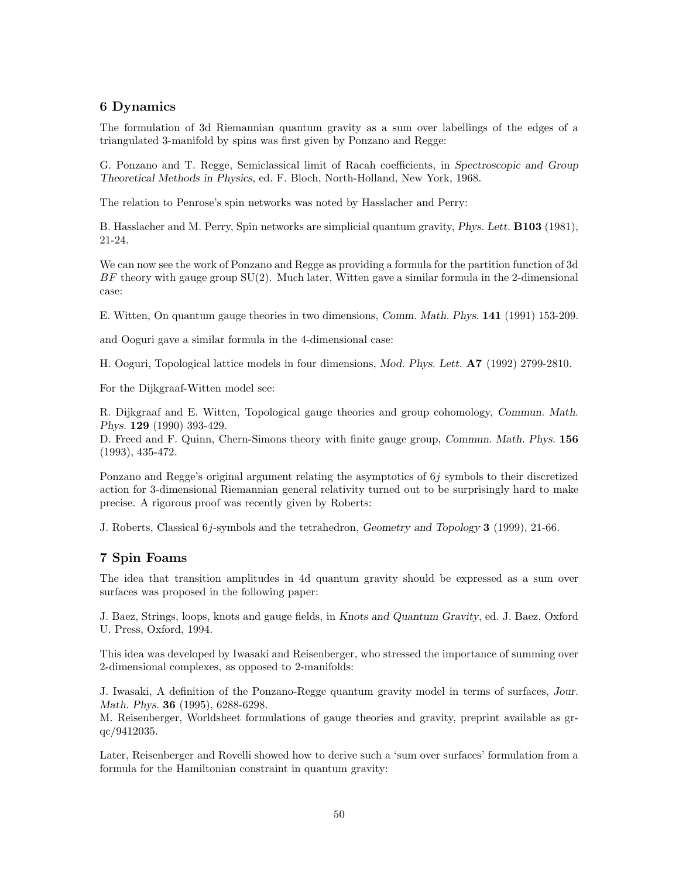# 6 Dynamics

The formulation of 3d Riemannian quantum gravity as a sum over labellings of the edges of a triangulated 3-manifold by spins was first given by Ponzano and Regge:

G. Ponzano and T. Regge, Semiclassical limit of Racah coefficients, in Spectroscopic and Group Theoretical Methods in Physics, ed. F. Bloch, North-Holland, New York, 1968.

The relation to Penrose's spin networks was noted by Hasslacher and Perry:

B. Hasslacher and M. Perry, Spin networks are simplicial quantum gravity, Phys. Lett. **B103** (1981), 21-24.

We can now see the work of Ponzano and Regge as providing a formula for the partition function of 3d  $BF$  theory with gauge group  $SU(2)$ . Much later, Witten gave a similar formula in the 2-dimensional case:

E. Witten, On quantum gauge theories in two dimensions, Comm. Math. Phys. 141 (1991) 153-209.

and Ooguri gave a similar formula in the 4-dimensional case:

H. Ooguri, Topological lattice models in four dimensions, Mod. Phys. Lett. A7 (1992) 2799-2810.

For the Dijkgraaf-Witten model see:

R. Dijkgraaf and E. Witten, Topological gauge theories and group cohomology, Commun. Math. Phys. 129 (1990) 393-429.

D. Freed and F. Quinn, Chern-Simons theory with finite gauge group, Commun. Math. Phys. 156 (1993), 435-472.

Ponzano and Regge's original argument relating the asymptotics of 6j symbols to their discretized action for 3-dimensional Riemannian general relativity turned out to be surprisingly hard to make precise. A rigorous proof was recently given by Roberts:

J. Roberts, Classical 6j-symbols and the tetrahedron, Geometry and Topology 3 (1999), 21-66.

## 7 Spin Foams

The idea that transition amplitudes in 4d quantum gravity should be expressed as a sum over surfaces was proposed in the following paper:

J. Baez, Strings, loops, knots and gauge fields, in Knots and Quantum Gravity, ed. J. Baez, Oxford U. Press, Oxford, 1994.

This idea was developed by Iwasaki and Reisenberger, who stressed the importance of summing over 2-dimensional complexes, as opposed to 2-manifolds:

J. Iwasaki, A definition of the Ponzano-Regge quantum gravity model in terms of surfaces, Jour. Math. Phys. **36** (1995), 6288-6298.

M. Reisenberger, Worldsheet formulations of gauge theories and gravity, preprint available as grqc/9412035.

Later, Reisenberger and Rovelli showed how to derive such a 'sum over surfaces' formulation from a formula for the Hamiltonian constraint in quantum gravity: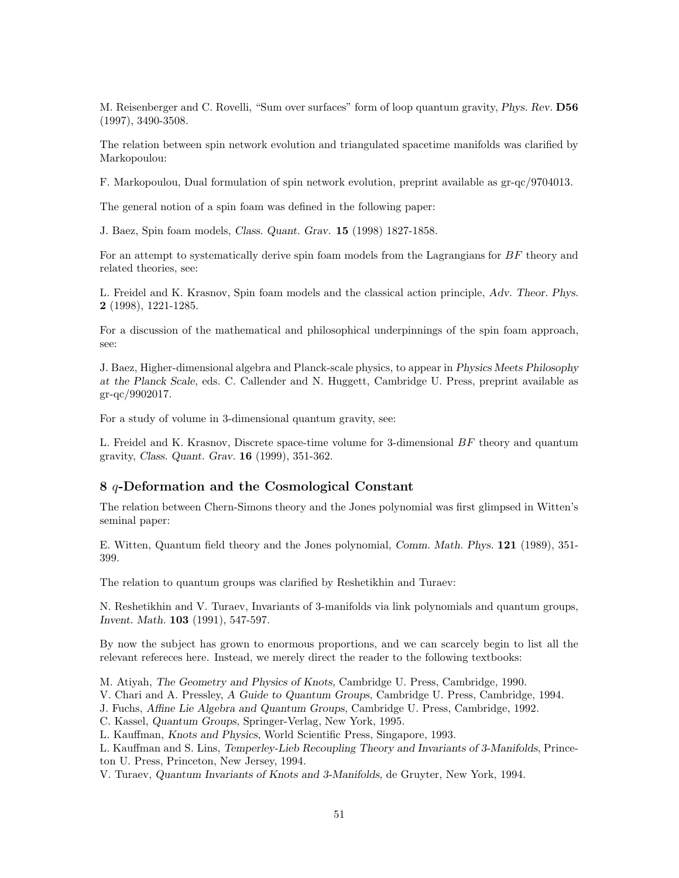M. Reisenberger and C. Rovelli, "Sum over surfaces" form of loop quantum gravity, *Phys. Rev.* **D56** (1997), 3490-3508.

The relation between spin network evolution and triangulated spacetime manifolds was clarified by Markopoulou:

F. Markopoulou, Dual formulation of spin network evolution, preprint available as gr-qc/9704013.

The general notion of a spin foam was defined in the following paper:

J. Baez, Spin foam models, Class. Quant. Grav. 15 (1998) 1827-1858.

For an attempt to systematically derive spin foam models from the Lagrangians for  $BF$  theory and related theories, see:

L. Freidel and K. Krasnov, Spin foam models and the classical action principle, Adv. Theor. Phys. 2 (1998), 1221-1285.

For a discussion of the mathematical and philosophical underpinnings of the spin foam approach, see:

J. Baez, Higher-dimensional algebra and Planck-scale physics, to appear in Physics Meets Philosophy at the Planck Scale, eds. C. Callender and N. Huggett, Cambridge U. Press, preprint available as gr-qc/9902017.

For a study of volume in 3-dimensional quantum gravity, see:

L. Freidel and K. Krasnov, Discrete space-time volume for 3-dimensional BF theory and quantum gravity, Class. Quant. Grav. 16 (1999), 351-362.

## 8 q-Deformation and the Cosmological Constant

The relation between Chern-Simons theory and the Jones polynomial was first glimpsed in Witten's seminal paper:

E. Witten, Quantum field theory and the Jones polynomial, Comm. Math. Phys. 121 (1989), 351- 399.

The relation to quantum groups was clarified by Reshetikhin and Turaev:

N. Reshetikhin and V. Turaev, Invariants of 3-manifolds via link polynomials and quantum groups, Invent. Math. 103 (1991), 547-597.

By now the subject has grown to enormous proportions, and we can scarcely begin to list all the relevant refereces here. Instead, we merely direct the reader to the following textbooks:

M. Atiyah, The Geometry and Physics of Knots, Cambridge U. Press, Cambridge, 1990.

- V. Chari and A. Pressley, A Guide to Quantum Groups, Cambridge U. Press, Cambridge, 1994.
- J. Fuchs, Affine Lie Algebra and Quantum Groups, Cambridge U. Press, Cambridge, 1992.

C. Kassel, Quantum Groups, Springer-Verlag, New York, 1995.

L. Kauffman, Knots and Physics, World Scientific Press, Singapore, 1993.

L. Kauffman and S. Lins, Temperley-Lieb Recoupling Theory and Invariants of 3-Manifolds, Princeton U. Press, Princeton, New Jersey, 1994.

V. Turaev, Quantum Invariants of Knots and 3-Manifolds, de Gruyter, New York, 1994.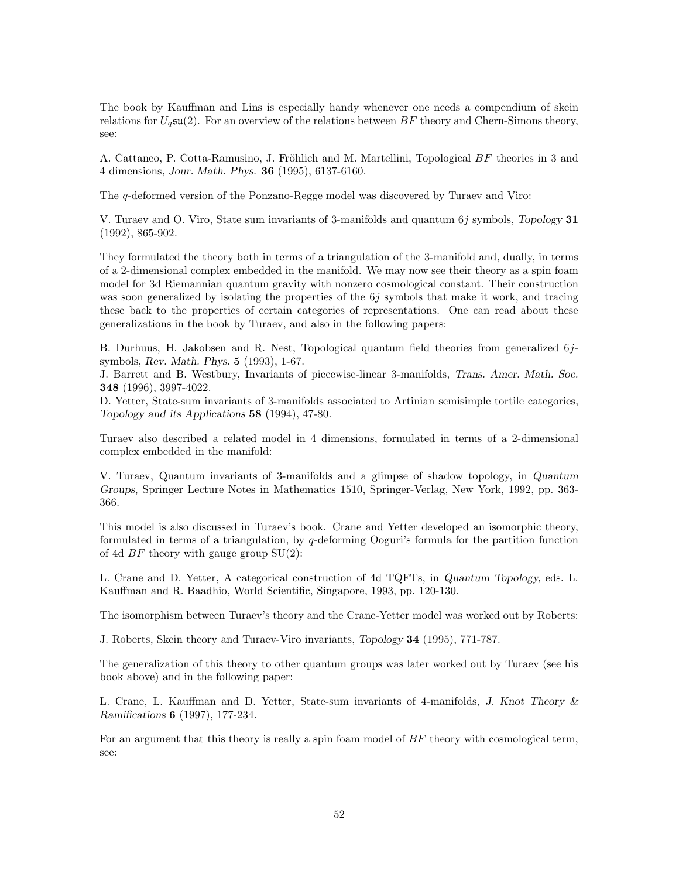The book by Kauffman and Lins is especially handy whenever one needs a compendium of skein relations for  $U_q$ su(2). For an overview of the relations between BF theory and Chern-Simons theory, see:

A. Cattaneo, P. Cotta-Ramusino, J. Fröhlich and M. Martellini, Topological  $BF$  theories in 3 and 4 dimensions, Jour. Math. Phys. 36 (1995), 6137-6160.

The q-deformed version of the Ponzano-Regge model was discovered by Turaev and Viro:

V. Turaev and O. Viro, State sum invariants of 3-manifolds and quantum 6j symbols, Topology 31 (1992), 865-902.

They formulated the theory both in terms of a triangulation of the 3-manifold and, dually, in terms of a 2-dimensional complex embedded in the manifold. We may now see their theory as a spin foam model for 3d Riemannian quantum gravity with nonzero cosmological constant. Their construction was soon generalized by isolating the properties of the  $6j$  symbols that make it work, and tracing these back to the properties of certain categories of representations. One can read about these generalizations in the book by Turaev, and also in the following papers:

B. Durhuus, H. Jakobsen and R. Nest, Topological quantum field theories from generalized 6jsymbols, Rev. Math. Phys. 5 (1993), 1-67.

J. Barrett and B. Westbury, Invariants of piecewise-linear 3-manifolds, Trans. Amer. Math. Soc. 348 (1996), 3997-4022.

D. Yetter, State-sum invariants of 3-manifolds associated to Artinian semisimple tortile categories, Topology and its Applications 58 (1994), 47-80.

Turaev also described a related model in 4 dimensions, formulated in terms of a 2-dimensional complex embedded in the manifold:

V. Turaev, Quantum invariants of 3-manifolds and a glimpse of shadow topology, in Quantum Groups, Springer Lecture Notes in Mathematics 1510, Springer-Verlag, New York, 1992, pp. 363- 366.

This model is also discussed in Turaev's book. Crane and Yetter developed an isomorphic theory, formulated in terms of a triangulation, by q-deforming Ooguri's formula for the partition function of 4d  $BF$  theory with gauge group  $SU(2)$ :

L. Crane and D. Yetter, A categorical construction of 4d TQFTs, in Quantum Topology, eds. L. Kauffman and R. Baadhio, World Scientific, Singapore, 1993, pp. 120-130.

The isomorphism between Turaev's theory and the Crane-Yetter model was worked out by Roberts:

J. Roberts, Skein theory and Turaev-Viro invariants, Topology 34 (1995), 771-787.

The generalization of this theory to other quantum groups was later worked out by Turaev (see his book above) and in the following paper:

L. Crane, L. Kauffman and D. Yetter, State-sum invariants of 4-manifolds, J. Knot Theory & Ramifications 6 (1997), 177-234.

For an argument that this theory is really a spin foam model of  $BF$  theory with cosmological term, see: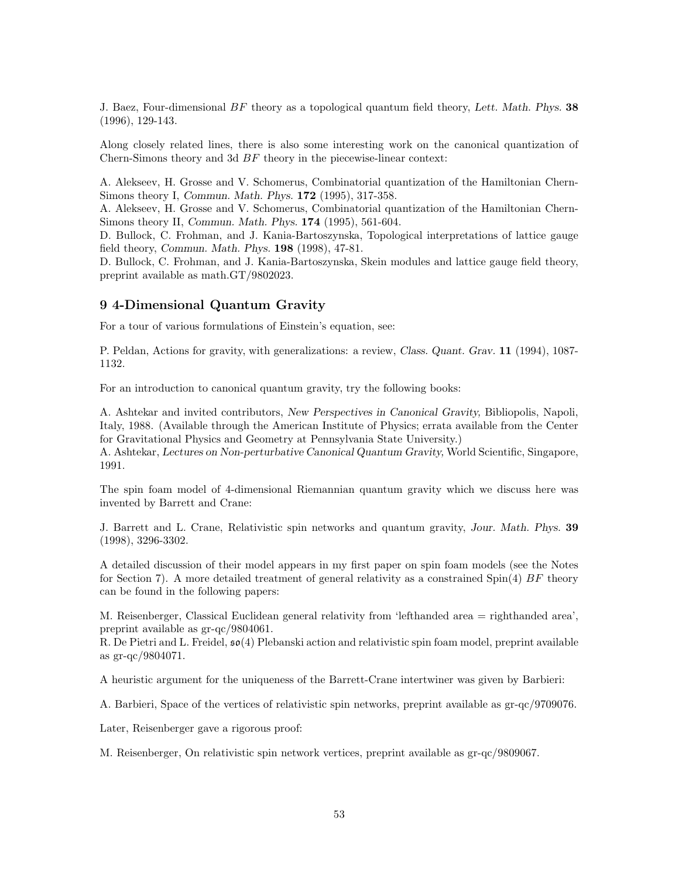J. Baez, Four-dimensional  $BF$  theory as a topological quantum field theory, Lett. Math. Phys. 38 (1996), 129-143.

Along closely related lines, there is also some interesting work on the canonical quantization of Chern-Simons theory and 3d BF theory in the piecewise-linear context:

A. Alekseev, H. Grosse and V. Schomerus, Combinatorial quantization of the Hamiltonian Chern-Simons theory I, Commun. Math. Phys. 172 (1995), 317-358.

A. Alekseev, H. Grosse and V. Schomerus, Combinatorial quantization of the Hamiltonian Chern-Simons theory II, Commun. Math. Phys. 174 (1995), 561-604.

D. Bullock, C. Frohman, and J. Kania-Bartoszynska, Topological interpretations of lattice gauge field theory, Commun. Math. Phys. 198 (1998), 47-81.

D. Bullock, C. Frohman, and J. Kania-Bartoszynska, Skein modules and lattice gauge field theory, preprint available as math.GT/9802023.

## 9 4-Dimensional Quantum Gravity

For a tour of various formulations of Einstein's equation, see:

P. Peldan, Actions for gravity, with generalizations: a review, Class. Quant. Grav. 11 (1994), 1087- 1132.

For an introduction to canonical quantum gravity, try the following books:

A. Ashtekar and invited contributors, New Perspectives in Canonical Gravity, Bibliopolis, Napoli, Italy, 1988. (Available through the American Institute of Physics; errata available from the Center for Gravitational Physics and Geometry at Pennsylvania State University.)

A. Ashtekar, Lectures on Non-perturbative Canonical Quantum Gravity, World Scientific, Singapore, 1991.

The spin foam model of 4-dimensional Riemannian quantum gravity which we discuss here was invented by Barrett and Crane:

J. Barrett and L. Crane, Relativistic spin networks and quantum gravity, Jour. Math. Phys. 39 (1998), 3296-3302.

A detailed discussion of their model appears in my first paper on spin foam models (see the Notes for Section 7). A more detailed treatment of general relativity as a constrained  $Spin(4)$  BF theory can be found in the following papers:

M. Reisenberger, Classical Euclidean general relativity from 'lefthanded area = righthanded area', preprint available as gr-qc/9804061.

R. De Pietri and L. Freidel, so(4) Plebanski action and relativistic spin foam model, preprint available as gr-qc/9804071.

A heuristic argument for the uniqueness of the Barrett-Crane intertwiner was given by Barbieri:

A. Barbieri, Space of the vertices of relativistic spin networks, preprint available as gr-qc/9709076.

Later, Reisenberger gave a rigorous proof:

M. Reisenberger, On relativistic spin network vertices, preprint available as gr-qc/9809067.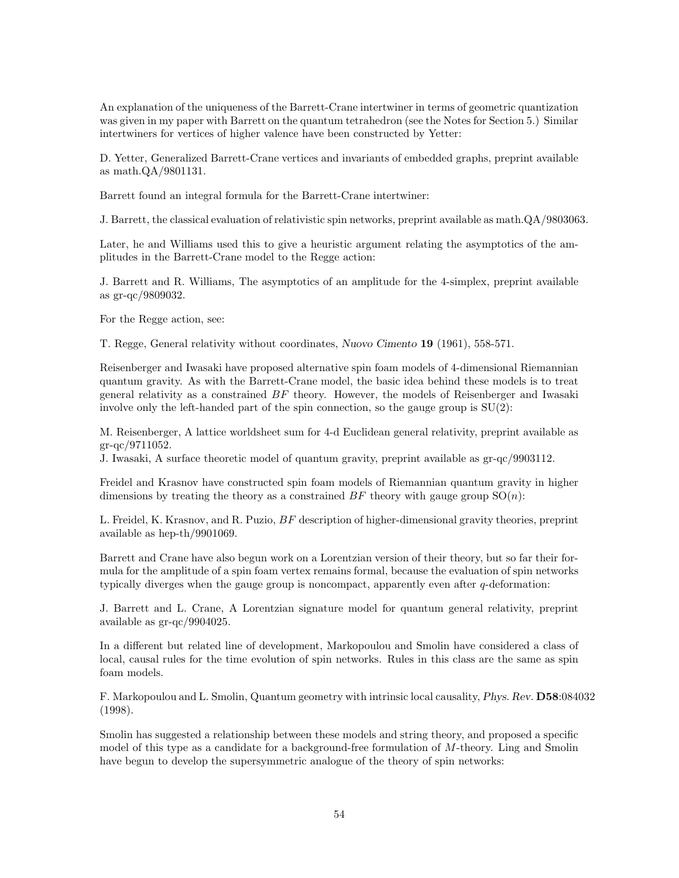An explanation of the uniqueness of the Barrett-Crane intertwiner in terms of geometric quantization was given in my paper with Barrett on the quantum tetrahedron (see the Notes for Section 5.) Similar intertwiners for vertices of higher valence have been constructed by Yetter:

D. Yetter, Generalized Barrett-Crane vertices and invariants of embedded graphs, preprint available as math.QA/9801131.

Barrett found an integral formula for the Barrett-Crane intertwiner:

J. Barrett, the classical evaluation of relativistic spin networks, preprint available as math.QA/9803063.

Later, he and Williams used this to give a heuristic argument relating the asymptotics of the amplitudes in the Barrett-Crane model to the Regge action:

J. Barrett and R. Williams, The asymptotics of an amplitude for the 4-simplex, preprint available as gr-qc/9809032.

For the Regge action, see:

T. Regge, General relativity without coordinates, Nuovo Cimento 19 (1961), 558-571.

Reisenberger and Iwasaki have proposed alternative spin foam models of 4-dimensional Riemannian quantum gravity. As with the Barrett-Crane model, the basic idea behind these models is to treat general relativity as a constrained  $BF$  theory. However, the models of Reisenberger and Iwasaki involve only the left-handed part of the spin connection, so the gauge group is SU(2):

M. Reisenberger, A lattice worldsheet sum for 4-d Euclidean general relativity, preprint available as gr-qc/9711052.

J. Iwasaki, A surface theoretic model of quantum gravity, preprint available as gr-qc/9903112.

Freidel and Krasnov have constructed spin foam models of Riemannian quantum gravity in higher dimensions by treating the theory as a constrained  $BF$  theory with gauge group  $SO(n)$ :

L. Freidel, K. Krasnov, and R. Puzio, BF description of higher-dimensional gravity theories, preprint available as hep-th/9901069.

Barrett and Crane have also begun work on a Lorentzian version of their theory, but so far their formula for the amplitude of a spin foam vertex remains formal, because the evaluation of spin networks typically diverges when the gauge group is noncompact, apparently even after q-deformation:

J. Barrett and L. Crane, A Lorentzian signature model for quantum general relativity, preprint available as gr-qc/9904025.

In a different but related line of development, Markopoulou and Smolin have considered a class of local, causal rules for the time evolution of spin networks. Rules in this class are the same as spin foam models.

F. Markopoulou and L. Smolin, Quantum geometry with intrinsic local causality, Phys. Rev. D58:084032 (1998).

Smolin has suggested a relationship between these models and string theory, and proposed a specific model of this type as a candidate for a background-free formulation of M-theory. Ling and Smolin have begun to develop the supersymmetric analogue of the theory of spin networks: